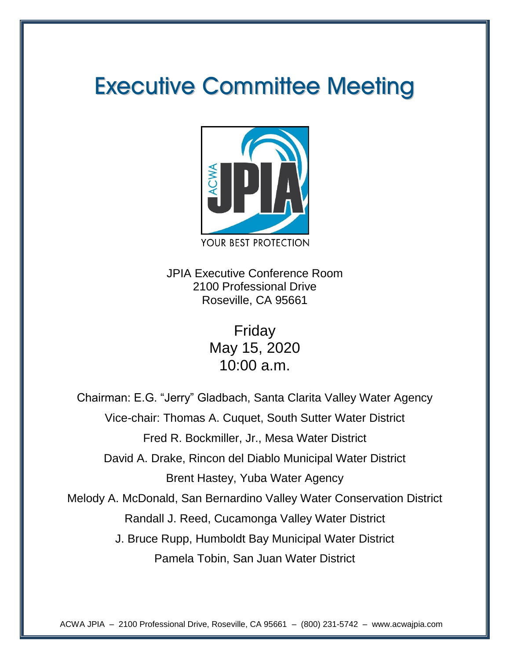## **Executive Committee Meeting**



JPIA Executive Conference Room 2100 Professional Drive Roseville, CA 95661

> Friday May 15, 2020 10:00 a.m.

Chairman: E.G. "Jerry" Gladbach, Santa Clarita Valley Water Agency Vice-chair: Thomas A. Cuquet, South Sutter Water District Fred R. Bockmiller, Jr., Mesa Water District David A. Drake, Rincon del Diablo Municipal Water District Brent Hastey, Yuba Water Agency Melody A. McDonald, San Bernardino Valley Water Conservation District Randall J. Reed, Cucamonga Valley Water District J. Bruce Rupp, Humboldt Bay Municipal Water District Pamela Tobin, San Juan Water District

ACWA JPIA – 2100 Professional Drive, Roseville, CA 95661 – (800) 231-5742 – www.acwajpia.com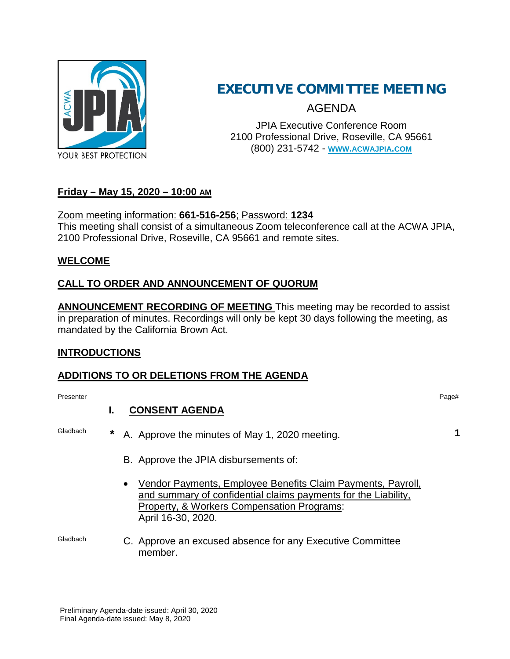

### **EXECUTIVE COMMITTEE MEETING**

AGENDA

JPIA Executive Conference Room 2100 Professional Drive, Roseville, CA 95661 (800) 231-5742 - **[WWW.ACWAJPIA.COM](http://www.acwajpia.com/)**

#### **Friday – May 15, 2020 – 10:00 AM**

#### Zoom meeting information: **661-516-256**; Password: **1234**

This meeting shall consist of a simultaneous Zoom teleconference call at the ACWA JPIA, 2100 Professional Drive, Roseville, CA 95661 and remote sites.

#### **WELCOME**

#### **CALL TO ORDER AND ANNOUNCEMENT OF QUORUM**

**ANNOUNCEMENT RECORDING OF MEETING** This meeting may be recorded to assist in preparation of minutes. Recordings will only be kept 30 days following the meeting, as mandated by the California Brown Act.

#### **INTRODUCTIONS**

#### **ADDITIONS TO OR DELETIONS FROM THE AGENDA**

Presenter Presenter Page#

#### **I. CONSENT AGENDA**

- Gladbach **\*** A. Approve the minutes of May 1, 2020 meeting. **1**
	- B. Approve the JPIA disbursements of:
	- Vendor Payments, Employee Benefits Claim Payments, Payroll, and summary of confidential claims payments for the Liability, Property, & Workers Compensation Programs: April 16-30, 2020.

Gladbach C. Approve an excused absence for any Executive Committee member.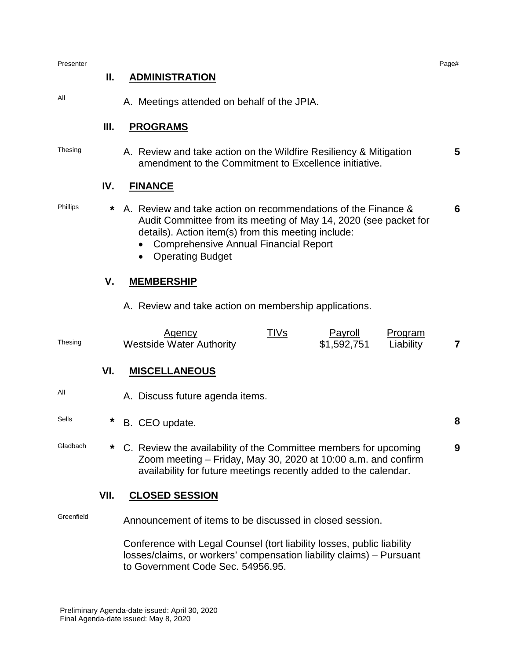| Presenter  | Ⅱ.     | <b>ADMINISTRATION</b>                                                                                                                                                                                                                                                    | Page#          |  |  |  |  |
|------------|--------|--------------------------------------------------------------------------------------------------------------------------------------------------------------------------------------------------------------------------------------------------------------------------|----------------|--|--|--|--|
| All        |        | A. Meetings attended on behalf of the JPIA.                                                                                                                                                                                                                              |                |  |  |  |  |
|            | Ш.     | <b>PROGRAMS</b>                                                                                                                                                                                                                                                          |                |  |  |  |  |
| Thesing    |        | A. Review and take action on the Wildfire Resiliency & Mitigation<br>amendment to the Commitment to Excellence initiative.                                                                                                                                               | 5              |  |  |  |  |
|            | IV.    | <b>FINANCE</b>                                                                                                                                                                                                                                                           |                |  |  |  |  |
| Phillips   | *      | A. Review and take action on recommendations of the Finance &<br>6<br>Audit Committee from its meeting of May 14, 2020 (see packet for<br>details). Action item(s) from this meeting include:<br><b>Comprehensive Annual Financial Report</b><br><b>Operating Budget</b> |                |  |  |  |  |
|            | V.     | <b>MEMBERSHIP</b>                                                                                                                                                                                                                                                        |                |  |  |  |  |
|            |        | A. Review and take action on membership applications.                                                                                                                                                                                                                    |                |  |  |  |  |
| Thesing    |        | <u>TIVs</u><br>Payroll<br>Program<br><u>Agency</u><br>\$1,592,751<br><b>Westside Water Authority</b><br>Liability                                                                                                                                                        | $\overline{7}$ |  |  |  |  |
|            | VI.    | <b>MISCELLANEOUS</b>                                                                                                                                                                                                                                                     |                |  |  |  |  |
| Αll        |        | A. Discuss future agenda items.                                                                                                                                                                                                                                          |                |  |  |  |  |
| Sells      | *      | B. CEO update.                                                                                                                                                                                                                                                           | 8              |  |  |  |  |
| Gladbach   | $\ast$ | C. Review the availability of the Committee members for upcoming<br>Zoom meeting - Friday, May 30, 2020 at 10:00 a.m. and confirm<br>availability for future meetings recently added to the calendar.                                                                    | 9              |  |  |  |  |
|            | VII.   | <b>CLOSED SESSION</b>                                                                                                                                                                                                                                                    |                |  |  |  |  |
| Greenfield |        | Announcement of items to be discussed in closed session.                                                                                                                                                                                                                 |                |  |  |  |  |
|            |        | Conference with Legal Counsel (tort liability losses, public liability<br>losses/claims, or workers' compensation liability claims) - Pursuant                                                                                                                           |                |  |  |  |  |

to Government Code Sec. 54956.95.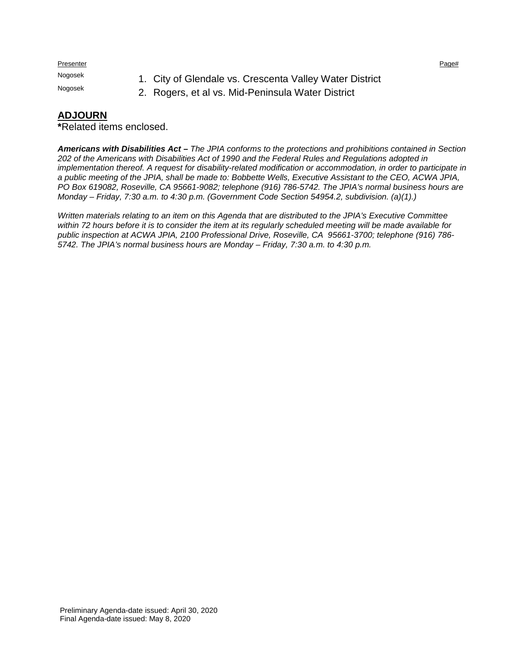Presenter Presenter Page#

- Nogosek 1. City of Glendale vs. Crescenta Valley Water District<br>Nogosek 2. Peggara at al ve Mid Peningula Water District
	- 2. Rogers, et al vs. Mid-Peninsula Water District

#### **ADJOURN**

**\***Related items enclosed.

*Americans with Disabilities Act – The JPIA conforms to the protections and prohibitions contained in Section 202 of the Americans with Disabilities Act of 1990 and the Federal Rules and Regulations adopted in implementation thereof. A request for disability-related modification or accommodation, in order to participate in a public meeting of the JPIA, shall be made to: Bobbette Wells, Executive Assistant to the CEO, ACWA JPIA, PO Box 619082, Roseville, CA 95661-9082; telephone (916) 786-5742. The JPIA's normal business hours are Monday – Friday, 7:30 a.m. to 4:30 p.m. (Government Code Section 54954.2, subdivision. (a)(1).)*

*Written materials relating to an item on this Agenda that are distributed to the JPIA's Executive Committee within 72 hours before it is to consider the item at its regularly scheduled meeting will be made available for public inspection at ACWA JPIA, 2100 Professional Drive, Roseville, CA 95661-3700; telephone (916) 786- 5742. The JPIA's normal business hours are Monday – Friday, 7:30 a.m. to 4:30 p.m.*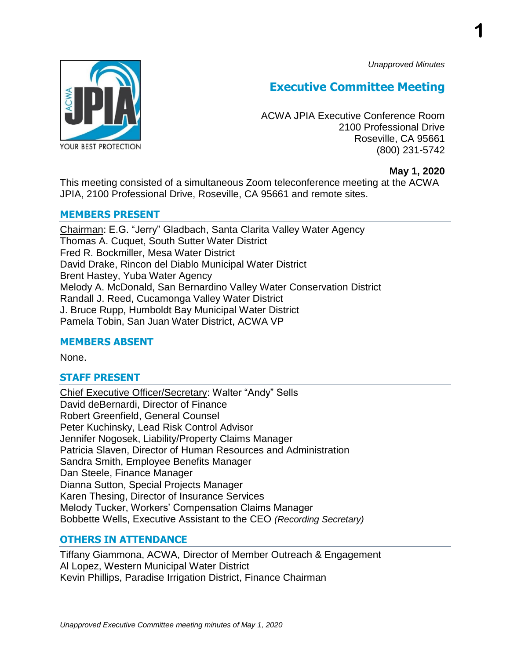*Unapproved Minutes*

**1**



### **Executive Committee Meeting**

ACWA JPIA Executive Conference Room 2100 Professional Drive Roseville, CA 95661 (800) 231-5742

#### **May 1, 2020**

This meeting consisted of a simultaneous Zoom teleconference meeting at the ACWA JPIA, 2100 Professional Drive, Roseville, CA 95661 and remote sites.

#### **MEMBERS PRESENT**

Chairman: E.G. "Jerry" Gladbach, Santa Clarita Valley Water Agency Thomas A. Cuquet, South Sutter Water District Fred R. Bockmiller, Mesa Water District David Drake, Rincon del Diablo Municipal Water District Brent Hastey, Yuba Water Agency Melody A. McDonald, San Bernardino Valley Water Conservation District Randall J. Reed, Cucamonga Valley Water District J. Bruce Rupp, Humboldt Bay Municipal Water District Pamela Tobin, San Juan Water District, ACWA VP

#### **MEMBERS ABSENT**

None.

#### **STAFF PRESENT**

Chief Executive Officer/Secretary: Walter "Andy" Sells David deBernardi, Director of Finance Robert Greenfield, General Counsel Peter Kuchinsky, Lead Risk Control Advisor Jennifer Nogosek, Liability/Property Claims Manager Patricia Slaven, Director of Human Resources and Administration Sandra Smith, Employee Benefits Manager Dan Steele, Finance Manager Dianna Sutton, Special Projects Manager Karen Thesing, Director of Insurance Services Melody Tucker, Workers' Compensation Claims Manager Bobbette Wells, Executive Assistant to the CEO *(Recording Secretary)*

#### **OTHERS IN ATTENDANCE**

Tiffany Giammona, ACWA, Director of Member Outreach & Engagement Al Lopez, Western Municipal Water District Kevin Phillips, Paradise Irrigation District, Finance Chairman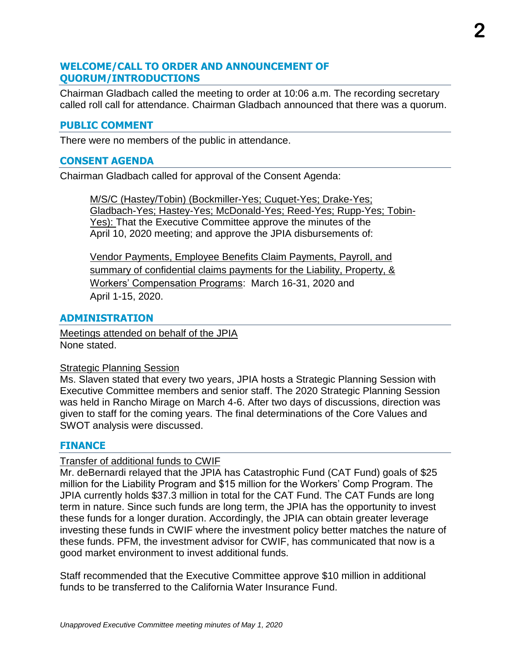#### **WELCOME/CALL TO ORDER AND ANNOUNCEMENT OF QUORUM/INTRODUCTIONS**

Chairman Gladbach called the meeting to order at 10:06 a.m. The recording secretary called roll call for attendance. Chairman Gladbach announced that there was a quorum.

#### **PUBLIC COMMENT**

There were no members of the public in attendance.

#### **CONSENT AGENDA**

Chairman Gladbach called for approval of the Consent Agenda:

M/S/C (Hastey/Tobin) (Bockmiller-Yes; Cuquet-Yes; Drake-Yes; Gladbach-Yes; Hastey-Yes; McDonald-Yes; Reed-Yes; Rupp-Yes; Tobin-Yes): That the Executive Committee approve the minutes of the April 10, 2020 meeting; and approve the JPIA disbursements of:

Vendor Payments, Employee Benefits Claim Payments, Payroll, and summary of confidential claims payments for the Liability, Property, & Workers' Compensation Programs: March 16-31, 2020 and April 1-15, 2020.

#### **ADMINISTRATION**

Meetings attended on behalf of the JPIA None stated.

#### Strategic Planning Session

Ms. Slaven stated that every two years, JPIA hosts a Strategic Planning Session with Executive Committee members and senior staff. The 2020 Strategic Planning Session was held in Rancho Mirage on March 4-6. After two days of discussions, direction was given to staff for the coming years. The final determinations of the Core Values and SWOT analysis were discussed.

#### **FINANCE**

#### Transfer of additional funds to CWIF

Mr. deBernardi relayed that the JPIA has Catastrophic Fund (CAT Fund) goals of \$25 million for the Liability Program and \$15 million for the Workers' Comp Program. The JPIA currently holds \$37.3 million in total for the CAT Fund. The CAT Funds are long term in nature. Since such funds are long term, the JPIA has the opportunity to invest these funds for a longer duration. Accordingly, the JPIA can obtain greater leverage investing these funds in CWIF where the investment policy better matches the nature of these funds. PFM, the investment advisor for CWIF, has communicated that now is a good market environment to invest additional funds.

Staff recommended that the Executive Committee approve \$10 million in additional funds to be transferred to the California Water Insurance Fund.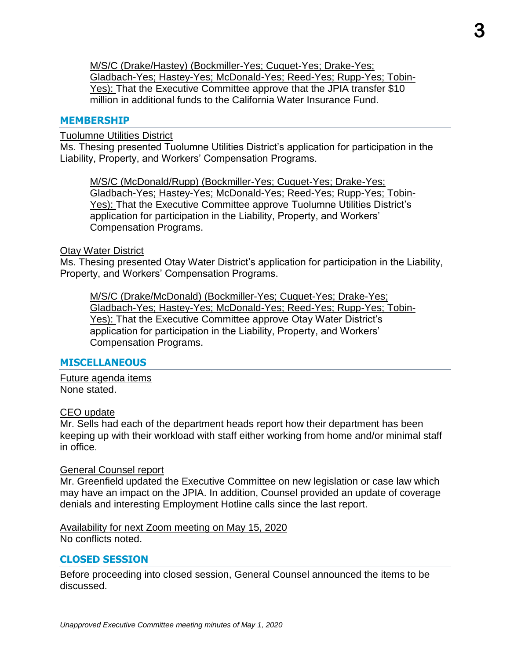M/S/C (Drake/Hastey) (Bockmiller-Yes; Cuquet-Yes; Drake-Yes; Gladbach-Yes; Hastey-Yes; McDonald-Yes; Reed-Yes; Rupp-Yes; Tobin-Yes): That the Executive Committee approve that the JPIA transfer \$10 million in additional funds to the California Water Insurance Fund.

#### **MEMBERSHIP**

#### Tuolumne Utilities District

Ms. Thesing presented Tuolumne Utilities District's application for participation in the Liability, Property, and Workers' Compensation Programs.

M/S/C (McDonald/Rupp) (Bockmiller-Yes; Cuquet-Yes; Drake-Yes; Gladbach-Yes; Hastey-Yes; McDonald-Yes; Reed-Yes; Rupp-Yes; Tobin-Yes): That the Executive Committee approve Tuolumne Utilities District's application for participation in the Liability, Property, and Workers' Compensation Programs.

#### Otay Water District

Ms. Thesing presented Otay Water District's application for participation in the Liability, Property, and Workers' Compensation Programs.

M/S/C (Drake/McDonald) (Bockmiller-Yes; Cuquet-Yes; Drake-Yes; Gladbach-Yes; Hastey-Yes; McDonald-Yes; Reed-Yes; Rupp-Yes; Tobin-Yes): That the Executive Committee approve Otay Water District's application for participation in the Liability, Property, and Workers' Compensation Programs.

#### **MISCELLANEOUS**

Future agenda items None stated.

#### CEO update

Mr. Sells had each of the department heads report how their department has been keeping up with their workload with staff either working from home and/or minimal staff in office.

#### General Counsel report

Mr. Greenfield updated the Executive Committee on new legislation or case law which may have an impact on the JPIA. In addition, Counsel provided an update of coverage denials and interesting Employment Hotline calls since the last report.

Availability for next Zoom meeting on May 15, 2020 No conflicts noted.

#### **CLOSED SESSION**

Before proceeding into closed session, General Counsel announced the items to be discussed.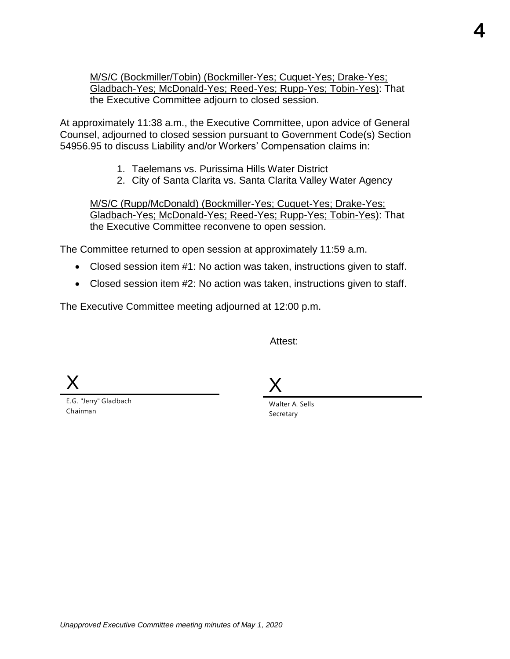M/S/C (Bockmiller/Tobin) (Bockmiller-Yes; Cuquet-Yes; Drake-Yes; Gladbach-Yes; McDonald-Yes; Reed-Yes; Rupp-Yes; Tobin-Yes): That the Executive Committee adjourn to closed session.

At approximately 11:38 a.m., the Executive Committee, upon advice of General Counsel, adjourned to closed session pursuant to Government Code(s) Section 54956.95 to discuss Liability and/or Workers' Compensation claims in:

- 1. Taelemans vs. Purissima Hills Water District
- 2. City of Santa Clarita vs. Santa Clarita Valley Water Agency

M/S/C (Rupp/McDonald) (Bockmiller-Yes; Cuquet-Yes; Drake-Yes; Gladbach-Yes; McDonald-Yes; Reed-Yes; Rupp-Yes; Tobin-Yes): That the Executive Committee reconvene to open session.

The Committee returned to open session at approximately 11:59 a.m.

- Closed session item #1: No action was taken, instructions given to staff.
- Closed session item #2: No action was taken, instructions given to staff.

The Executive Committee meeting adjourned at 12:00 p.m.

Attest:

X

E.G. "Jerry" Gladbach Chairman

X

Walter A. Sells Secretary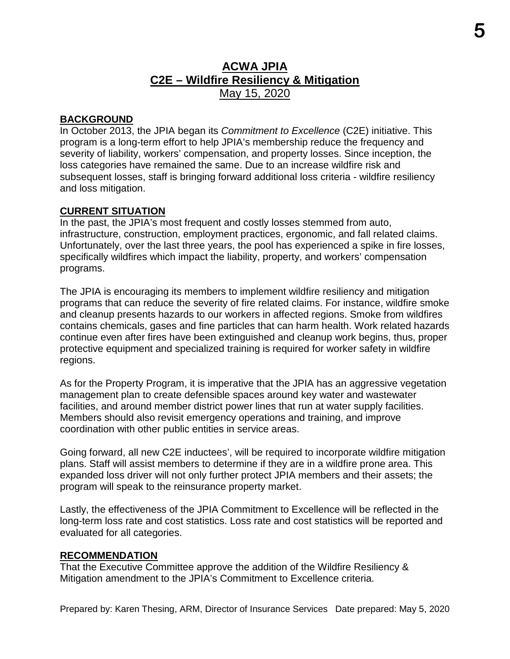### **ACWA JPIA C2E – Wildfire Resiliency & Mitigation** May 15, 2020

#### **BACKGROUND**

In October 2013, the JPIA began its *Commitment to Excellence* (C2E) initiative. This program is a long-term effort to help JPIA's membership reduce the frequency and severity of liability, workers' compensation, and property losses. Since inception, the loss categories have remained the same. Due to an increase wildfire risk and subsequent losses, staff is bringing forward additional loss criteria - wildfire resiliency and loss mitigation.

#### **CURRENT SITUATION**

In the past, the JPIA's most frequent and costly losses stemmed from auto, infrastructure, construction, employment practices, ergonomic, and fall related claims. Unfortunately, over the last three years, the pool has experienced a spike in fire losses, specifically wildfires which impact the liability, property, and workers' compensation programs.

The JPIA is encouraging its members to implement wildfire resiliency and mitigation programs that can reduce the severity of fire related claims. For instance, wildfire smoke and cleanup presents hazards to our workers in affected regions. Smoke from wildfires contains chemicals, gases and fine particles that can harm health. Work related hazards continue even after fires have been extinguished and cleanup work begins, thus, proper protective equipment and specialized training is required for worker safety in wildfire regions.

As for the Property Program, it is imperative that the JPIA has an aggressive vegetation management plan to create defensible spaces around key water and wastewater facilities, and around member district power lines that run at water supply facilities. Members should also revisit emergency operations and training, and improve coordination with other public entities in service areas.

Going forward, all new C2E inductees', will be required to incorporate wildfire mitigation plans. Staff will assist members to determine if they are in a wildfire prone area. This expanded loss driver will not only further protect JPIA members and their assets; the program will speak to the reinsurance property market.

Lastly, the effectiveness of the JPIA Commitment to Excellence will be reflected in the long-term loss rate and cost statistics. Loss rate and cost statistics will be reported and evaluated for all categories.

#### **RECOMMENDATION**

That the Executive Committee approve the addition of the Wildfire Resiliency & Mitigation amendment to the JPIA's Commitment to Excellence criteria.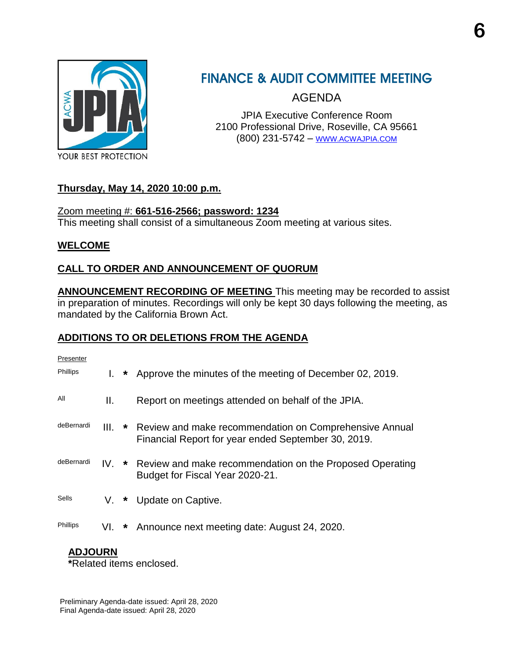

### **FINANCE & AUDIT COMMITTEE MEETING**

AGENDA

JPIA Executive Conference Room 2100 Professional Drive, Roseville, CA 95661 (800) 231-5742 – [WWW.ACWAJPIA.COM](http://www.acwajpia.com/)

#### **Thursday, May 14, 2020 10:00 p.m.**

Zoom meeting #: **661-516-2566; password: 1234** This meeting shall consist of a simultaneous Zoom meeting at various sites.

#### **WELCOME**

#### **CALL TO ORDER AND ANNOUNCEMENT OF QUORUM**

**ANNOUNCEMENT RECORDING OF MEETING** This meeting may be recorded to assist in preparation of minutes. Recordings will only be kept 30 days following the meeting, as mandated by the California Brown Act.

### **ADDITIONS TO OR DELETIONS FROM THE AGENDA**

| Presenter       |     |         |                                                                                                                      |
|-----------------|-----|---------|----------------------------------------------------------------------------------------------------------------------|
| <b>Phillips</b> |     | $\star$ | Approve the minutes of the meeting of December 02, 2019.                                                             |
| All             | Ш.  |         | Report on meetings attended on behalf of the JPIA.                                                                   |
| deBernardi      |     |         | III. * Review and make recommendation on Comprehensive Annual<br>Financial Report for year ended September 30, 2019. |
| deBernardi      |     |         | IV. * Review and make recommendation on the Proposed Operating<br>Budget for Fiscal Year 2020-21.                    |
| Sells           | V.  | $\star$ | Update on Captive.                                                                                                   |
| Phillips        | VI. | *       | Announce next meeting date: August 24, 2020.                                                                         |

#### **ADJOURN**

**\***Related items enclosed.

Preliminary Agenda-date issued: April 28, 2020 Final Agenda-date issued: April 28, 2020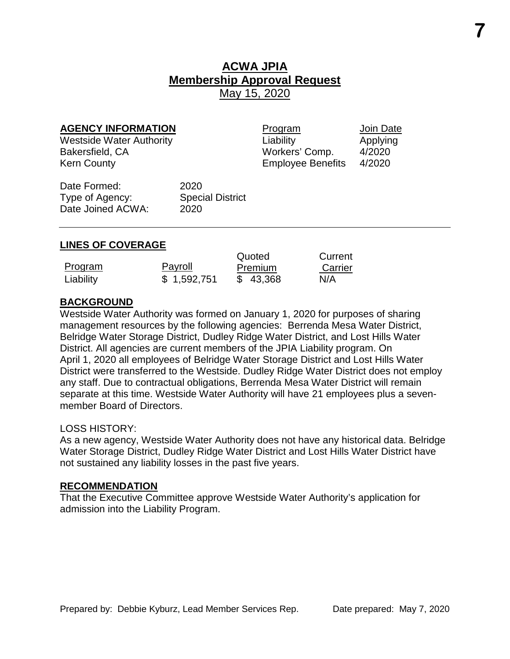### **ACWA JPIA Membership Approval Request** May 15, 2020

**AGENCY INFORMATION**<br>
Westside Water Authority<br>
Westside Water Authority<br> **Applying** Westside Water Authority **Contains Liability** Chapplying Liability Applying Bakersfield, CA Workers' Comp. 4/2020 Kern County **Employee Benefits** 4/2020

Date Formed: 2020 Type of Agency: Special District Date Joined ACWA: 2020

#### **LINES OF COVERAGE**

|           |             | Quoted   | Current |
|-----------|-------------|----------|---------|
| Program   | Payroll     | Premium  | Carrier |
| Liability | \$1,592,751 | \$43,368 | N/A     |

#### **BACKGROUND**

Westside Water Authority was formed on January 1, 2020 for purposes of sharing management resources by the following agencies: Berrenda Mesa Water District, Belridge Water Storage District, Dudley Ridge Water District, and Lost Hills Water District. All agencies are current members of the JPIA Liability program. On April 1, 2020 all employees of Belridge Water Storage District and Lost Hills Water District were transferred to the Westside. Dudley Ridge Water District does not employ any staff. Due to contractual obligations, Berrenda Mesa Water District will remain separate at this time. Westside Water Authority will have 21 employees plus a sevenmember Board of Directors.

#### LOSS HISTORY:

As a new agency, Westside Water Authority does not have any historical data. Belridge Water Storage District, Dudley Ridge Water District and Lost Hills Water District have not sustained any liability losses in the past five years.

#### **RECOMMENDATION**

That the Executive Committee approve Westside Water Authority's application for admission into the Liability Program.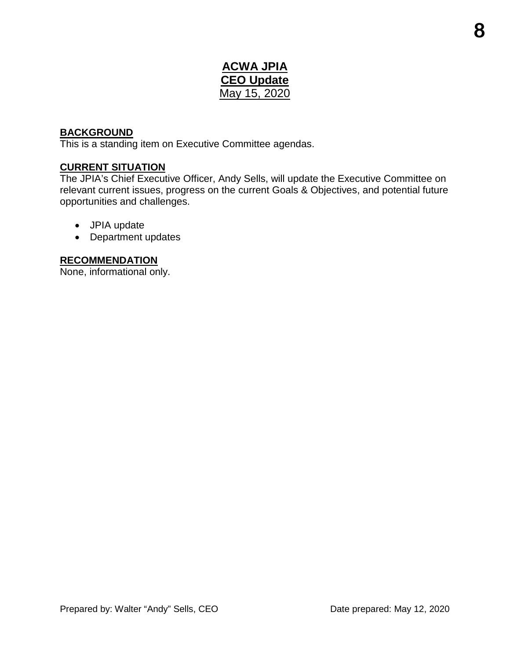### **ACWA JPIA CEO Update** May 15, 2020

#### **BACKGROUND**

This is a standing item on Executive Committee agendas.

#### **CURRENT SITUATION**

The JPIA's Chief Executive Officer, Andy Sells, will update the Executive Committee on relevant current issues, progress on the current Goals & Objectives, and potential future opportunities and challenges.

- JPIA update
- Department updates

#### **RECOMMENDATION**

None, informational only.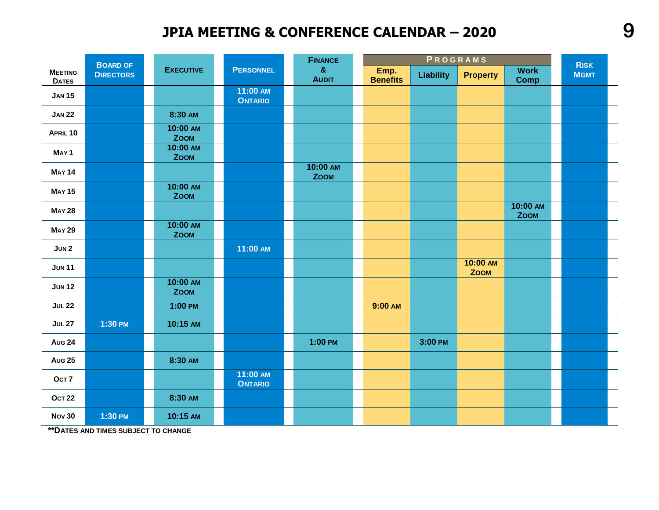### **JPIA MEETING & CONFERENCE CALENDAR – 2020**

|                                | <b>BOARD OF</b>  |                         |                            | <b>FINANCE</b>               |                         |                  | PROGRAMS                |                            | <b>RISK</b> |
|--------------------------------|------------------|-------------------------|----------------------------|------------------------------|-------------------------|------------------|-------------------------|----------------------------|-------------|
| <b>MEETING</b><br><b>DATES</b> | <b>DIRECTORS</b> | <b>EXECUTIVE</b>        | <b>PERSONNEL</b>           | $\mathbf{g}$<br><b>AUDIT</b> | Emp.<br><b>Benefits</b> | <b>Liability</b> | <b>Property</b>         | <b>Work</b><br><b>Comp</b> | <b>MGMT</b> |
| <b>JAN 15</b>                  |                  |                         | 11:00 AM<br><b>ONTARIO</b> |                              |                         |                  |                         |                            |             |
| <b>JAN 22</b>                  |                  | 8:30 AM                 |                            |                              |                         |                  |                         |                            |             |
| APRIL 10                       |                  | 10:00 AM<br><b>ZOOM</b> |                            |                              |                         |                  |                         |                            |             |
| MAY <sub>1</sub>               |                  | 10:00 AM<br><b>ZOOM</b> |                            |                              |                         |                  |                         |                            |             |
| <b>MAY 14</b>                  |                  |                         |                            | 10:00 AM<br><b>ZOOM</b>      |                         |                  |                         |                            |             |
| <b>MAY 15</b>                  |                  | 10:00 AM<br><b>ZOOM</b> |                            |                              |                         |                  |                         |                            |             |
| <b>MAY 28</b>                  |                  |                         |                            |                              |                         |                  |                         | 10:00 AM<br><b>ZOOM</b>    |             |
| <b>MAY 29</b>                  |                  | 10:00 AM<br><b>ZOOM</b> |                            |                              |                         |                  |                         |                            |             |
| JUN2                           |                  |                         | 11:00 AM                   |                              |                         |                  |                         |                            |             |
| <b>JUN11</b>                   |                  |                         |                            |                              |                         |                  | 10:00 AM<br><b>ZOOM</b> |                            |             |
| <b>JUN 12</b>                  |                  | 10:00 AM<br><b>ZOOM</b> |                            |                              |                         |                  |                         |                            |             |
| <b>JUL 22</b>                  |                  | $1:00$ PM               |                            |                              | 9:00 AM                 |                  |                         |                            |             |
| <b>JUL 27</b>                  | 1:30 PM          | 10:15 AM                |                            |                              |                         |                  |                         |                            |             |
| <b>Aug 24</b>                  |                  |                         |                            | 1:00 PM                      |                         | 3:00 PM          |                         |                            |             |
| <b>Aug 25</b>                  |                  | 8:30 AM                 |                            |                              |                         |                  |                         |                            |             |
| OCT <sub>7</sub>               |                  |                         | 11:00 AM<br><b>ONTARIO</b> |                              |                         |                  |                         |                            |             |
| <b>OCT 22</b>                  |                  | 8:30 AM                 |                            |                              |                         |                  |                         |                            |             |
| <b>Nov 30</b>                  | 1:30 PM          | 10:15 AM                |                            |                              |                         |                  |                         |                            |             |

**\*\*DATES AND TIMES SUBJECT TO CHANGE**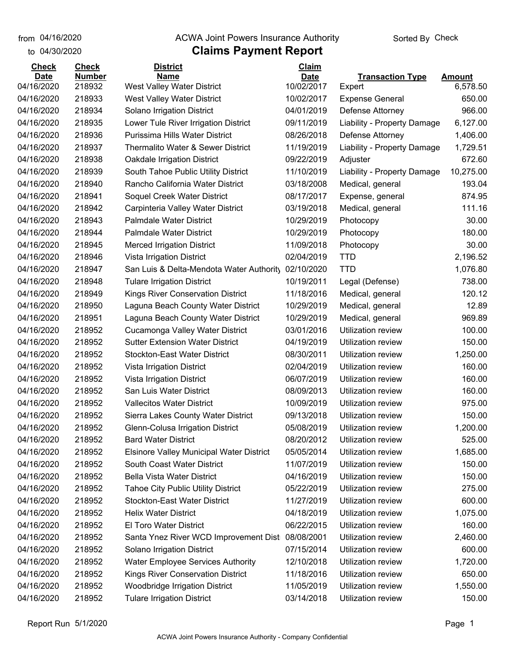from 04/16/2020

#### **Claims Payment Report** from 04/16/2020 **The COVA Solic Act Act Authority** From 04/16/2020 **Sorted By Check**

| to 04/30/2020 |               | <b>Claims Payment Report</b>              |              |                             |               |
|---------------|---------------|-------------------------------------------|--------------|-----------------------------|---------------|
| <b>Check</b>  | <b>Check</b>  | <b>District</b>                           | <b>Claim</b> |                             |               |
| <b>Date</b>   | <b>Number</b> | <b>Name</b>                               | <b>Date</b>  | <b>Transaction Type</b>     | <b>Amount</b> |
| 04/16/2020    | 218932        | West Valley Water District                | 10/02/2017   | Expert                      | 6,578.50      |
| 04/16/2020    | 218933        | West Valley Water District                | 10/02/2017   | <b>Expense General</b>      | 650.00        |
| 04/16/2020    | 218934        | Solano Irrigation District                | 04/01/2019   | Defense Attorney            | 966.00        |
| 04/16/2020    | 218935        | Lower Tule River Irrigation District      | 09/11/2019   | Liability - Property Damage | 6,127.00      |
| 04/16/2020    | 218936        | Purissima Hills Water District            | 08/26/2018   | Defense Attorney            | 1,406.00      |
| 04/16/2020    | 218937        | Thermalito Water & Sewer District         | 11/19/2019   | Liability - Property Damage | 1,729.51      |
| 04/16/2020    | 218938        | <b>Oakdale Irrigation District</b>        | 09/22/2019   | Adjuster                    | 672.60        |
| 04/16/2020    | 218939        | South Tahoe Public Utility District       | 11/10/2019   | Liability - Property Damage | 10,275.00     |
| 04/16/2020    | 218940        | Rancho California Water District          | 03/18/2008   | Medical, general            | 193.04        |
| 04/16/2020    | 218941        | Soquel Creek Water District               | 08/17/2017   | Expense, general            | 874.95        |
| 04/16/2020    | 218942        | Carpinteria Valley Water District         | 03/19/2018   | Medical, general            | 111.16        |
| 04/16/2020    | 218943        | <b>Palmdale Water District</b>            | 10/29/2019   | Photocopy                   | 30.00         |
| 04/16/2020    | 218944        | <b>Palmdale Water District</b>            | 10/29/2019   | Photocopy                   | 180.00        |
| 04/16/2020    | 218945        | <b>Merced Irrigation District</b>         | 11/09/2018   | Photocopy                   | 30.00         |
| 04/16/2020    | 218946        | Vista Irrigation District                 | 02/04/2019   | <b>TTD</b>                  | 2,196.52      |
| 04/16/2020    | 218947        | San Luis & Delta-Mendota Water Authority  | 02/10/2020   | <b>TTD</b>                  | 1,076.80      |
| 04/16/2020    | 218948        | <b>Tulare Irrigation District</b>         | 10/19/2011   | Legal (Defense)             | 738.00        |
| 04/16/2020    | 218949        | Kings River Conservation District         | 11/18/2016   | Medical, general            | 120.12        |
| 04/16/2020    | 218950        | Laguna Beach County Water District        | 10/29/2019   | Medical, general            | 12.89         |
| 04/16/2020    | 218951        | Laguna Beach County Water District        | 10/29/2019   | Medical, general            | 969.89        |
| 04/16/2020    | 218952        | Cucamonga Valley Water District           | 03/01/2016   | Utilization review          | 100.00        |
| 04/16/2020    | 218952        | <b>Sutter Extension Water District</b>    | 04/19/2019   | Utilization review          | 150.00        |
| 04/16/2020    | 218952        | <b>Stockton-East Water District</b>       | 08/30/2011   | Utilization review          | 1,250.00      |
| 04/16/2020    | 218952        | Vista Irrigation District                 | 02/04/2019   | Utilization review          | 160.00        |
| 04/16/2020    | 218952        | Vista Irrigation District                 | 06/07/2019   | Utilization review          | 160.00        |
| 04/16/2020    | 218952        | San Luis Water District                   | 08/09/2013   | Utilization review          | 160.00        |
| 04/16/2020    | 218952        | <b>Vallecitos Water District</b>          | 10/09/2019   | Utilization review          | 975.00        |
| 04/16/2020    | 218952        | Sierra Lakes County Water District        | 09/13/2018   | Utilization review          | 150.00        |
| 04/16/2020    | 218952        | <b>Glenn-Colusa Irrigation District</b>   | 05/08/2019   | Utilization review          | 1,200.00      |
| 04/16/2020    | 218952        | <b>Bard Water District</b>                | 08/20/2012   | Utilization review          | 525.00        |
| 04/16/2020    | 218952        | Elsinore Valley Municipal Water District  | 05/05/2014   | <b>Utilization review</b>   | 1,685.00      |
| 04/16/2020    | 218952        | South Coast Water District                | 11/07/2019   | Utilization review          | 150.00        |
| 04/16/2020    | 218952        | Bella Vista Water District                | 04/16/2019   | Utilization review          | 150.00        |
| 04/16/2020    | 218952        | <b>Tahoe City Public Utility District</b> | 05/22/2019   | Utilization review          | 275.00        |
| 04/16/2020    | 218952        | <b>Stockton-East Water District</b>       | 11/27/2019   | Utilization review          | 600.00        |
| 04/16/2020    | 218952        | <b>Helix Water District</b>               | 04/18/2019   | Utilization review          | 1,075.00      |
| 04/16/2020    | 218952        | El Toro Water District                    | 06/22/2015   | Utilization review          | 160.00        |
| 04/16/2020    | 218952        | Santa Ynez River WCD Improvement Dist     | 08/08/2001   | Utilization review          | 2,460.00      |
| 04/16/2020    | 218952        | Solano Irrigation District                | 07/15/2014   | Utilization review          | 600.00        |
| 04/16/2020    | 218952        | Water Employee Services Authority         | 12/10/2018   | Utilization review          | 1,720.00      |
| 04/16/2020    | 218952        | Kings River Conservation District         | 11/18/2016   | Utilization review          | 650.00        |
| 04/16/2020    | 218952        | Woodbridge Irrigation District            | 11/05/2019   | Utilization review          | 1,550.00      |
| 04/16/2020    | 218952        | <b>Tulare Irrigation District</b>         | 03/14/2018   | Utilization review          | 150.00        |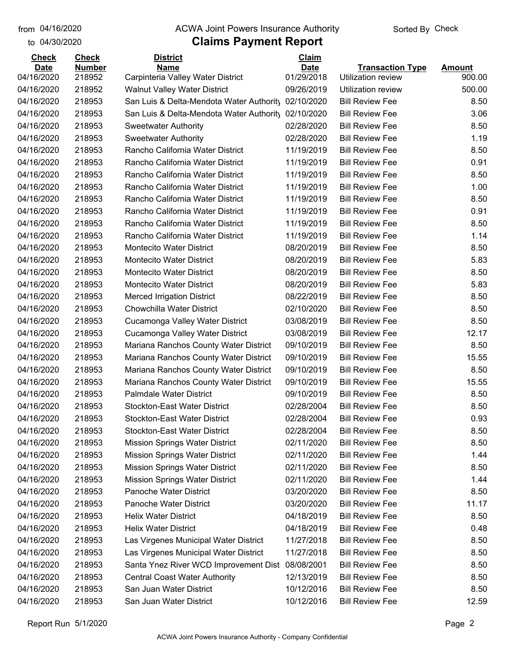#### from 04/16/2020 **The COVA Solic Act Act Authority** From 04/16/2020 **Sorted By Check**

| <b>Check</b> | <b>Check</b>  | <b>District</b>                          | <b>Claim</b> |                         |               |
|--------------|---------------|------------------------------------------|--------------|-------------------------|---------------|
| <b>Date</b>  | <b>Number</b> | <b>Name</b>                              | <b>Date</b>  | <b>Transaction Type</b> | <b>Amount</b> |
| 04/16/2020   | 218952        | Carpinteria Valley Water District        | 01/29/2018   | Utilization review      | 900.00        |
| 04/16/2020   | 218952        | <b>Walnut Valley Water District</b>      | 09/26/2019   | Utilization review      | 500.00        |
| 04/16/2020   | 218953        | San Luis & Delta-Mendota Water Authority | 02/10/2020   | <b>Bill Review Fee</b>  | 8.50          |
| 04/16/2020   | 218953        | San Luis & Delta-Mendota Water Authority | 02/10/2020   | <b>Bill Review Fee</b>  | 3.06          |
| 04/16/2020   | 218953        | <b>Sweetwater Authority</b>              | 02/28/2020   | <b>Bill Review Fee</b>  | 8.50          |
| 04/16/2020   | 218953        | <b>Sweetwater Authority</b>              | 02/28/2020   | <b>Bill Review Fee</b>  | 1.19          |
| 04/16/2020   | 218953        | Rancho California Water District         | 11/19/2019   | <b>Bill Review Fee</b>  | 8.50          |
| 04/16/2020   | 218953        | Rancho California Water District         | 11/19/2019   | <b>Bill Review Fee</b>  | 0.91          |
| 04/16/2020   | 218953        | Rancho California Water District         | 11/19/2019   | <b>Bill Review Fee</b>  | 8.50          |
| 04/16/2020   | 218953        | Rancho California Water District         | 11/19/2019   | <b>Bill Review Fee</b>  | 1.00          |
| 04/16/2020   | 218953        | Rancho California Water District         | 11/19/2019   | <b>Bill Review Fee</b>  | 8.50          |
| 04/16/2020   | 218953        | Rancho California Water District         | 11/19/2019   | <b>Bill Review Fee</b>  | 0.91          |
| 04/16/2020   | 218953        | Rancho California Water District         | 11/19/2019   | <b>Bill Review Fee</b>  | 8.50          |
| 04/16/2020   | 218953        | Rancho California Water District         | 11/19/2019   | <b>Bill Review Fee</b>  | 1.14          |
| 04/16/2020   | 218953        | <b>Montecito Water District</b>          | 08/20/2019   | <b>Bill Review Fee</b>  | 8.50          |
| 04/16/2020   | 218953        | <b>Montecito Water District</b>          | 08/20/2019   | <b>Bill Review Fee</b>  | 5.83          |
| 04/16/2020   | 218953        | <b>Montecito Water District</b>          | 08/20/2019   | <b>Bill Review Fee</b>  | 8.50          |
| 04/16/2020   | 218953        | <b>Montecito Water District</b>          | 08/20/2019   | <b>Bill Review Fee</b>  | 5.83          |
| 04/16/2020   | 218953        | <b>Merced Irrigation District</b>        | 08/22/2019   | <b>Bill Review Fee</b>  | 8.50          |
| 04/16/2020   | 218953        | Chowchilla Water District                | 02/10/2020   | <b>Bill Review Fee</b>  | 8.50          |
| 04/16/2020   | 218953        | Cucamonga Valley Water District          | 03/08/2019   | <b>Bill Review Fee</b>  | 8.50          |
| 04/16/2020   | 218953        | Cucamonga Valley Water District          | 03/08/2019   | <b>Bill Review Fee</b>  | 12.17         |
| 04/16/2020   | 218953        | Mariana Ranchos County Water District    | 09/10/2019   | <b>Bill Review Fee</b>  | 8.50          |
| 04/16/2020   | 218953        | Mariana Ranchos County Water District    | 09/10/2019   | <b>Bill Review Fee</b>  | 15.55         |
| 04/16/2020   | 218953        | Mariana Ranchos County Water District    | 09/10/2019   | <b>Bill Review Fee</b>  | 8.50          |
| 04/16/2020   | 218953        | Mariana Ranchos County Water District    | 09/10/2019   | <b>Bill Review Fee</b>  | 15.55         |
| 04/16/2020   | 218953        | <b>Palmdale Water District</b>           | 09/10/2019   | <b>Bill Review Fee</b>  | 8.50          |
| 04/16/2020   | 218953        | <b>Stockton-East Water District</b>      | 02/28/2004   | <b>Bill Review Fee</b>  | 8.50          |
| 04/16/2020   | 218953        | <b>Stockton-East Water District</b>      | 02/28/2004   | <b>Bill Review Fee</b>  | 0.93          |
| 04/16/2020   | 218953        | <b>Stockton-East Water District</b>      | 02/28/2004   | <b>Bill Review Fee</b>  | 8.50          |
| 04/16/2020   | 218953        | <b>Mission Springs Water District</b>    | 02/11/2020   | <b>Bill Review Fee</b>  | 8.50          |
| 04/16/2020   | 218953        | <b>Mission Springs Water District</b>    | 02/11/2020   | <b>Bill Review Fee</b>  | 1.44          |
| 04/16/2020   | 218953        | <b>Mission Springs Water District</b>    | 02/11/2020   | <b>Bill Review Fee</b>  | 8.50          |
| 04/16/2020   | 218953        | <b>Mission Springs Water District</b>    | 02/11/2020   | <b>Bill Review Fee</b>  | 1.44          |
| 04/16/2020   | 218953        | Panoche Water District                   | 03/20/2020   | <b>Bill Review Fee</b>  | 8.50          |
| 04/16/2020   | 218953        | Panoche Water District                   | 03/20/2020   | <b>Bill Review Fee</b>  | 11.17         |
| 04/16/2020   | 218953        | <b>Helix Water District</b>              | 04/18/2019   | <b>Bill Review Fee</b>  | 8.50          |
| 04/16/2020   | 218953        | <b>Helix Water District</b>              | 04/18/2019   | <b>Bill Review Fee</b>  | 0.48          |
| 04/16/2020   | 218953        | Las Virgenes Municipal Water District    | 11/27/2018   | <b>Bill Review Fee</b>  | 8.50          |
| 04/16/2020   | 218953        | Las Virgenes Municipal Water District    | 11/27/2018   | <b>Bill Review Fee</b>  | 8.50          |
| 04/16/2020   | 218953        | Santa Ynez River WCD Improvement Dist    | 08/08/2001   | <b>Bill Review Fee</b>  | 8.50          |
| 04/16/2020   | 218953        | <b>Central Coast Water Authority</b>     | 12/13/2019   | <b>Bill Review Fee</b>  | 8.50          |
| 04/16/2020   | 218953        | San Juan Water District                  | 10/12/2016   | <b>Bill Review Fee</b>  | 8.50          |
| 04/16/2020   |               | San Juan Water District                  | 10/12/2016   | <b>Bill Review Fee</b>  | 12.59         |
|              | 218953        |                                          |              |                         |               |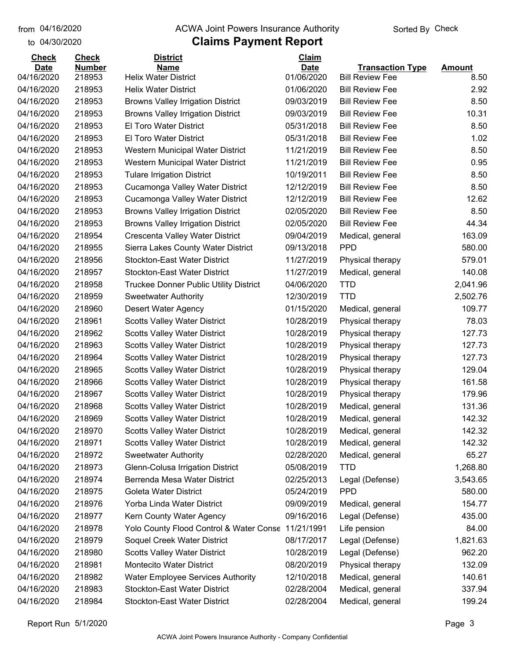#### from 04/16/2020 **The COVA Solic Act Act Authority** From 04/16/2020 **Sorted By Check**

| <b>Check</b>             | <b>Check</b>     | <b>District</b>                                            | Claim                    |                                                  |               |
|--------------------------|------------------|------------------------------------------------------------|--------------------------|--------------------------------------------------|---------------|
| <b>Date</b>              | <b>Number</b>    | <b>Name</b>                                                | <b>Date</b>              | <b>Transaction Type</b>                          | <b>Amount</b> |
| 04/16/2020<br>04/16/2020 | 218953<br>218953 | <b>Helix Water District</b><br><b>Helix Water District</b> | 01/06/2020<br>01/06/2020 | <b>Bill Review Fee</b><br><b>Bill Review Fee</b> | 8.50<br>2.92  |
|                          | 218953           |                                                            | 09/03/2019               | <b>Bill Review Fee</b>                           | 8.50          |
| 04/16/2020               | 218953           | <b>Browns Valley Irrigation District</b>                   |                          | <b>Bill Review Fee</b>                           |               |
| 04/16/2020               |                  | <b>Browns Valley Irrigation District</b>                   | 09/03/2019               |                                                  | 10.31         |
| 04/16/2020               | 218953           | El Toro Water District                                     | 05/31/2018               | <b>Bill Review Fee</b>                           | 8.50          |
| 04/16/2020               | 218953           | <b>El Toro Water District</b>                              | 05/31/2018               | <b>Bill Review Fee</b>                           | 1.02          |
| 04/16/2020               | 218953           | Western Municipal Water District                           | 11/21/2019               | <b>Bill Review Fee</b>                           | 8.50          |
| 04/16/2020               | 218953           | Western Municipal Water District                           | 11/21/2019               | <b>Bill Review Fee</b>                           | 0.95          |
| 04/16/2020               | 218953           | <b>Tulare Irrigation District</b>                          | 10/19/2011               | <b>Bill Review Fee</b>                           | 8.50          |
| 04/16/2020               | 218953           | Cucamonga Valley Water District                            | 12/12/2019               | <b>Bill Review Fee</b>                           | 8.50          |
| 04/16/2020               | 218953           | Cucamonga Valley Water District                            | 12/12/2019               | <b>Bill Review Fee</b>                           | 12.62         |
| 04/16/2020               | 218953           | <b>Browns Valley Irrigation District</b>                   | 02/05/2020               | <b>Bill Review Fee</b>                           | 8.50          |
| 04/16/2020               | 218953           | <b>Browns Valley Irrigation District</b>                   | 02/05/2020               | <b>Bill Review Fee</b>                           | 44.34         |
| 04/16/2020               | 218954           | Crescenta Valley Water District                            | 09/04/2019               | Medical, general                                 | 163.09        |
| 04/16/2020               | 218955           | Sierra Lakes County Water District                         | 09/13/2018               | <b>PPD</b>                                       | 580.00        |
| 04/16/2020               | 218956           | <b>Stockton-East Water District</b>                        | 11/27/2019               | Physical therapy                                 | 579.01        |
| 04/16/2020               | 218957           | <b>Stockton-East Water District</b>                        | 11/27/2019               | Medical, general                                 | 140.08        |
| 04/16/2020               | 218958           | <b>Truckee Donner Public Utility District</b>              | 04/06/2020               | <b>TTD</b>                                       | 2,041.96      |
| 04/16/2020               | 218959           | <b>Sweetwater Authority</b>                                | 12/30/2019               | <b>TTD</b>                                       | 2,502.76      |
| 04/16/2020               | 218960           | Desert Water Agency                                        | 01/15/2020               | Medical, general                                 | 109.77        |
| 04/16/2020               | 218961           | <b>Scotts Valley Water District</b>                        | 10/28/2019               | Physical therapy                                 | 78.03         |
| 04/16/2020               | 218962           | <b>Scotts Valley Water District</b>                        | 10/28/2019               | Physical therapy                                 | 127.73        |
| 04/16/2020               | 218963           | <b>Scotts Valley Water District</b>                        | 10/28/2019               | Physical therapy                                 | 127.73        |
| 04/16/2020               | 218964           | <b>Scotts Valley Water District</b>                        | 10/28/2019               | Physical therapy                                 | 127.73        |
| 04/16/2020               | 218965           | <b>Scotts Valley Water District</b>                        | 10/28/2019               | Physical therapy                                 | 129.04        |
| 04/16/2020               | 218966           | <b>Scotts Valley Water District</b>                        | 10/28/2019               | Physical therapy                                 | 161.58        |
| 04/16/2020               | 218967           | <b>Scotts Valley Water District</b>                        | 10/28/2019               | Physical therapy                                 | 179.96        |
| 04/16/2020               | 218968           | <b>Scotts Valley Water District</b>                        | 10/28/2019               | Medical, general                                 | 131.36        |
| 04/16/2020               | 218969           | <b>Scotts Valley Water District</b>                        | 10/28/2019               | Medical, general                                 | 142.32        |
| 04/16/2020               | 218970           | <b>Scotts Valley Water District</b>                        | 10/28/2019               | Medical, general                                 | 142.32        |
| 04/16/2020               | 218971           | <b>Scotts Valley Water District</b>                        | 10/28/2019               | Medical, general                                 | 142.32        |
| 04/16/2020               | 218972           | <b>Sweetwater Authority</b>                                | 02/28/2020               | Medical, general                                 | 65.27         |
| 04/16/2020               | 218973           | Glenn-Colusa Irrigation District                           | 05/08/2019               | <b>TTD</b>                                       | 1,268.80      |
| 04/16/2020               | 218974           | Berrenda Mesa Water District                               | 02/25/2013               | Legal (Defense)                                  | 3,543.65      |
| 04/16/2020               | 218975           | Goleta Water District                                      | 05/24/2019               | <b>PPD</b>                                       | 580.00        |
| 04/16/2020               | 218976           | Yorba Linda Water District                                 | 09/09/2019               | Medical, general                                 | 154.77        |
| 04/16/2020               | 218977           | Kern County Water Agency                                   | 09/16/2016               | Legal (Defense)                                  | 435.00        |
| 04/16/2020               | 218978           | Yolo County Flood Control & Water Conse                    | 11/21/1991               | Life pension                                     | 84.00         |
| 04/16/2020               | 218979           | Soquel Creek Water District                                | 08/17/2017               | Legal (Defense)                                  | 1,821.63      |
| 04/16/2020               | 218980           | <b>Scotts Valley Water District</b>                        | 10/28/2019               | Legal (Defense)                                  | 962.20        |
| 04/16/2020               | 218981           | Montecito Water District                                   | 08/20/2019               | Physical therapy                                 | 132.09        |
| 04/16/2020               | 218982           | <b>Water Employee Services Authority</b>                   | 12/10/2018               | Medical, general                                 | 140.61        |
| 04/16/2020               | 218983           | <b>Stockton-East Water District</b>                        | 02/28/2004               | Medical, general                                 | 337.94        |
| 04/16/2020               | 218984           | <b>Stockton-East Water District</b>                        | 02/28/2004               | Medical, general                                 | 199.24        |
|                          |                  |                                                            |                          |                                                  |               |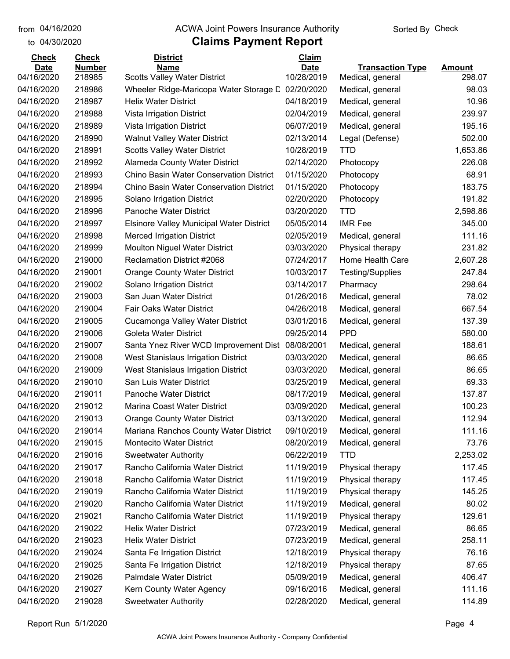#### from 04/16/2020 **The COVA Solic Act Act Authority** From 04/16/2020 **Sorted By Check**

| <b>Check</b> | <b>Check</b>  | <b>District</b>                                  | Claim       |                         |               |
|--------------|---------------|--------------------------------------------------|-------------|-------------------------|---------------|
| <b>Date</b>  | <b>Number</b> | <b>Name</b>                                      | <b>Date</b> | <b>Transaction Type</b> | <b>Amount</b> |
| 04/16/2020   | 218985        | <b>Scotts Valley Water District</b>              | 10/28/2019  | Medical, general        | 298.07        |
| 04/16/2020   | 218986        | Wheeler Ridge-Maricopa Water Storage D           | 02/20/2020  | Medical, general        | 98.03         |
| 04/16/2020   | 218987        | <b>Helix Water District</b>                      | 04/18/2019  | Medical, general        | 10.96         |
| 04/16/2020   | 218988        | Vista Irrigation District                        | 02/04/2019  | Medical, general        | 239.97        |
| 04/16/2020   | 218989        | Vista Irrigation District                        | 06/07/2019  | Medical, general        | 195.16        |
| 04/16/2020   | 218990        | <b>Walnut Valley Water District</b>              | 02/13/2014  | Legal (Defense)         | 502.00        |
| 04/16/2020   | 218991        | <b>Scotts Valley Water District</b>              | 10/28/2019  | <b>TTD</b>              | 1,653.86      |
| 04/16/2020   | 218992        | Alameda County Water District                    | 02/14/2020  | Photocopy               | 226.08        |
| 04/16/2020   | 218993        | Chino Basin Water Conservation District          | 01/15/2020  | Photocopy               | 68.91         |
| 04/16/2020   | 218994        | Chino Basin Water Conservation District          | 01/15/2020  | Photocopy               | 183.75        |
| 04/16/2020   | 218995        | Solano Irrigation District                       | 02/20/2020  | Photocopy               | 191.82        |
| 04/16/2020   | 218996        | <b>Panoche Water District</b>                    | 03/20/2020  | <b>TTD</b>              | 2,598.86      |
| 04/16/2020   | 218997        | <b>Elsinore Valley Municipal Water District</b>  | 05/05/2014  | <b>IMR</b> Fee          | 345.00        |
| 04/16/2020   | 218998        | <b>Merced Irrigation District</b>                | 02/05/2019  | Medical, general        | 111.16        |
| 04/16/2020   | 218999        | <b>Moulton Niguel Water District</b>             | 03/03/2020  | Physical therapy        | 231.82        |
| 04/16/2020   | 219000        | Reclamation District #2068                       | 07/24/2017  | Home Health Care        | 2,607.28      |
| 04/16/2020   | 219001        | Orange County Water District                     | 10/03/2017  | Testing/Supplies        | 247.84        |
| 04/16/2020   | 219002        | Solano Irrigation District                       | 03/14/2017  | Pharmacy                | 298.64        |
| 04/16/2020   | 219003        | San Juan Water District                          | 01/26/2016  | Medical, general        | 78.02         |
| 04/16/2020   | 219004        | Fair Oaks Water District                         | 04/26/2018  | Medical, general        | 667.54        |
| 04/16/2020   | 219005        | Cucamonga Valley Water District                  | 03/01/2016  | Medical, general        | 137.39        |
| 04/16/2020   | 219006        | Goleta Water District                            | 09/25/2014  | <b>PPD</b>              | 580.00        |
| 04/16/2020   | 219007        | Santa Ynez River WCD Improvement Dist 08/08/2001 |             | Medical, general        | 188.61        |
| 04/16/2020   | 219008        | West Stanislaus Irrigation District              | 03/03/2020  | Medical, general        | 86.65         |
| 04/16/2020   | 219009        | West Stanislaus Irrigation District              | 03/03/2020  | Medical, general        | 86.65         |
| 04/16/2020   | 219010        | San Luis Water District                          | 03/25/2019  | Medical, general        | 69.33         |
| 04/16/2020   | 219011        | Panoche Water District                           | 08/17/2019  | Medical, general        | 137.87        |
| 04/16/2020   | 219012        | Marina Coast Water District                      | 03/09/2020  | Medical, general        | 100.23        |
| 04/16/2020   | 219013        | <b>Orange County Water District</b>              | 03/13/2020  | Medical, general        | 112.94        |
| 04/16/2020   | 219014        | Mariana Ranchos County Water District            | 09/10/2019  | Medical, general        | 111.16        |
| 04/16/2020   | 219015        | Montecito Water District                         | 08/20/2019  | Medical, general        | 73.76         |
| 04/16/2020   | 219016        | <b>Sweetwater Authority</b>                      | 06/22/2019  | <b>TTD</b>              | 2,253.02      |
| 04/16/2020   | 219017        | Rancho California Water District                 | 11/19/2019  | Physical therapy        | 117.45        |
| 04/16/2020   | 219018        | Rancho California Water District                 | 11/19/2019  | Physical therapy        | 117.45        |
| 04/16/2020   | 219019        | Rancho California Water District                 | 11/19/2019  | Physical therapy        | 145.25        |
| 04/16/2020   | 219020        | Rancho California Water District                 | 11/19/2019  | Medical, general        | 80.02         |
| 04/16/2020   | 219021        | Rancho California Water District                 | 11/19/2019  | Physical therapy        | 129.61        |
| 04/16/2020   | 219022        | <b>Helix Water District</b>                      | 07/23/2019  | Medical, general        | 86.65         |
| 04/16/2020   | 219023        | <b>Helix Water District</b>                      | 07/23/2019  | Medical, general        | 258.11        |
| 04/16/2020   | 219024        | Santa Fe Irrigation District                     | 12/18/2019  | Physical therapy        | 76.16         |
| 04/16/2020   | 219025        | Santa Fe Irrigation District                     | 12/18/2019  | Physical therapy        | 87.65         |
| 04/16/2020   | 219026        | Palmdale Water District                          | 05/09/2019  | Medical, general        | 406.47        |
| 04/16/2020   | 219027        | Kern County Water Agency                         | 09/16/2016  | Medical, general        | 111.16        |
| 04/16/2020   | 219028        | <b>Sweetwater Authority</b>                      | 02/28/2020  | Medical, general        | 114.89        |
|              |               |                                                  |             |                         |               |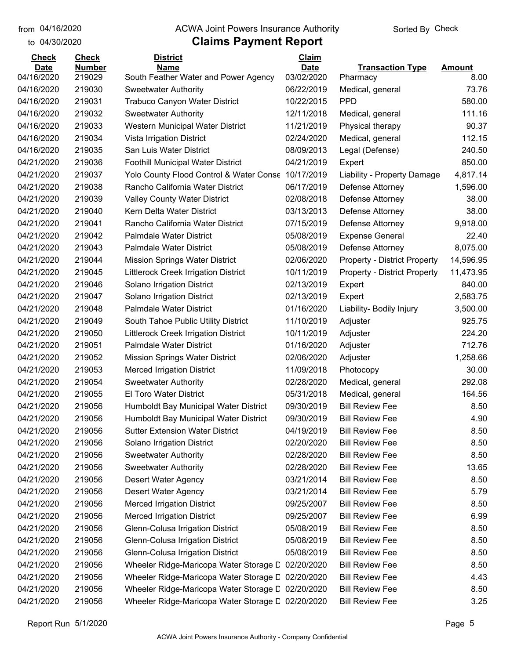to 04/30/2020

#### from 04/16/2020 **The COVA Solic Act Act Authority** From 04/16/2020 **Sorted By Check**

| <b>Check</b>              | <b>Check</b>            | <b>District</b>                                                     | <b>Claim</b>              |                                     |                       |
|---------------------------|-------------------------|---------------------------------------------------------------------|---------------------------|-------------------------------------|-----------------------|
| <b>Date</b><br>04/16/2020 | <b>Number</b><br>219029 | <b>Name</b>                                                         | <b>Date</b><br>03/02/2020 | <b>Transaction Type</b>             | <b>Amount</b><br>8.00 |
| 04/16/2020                | 219030                  | South Feather Water and Power Agency<br><b>Sweetwater Authority</b> | 06/22/2019                | Pharmacy<br>Medical, general        | 73.76                 |
| 04/16/2020                | 219031                  | <b>Trabuco Canyon Water District</b>                                | 10/22/2015                | <b>PPD</b>                          | 580.00                |
| 04/16/2020                | 219032                  |                                                                     | 12/11/2018                |                                     | 111.16                |
| 04/16/2020                | 219033                  | <b>Sweetwater Authority</b>                                         | 11/21/2019                | Medical, general                    | 90.37                 |
| 04/16/2020                |                         | Western Municipal Water District                                    |                           | Physical therapy                    |                       |
|                           | 219034                  | Vista Irrigation District                                           | 02/24/2020                | Medical, general                    | 112.15                |
| 04/16/2020                | 219035                  | San Luis Water District                                             | 08/09/2013                | Legal (Defense)                     | 240.50                |
| 04/21/2020                | 219036                  | Foothill Municipal Water District                                   | 04/21/2019                | Expert                              | 850.00                |
| 04/21/2020                | 219037                  | Yolo County Flood Control & Water Conse                             | 10/17/2019                | Liability - Property Damage         | 4,817.14              |
| 04/21/2020                | 219038                  | Rancho California Water District                                    | 06/17/2019                | Defense Attorney                    | 1,596.00              |
| 04/21/2020                | 219039                  | <b>Valley County Water District</b>                                 | 02/08/2018                | Defense Attorney                    | 38.00                 |
| 04/21/2020                | 219040                  | Kern Delta Water District                                           | 03/13/2013                | Defense Attorney                    | 38.00                 |
| 04/21/2020                | 219041                  | Rancho California Water District                                    | 07/15/2019                | Defense Attorney                    | 9,918.00              |
| 04/21/2020                | 219042                  | Palmdale Water District                                             | 05/08/2019                | <b>Expense General</b>              | 22.40                 |
| 04/21/2020                | 219043                  | <b>Palmdale Water District</b>                                      | 05/08/2019                | Defense Attorney                    | 8,075.00              |
| 04/21/2020                | 219044                  | <b>Mission Springs Water District</b>                               | 02/06/2020                | <b>Property - District Property</b> | 14,596.95             |
| 04/21/2020                | 219045                  | <b>Littlerock Creek Irrigation District</b>                         | 10/11/2019                | <b>Property - District Property</b> | 11,473.95             |
| 04/21/2020                | 219046                  | Solano Irrigation District                                          | 02/13/2019                | Expert                              | 840.00                |
| 04/21/2020                | 219047                  | Solano Irrigation District                                          | 02/13/2019                | Expert                              | 2,583.75              |
| 04/21/2020                | 219048                  | <b>Palmdale Water District</b>                                      | 01/16/2020                | Liability- Bodily Injury            | 3,500.00              |
| 04/21/2020                | 219049                  | South Tahoe Public Utility District                                 | 11/10/2019                | Adjuster                            | 925.75                |
| 04/21/2020                | 219050                  | <b>Littlerock Creek Irrigation District</b>                         | 10/11/2019                | Adjuster                            | 224.20                |
| 04/21/2020                | 219051                  | Palmdale Water District                                             | 01/16/2020                | Adjuster                            | 712.76                |
| 04/21/2020                | 219052                  | <b>Mission Springs Water District</b>                               | 02/06/2020                | Adjuster                            | 1,258.66              |
| 04/21/2020                | 219053                  | <b>Merced Irrigation District</b>                                   | 11/09/2018                | Photocopy                           | 30.00                 |
| 04/21/2020                | 219054                  | <b>Sweetwater Authority</b>                                         | 02/28/2020                | Medical, general                    | 292.08                |
| 04/21/2020                | 219055                  | <b>El Toro Water District</b>                                       | 05/31/2018                | Medical, general                    | 164.56                |
| 04/21/2020                | 219056                  | Humboldt Bay Municipal Water District                               | 09/30/2019                | <b>Bill Review Fee</b>              | 8.50                  |
| 04/21/2020                | 219056                  | Humboldt Bay Municipal Water District                               | 09/30/2019                | <b>Bill Review Fee</b>              | 4.90                  |
| 04/21/2020                | 219056                  | <b>Sutter Extension Water District</b>                              | 04/19/2019                | <b>Bill Review Fee</b>              | 8.50                  |
| 04/21/2020                | 219056                  | Solano Irrigation District                                          | 02/20/2020                | <b>Bill Review Fee</b>              | 8.50                  |
| 04/21/2020                | 219056                  | <b>Sweetwater Authority</b>                                         | 02/28/2020                | <b>Bill Review Fee</b>              | 8.50                  |
| 04/21/2020                | 219056                  | <b>Sweetwater Authority</b>                                         | 02/28/2020                | <b>Bill Review Fee</b>              | 13.65                 |
| 04/21/2020                | 219056                  | <b>Desert Water Agency</b>                                          | 03/21/2014                | <b>Bill Review Fee</b>              | 8.50                  |
| 04/21/2020                | 219056                  | <b>Desert Water Agency</b>                                          | 03/21/2014                | <b>Bill Review Fee</b>              | 5.79                  |
| 04/21/2020                | 219056                  | <b>Merced Irrigation District</b>                                   | 09/25/2007                | <b>Bill Review Fee</b>              | 8.50                  |
| 04/21/2020                | 219056                  | <b>Merced Irrigation District</b>                                   | 09/25/2007                | <b>Bill Review Fee</b>              | 6.99                  |
| 04/21/2020                | 219056                  | Glenn-Colusa Irrigation District                                    | 05/08/2019                | <b>Bill Review Fee</b>              | 8.50                  |
| 04/21/2020                | 219056                  | Glenn-Colusa Irrigation District                                    | 05/08/2019                | <b>Bill Review Fee</b>              | 8.50                  |
| 04/21/2020                | 219056                  | Glenn-Colusa Irrigation District                                    | 05/08/2019                | <b>Bill Review Fee</b>              | 8.50                  |
| 04/21/2020                | 219056                  | Wheeler Ridge-Maricopa Water Storage L 02/20/2020                   |                           | <b>Bill Review Fee</b>              | 8.50                  |
| 04/21/2020                | 219056                  | Wheeler Ridge-Maricopa Water Storage L 02/20/2020                   |                           | <b>Bill Review Fee</b>              | 4.43                  |
| 04/21/2020                | 219056                  | Wheeler Ridge-Maricopa Water Storage C 02/20/2020                   |                           | <b>Bill Review Fee</b>              | 8.50                  |
| 04/21/2020                | 219056                  | Wheeler Ridge-Maricopa Water Storage L 02/20/2020                   |                           | <b>Bill Review Fee</b>              | 3.25                  |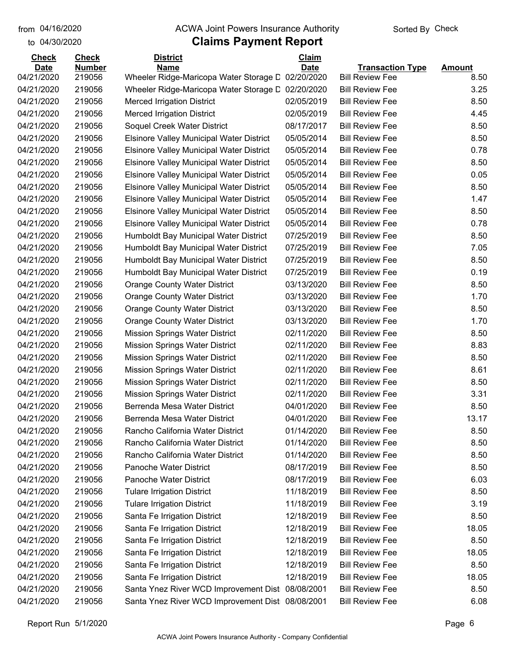#### from 04/16/2020 **The COVA Solic Act Act Authority** From 04/16/2020 **Sorted By Check**

| <b>Check</b>              | <b>Check</b>            | <b>District</b>                                                  | Claim                     |                                                   |                       |
|---------------------------|-------------------------|------------------------------------------------------------------|---------------------------|---------------------------------------------------|-----------------------|
| <b>Date</b><br>04/21/2020 | <b>Number</b><br>219056 | <b>Name</b><br>Wheeler Ridge-Maricopa Water Storage D            | <b>Date</b><br>02/20/2020 | <b>Transaction Type</b><br><b>Bill Review Fee</b> | <b>Amount</b><br>8.50 |
| 04/21/2020                | 219056                  | Wheeler Ridge-Maricopa Water Storage D                           | 02/20/2020                | <b>Bill Review Fee</b>                            | 3.25                  |
| 04/21/2020                | 219056                  | <b>Merced Irrigation District</b>                                | 02/05/2019                | <b>Bill Review Fee</b>                            | 8.50                  |
| 04/21/2020                | 219056                  |                                                                  | 02/05/2019                | <b>Bill Review Fee</b>                            | 4.45                  |
| 04/21/2020                | 219056                  | <b>Merced Irrigation District</b><br>Soquel Creek Water District | 08/17/2017                | <b>Bill Review Fee</b>                            | 8.50                  |
|                           |                         |                                                                  |                           |                                                   |                       |
| 04/21/2020                | 219056                  | <b>Elsinore Valley Municipal Water District</b>                  | 05/05/2014                | <b>Bill Review Fee</b>                            | 8.50                  |
| 04/21/2020                | 219056                  | <b>Elsinore Valley Municipal Water District</b>                  | 05/05/2014                | <b>Bill Review Fee</b>                            | 0.78                  |
| 04/21/2020                | 219056                  | <b>Elsinore Valley Municipal Water District</b>                  | 05/05/2014                | <b>Bill Review Fee</b>                            | 8.50                  |
| 04/21/2020                | 219056                  | <b>Elsinore Valley Municipal Water District</b>                  | 05/05/2014                | <b>Bill Review Fee</b>                            | 0.05                  |
| 04/21/2020                | 219056                  | Elsinore Valley Municipal Water District                         | 05/05/2014                | <b>Bill Review Fee</b>                            | 8.50                  |
| 04/21/2020                | 219056                  | Elsinore Valley Municipal Water District                         | 05/05/2014                | <b>Bill Review Fee</b>                            | 1.47                  |
| 04/21/2020                | 219056                  | <b>Elsinore Valley Municipal Water District</b>                  | 05/05/2014                | <b>Bill Review Fee</b>                            | 8.50                  |
| 04/21/2020                | 219056                  | Elsinore Valley Municipal Water District                         | 05/05/2014                | <b>Bill Review Fee</b>                            | 0.78                  |
| 04/21/2020                | 219056                  | Humboldt Bay Municipal Water District                            | 07/25/2019                | <b>Bill Review Fee</b>                            | 8.50                  |
| 04/21/2020                | 219056                  | Humboldt Bay Municipal Water District                            | 07/25/2019                | <b>Bill Review Fee</b>                            | 7.05                  |
| 04/21/2020                | 219056                  | Humboldt Bay Municipal Water District                            | 07/25/2019                | <b>Bill Review Fee</b>                            | 8.50                  |
| 04/21/2020                | 219056                  | Humboldt Bay Municipal Water District                            | 07/25/2019                | <b>Bill Review Fee</b>                            | 0.19                  |
| 04/21/2020                | 219056                  | <b>Orange County Water District</b>                              | 03/13/2020                | <b>Bill Review Fee</b>                            | 8.50                  |
| 04/21/2020                | 219056                  | <b>Orange County Water District</b>                              | 03/13/2020                | <b>Bill Review Fee</b>                            | 1.70                  |
| 04/21/2020                | 219056                  | <b>Orange County Water District</b>                              | 03/13/2020                | <b>Bill Review Fee</b>                            | 8.50                  |
| 04/21/2020                | 219056                  | <b>Orange County Water District</b>                              | 03/13/2020                | <b>Bill Review Fee</b>                            | 1.70                  |
| 04/21/2020                | 219056                  | <b>Mission Springs Water District</b>                            | 02/11/2020                | <b>Bill Review Fee</b>                            | 8.50                  |
| 04/21/2020                | 219056                  | <b>Mission Springs Water District</b>                            | 02/11/2020                | <b>Bill Review Fee</b>                            | 8.83                  |
| 04/21/2020                | 219056                  | <b>Mission Springs Water District</b>                            | 02/11/2020                | <b>Bill Review Fee</b>                            | 8.50                  |
| 04/21/2020                | 219056                  | <b>Mission Springs Water District</b>                            | 02/11/2020                | <b>Bill Review Fee</b>                            | 8.61                  |
| 04/21/2020                | 219056                  | <b>Mission Springs Water District</b>                            | 02/11/2020                | <b>Bill Review Fee</b>                            | 8.50                  |
| 04/21/2020                | 219056                  | <b>Mission Springs Water District</b>                            | 02/11/2020                | <b>Bill Review Fee</b>                            | 3.31                  |
| 04/21/2020                | 219056                  | Berrenda Mesa Water District                                     | 04/01/2020                | <b>Bill Review Fee</b>                            | 8.50                  |
| 04/21/2020                | 219056                  | Berrenda Mesa Water District                                     | 04/01/2020                | <b>Bill Review Fee</b>                            | 13.17                 |
| 04/21/2020                | 219056                  | Rancho California Water District                                 | 01/14/2020                | <b>Bill Review Fee</b>                            | 8.50                  |
| 04/21/2020                | 219056                  | Rancho California Water District                                 | 01/14/2020                | <b>Bill Review Fee</b>                            | 8.50                  |
| 04/21/2020                | 219056                  | Rancho California Water District                                 | 01/14/2020                | <b>Bill Review Fee</b>                            | 8.50                  |
| 04/21/2020                | 219056                  | Panoche Water District                                           | 08/17/2019                | <b>Bill Review Fee</b>                            | 8.50                  |
| 04/21/2020                | 219056                  | Panoche Water District                                           | 08/17/2019                | <b>Bill Review Fee</b>                            | 6.03                  |
| 04/21/2020                | 219056                  | <b>Tulare Irrigation District</b>                                | 11/18/2019                | <b>Bill Review Fee</b>                            | 8.50                  |
| 04/21/2020                | 219056                  | <b>Tulare Irrigation District</b>                                | 11/18/2019                | <b>Bill Review Fee</b>                            | 3.19                  |
| 04/21/2020                | 219056                  | Santa Fe Irrigation District                                     | 12/18/2019                | <b>Bill Review Fee</b>                            | 8.50                  |
| 04/21/2020                | 219056                  | Santa Fe Irrigation District                                     | 12/18/2019                | <b>Bill Review Fee</b>                            | 18.05                 |
| 04/21/2020                | 219056                  | Santa Fe Irrigation District                                     | 12/18/2019                | <b>Bill Review Fee</b>                            | 8.50                  |
| 04/21/2020                | 219056                  | Santa Fe Irrigation District                                     | 12/18/2019                | <b>Bill Review Fee</b>                            | 18.05                 |
| 04/21/2020                | 219056                  | Santa Fe Irrigation District                                     | 12/18/2019                | <b>Bill Review Fee</b>                            | 8.50                  |
| 04/21/2020                | 219056                  | Santa Fe Irrigation District                                     | 12/18/2019                | <b>Bill Review Fee</b>                            | 18.05                 |
| 04/21/2020                | 219056                  | Santa Ynez River WCD Improvement Dist 08/08/2001                 |                           | <b>Bill Review Fee</b>                            | 8.50                  |
| 04/21/2020                | 219056                  | Santa Ynez River WCD Improvement Dist 08/08/2001                 |                           | <b>Bill Review Fee</b>                            | 6.08                  |
|                           |                         |                                                                  |                           |                                                   |                       |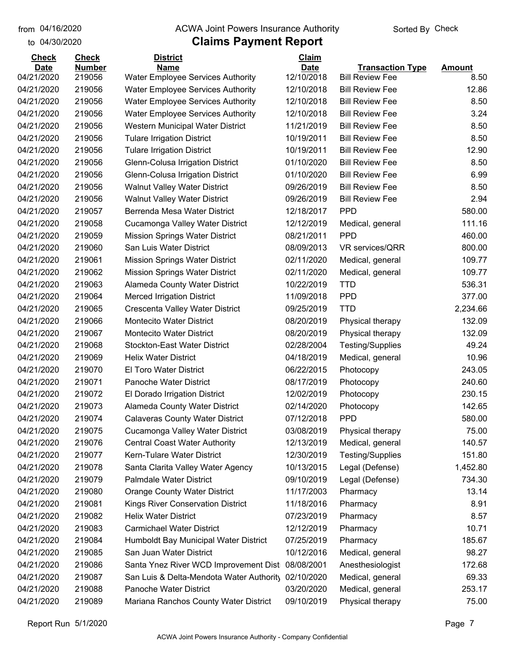#### from 04/16/2020 **The COVA Solic Act Act Authority** From 04/16/2020 **Sorted By Check**

| <b>Check</b> | <b>Check</b>  | <b>District</b>                          | Claim       |                         |               |
|--------------|---------------|------------------------------------------|-------------|-------------------------|---------------|
| <b>Date</b>  | <b>Number</b> | <b>Name</b>                              | <b>Date</b> | <b>Transaction Type</b> | <b>Amount</b> |
| 04/21/2020   | 219056        | <b>Water Employee Services Authority</b> | 12/10/2018  | <b>Bill Review Fee</b>  | 8.50          |
| 04/21/2020   | 219056        | <b>Water Employee Services Authority</b> | 12/10/2018  | <b>Bill Review Fee</b>  | 12.86         |
| 04/21/2020   | 219056        | <b>Water Employee Services Authority</b> | 12/10/2018  | <b>Bill Review Fee</b>  | 8.50          |
| 04/21/2020   | 219056        | <b>Water Employee Services Authority</b> | 12/10/2018  | <b>Bill Review Fee</b>  | 3.24          |
| 04/21/2020   | 219056        | Western Municipal Water District         | 11/21/2019  | <b>Bill Review Fee</b>  | 8.50          |
| 04/21/2020   | 219056        | <b>Tulare Irrigation District</b>        | 10/19/2011  | <b>Bill Review Fee</b>  | 8.50          |
| 04/21/2020   | 219056        | <b>Tulare Irrigation District</b>        | 10/19/2011  | <b>Bill Review Fee</b>  | 12.90         |
| 04/21/2020   | 219056        | Glenn-Colusa Irrigation District         | 01/10/2020  | <b>Bill Review Fee</b>  | 8.50          |
| 04/21/2020   | 219056        | Glenn-Colusa Irrigation District         | 01/10/2020  | <b>Bill Review Fee</b>  | 6.99          |
| 04/21/2020   | 219056        | <b>Walnut Valley Water District</b>      | 09/26/2019  | <b>Bill Review Fee</b>  | 8.50          |
| 04/21/2020   | 219056        | <b>Walnut Valley Water District</b>      | 09/26/2019  | <b>Bill Review Fee</b>  | 2.94          |
| 04/21/2020   | 219057        | Berrenda Mesa Water District             | 12/18/2017  | <b>PPD</b>              | 580.00        |
| 04/21/2020   | 219058        | Cucamonga Valley Water District          | 12/12/2019  | Medical, general        | 111.16        |
| 04/21/2020   | 219059        | <b>Mission Springs Water District</b>    | 08/21/2011  | <b>PPD</b>              | 460.00        |
| 04/21/2020   | 219060        | San Luis Water District                  | 08/09/2013  | <b>VR services/QRR</b>  | 800.00        |
| 04/21/2020   | 219061        | <b>Mission Springs Water District</b>    | 02/11/2020  | Medical, general        | 109.77        |
| 04/21/2020   | 219062        | <b>Mission Springs Water District</b>    | 02/11/2020  | Medical, general        | 109.77        |
| 04/21/2020   | 219063        | Alameda County Water District            | 10/22/2019  | <b>TTD</b>              | 536.31        |
| 04/21/2020   | 219064        | <b>Merced Irrigation District</b>        | 11/09/2018  | <b>PPD</b>              | 377.00        |
| 04/21/2020   | 219065        | Crescenta Valley Water District          | 09/25/2019  | <b>TTD</b>              | 2,234.66      |
| 04/21/2020   | 219066        | <b>Montecito Water District</b>          | 08/20/2019  | Physical therapy        | 132.09        |
| 04/21/2020   | 219067        | <b>Montecito Water District</b>          | 08/20/2019  | Physical therapy        | 132.09        |
| 04/21/2020   | 219068        | <b>Stockton-East Water District</b>      | 02/28/2004  | <b>Testing/Supplies</b> | 49.24         |
| 04/21/2020   | 219069        | <b>Helix Water District</b>              | 04/18/2019  | Medical, general        | 10.96         |
| 04/21/2020   | 219070        | El Toro Water District                   | 06/22/2015  | Photocopy               | 243.05        |
| 04/21/2020   | 219071        | Panoche Water District                   | 08/17/2019  | Photocopy               | 240.60        |
| 04/21/2020   | 219072        | El Dorado Irrigation District            | 12/02/2019  | Photocopy               | 230.15        |
| 04/21/2020   | 219073        | Alameda County Water District            | 02/14/2020  | Photocopy               | 142.65        |
| 04/21/2020   | 219074        | <b>Calaveras County Water District</b>   | 07/12/2018  | <b>PPD</b>              | 580.00        |
| 04/21/2020   | 219075        | Cucamonga Valley Water District          | 03/08/2019  | Physical therapy        | 75.00         |
| 04/21/2020   | 219076        | <b>Central Coast Water Authority</b>     | 12/13/2019  | Medical, general        | 140.57        |
| 04/21/2020   | 219077        | Kern-Tulare Water District               | 12/30/2019  | <b>Testing/Supplies</b> | 151.80        |
| 04/21/2020   | 219078        | Santa Clarita Valley Water Agency        | 10/13/2015  | Legal (Defense)         | 1,452.80      |
| 04/21/2020   | 219079        | <b>Palmdale Water District</b>           | 09/10/2019  | Legal (Defense)         | 734.30        |
| 04/21/2020   | 219080        | <b>Orange County Water District</b>      | 11/17/2003  | Pharmacy                | 13.14         |
| 04/21/2020   | 219081        | <b>Kings River Conservation District</b> | 11/18/2016  | Pharmacy                | 8.91          |
| 04/21/2020   | 219082        | <b>Helix Water District</b>              | 07/23/2019  | Pharmacy                | 8.57          |
| 04/21/2020   | 219083        | <b>Carmichael Water District</b>         | 12/12/2019  | Pharmacy                | 10.71         |
| 04/21/2020   | 219084        | Humboldt Bay Municipal Water District    | 07/25/2019  | Pharmacy                | 185.67        |
| 04/21/2020   | 219085        | San Juan Water District                  | 10/12/2016  | Medical, general        | 98.27         |
| 04/21/2020   | 219086        | Santa Ynez River WCD Improvement Dist    | 08/08/2001  | Anesthesiologist        | 172.68        |
| 04/21/2020   | 219087        | San Luis & Delta-Mendota Water Authority | 02/10/2020  | Medical, general        | 69.33         |
| 04/21/2020   | 219088        | Panoche Water District                   | 03/20/2020  | Medical, general        | 253.17        |
| 04/21/2020   | 219089        | Mariana Ranchos County Water District    | 09/10/2019  | Physical therapy        | 75.00         |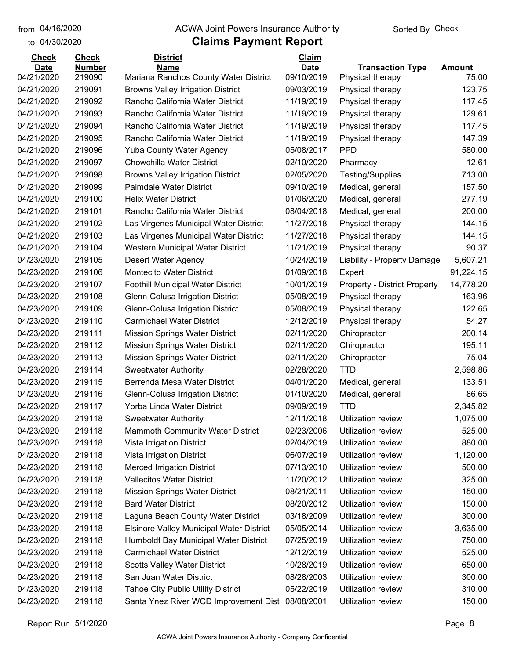#### from 04/16/2020 **The COVA Solic Act Act Authority** From 04/16/2020 **Sorted By Check**

| <b>Check</b> | <b>Check</b>  | <b>District</b>                                  | <b>Claim</b> |                                     |           |
|--------------|---------------|--------------------------------------------------|--------------|-------------------------------------|-----------|
| <b>Date</b>  | <b>Number</b> | <b>Name</b>                                      | <b>Date</b>  | <b>Transaction Type</b>             | Amount    |
| 04/21/2020   | 219090        | Mariana Ranchos County Water District            | 09/10/2019   | Physical therapy                    | 75.00     |
| 04/21/2020   | 219091        | <b>Browns Valley Irrigation District</b>         | 09/03/2019   | Physical therapy                    | 123.75    |
| 04/21/2020   | 219092        | Rancho California Water District                 | 11/19/2019   | Physical therapy                    | 117.45    |
| 04/21/2020   | 219093        | Rancho California Water District                 | 11/19/2019   | Physical therapy                    | 129.61    |
| 04/21/2020   | 219094        | Rancho California Water District                 | 11/19/2019   | Physical therapy                    | 117.45    |
| 04/21/2020   | 219095        | Rancho California Water District                 | 11/19/2019   | Physical therapy                    | 147.39    |
| 04/21/2020   | 219096        | <b>Yuba County Water Agency</b>                  | 05/08/2017   | <b>PPD</b>                          | 580.00    |
| 04/21/2020   | 219097        | <b>Chowchilla Water District</b>                 | 02/10/2020   | Pharmacy                            | 12.61     |
| 04/21/2020   | 219098        | <b>Browns Valley Irrigation District</b>         | 02/05/2020   | Testing/Supplies                    | 713.00    |
| 04/21/2020   | 219099        | <b>Palmdale Water District</b>                   | 09/10/2019   | Medical, general                    | 157.50    |
| 04/21/2020   | 219100        | <b>Helix Water District</b>                      | 01/06/2020   | Medical, general                    | 277.19    |
| 04/21/2020   | 219101        | Rancho California Water District                 | 08/04/2018   | Medical, general                    | 200.00    |
| 04/21/2020   | 219102        | Las Virgenes Municipal Water District            | 11/27/2018   | Physical therapy                    | 144.15    |
| 04/21/2020   | 219103        | Las Virgenes Municipal Water District            | 11/27/2018   | Physical therapy                    | 144.15    |
| 04/21/2020   | 219104        | Western Municipal Water District                 | 11/21/2019   | Physical therapy                    | 90.37     |
| 04/23/2020   | 219105        | Desert Water Agency                              | 10/24/2019   | Liability - Property Damage         | 5,607.21  |
| 04/23/2020   | 219106        | <b>Montecito Water District</b>                  | 01/09/2018   | Expert                              | 91,224.15 |
| 04/23/2020   | 219107        | Foothill Municipal Water District                | 10/01/2019   | <b>Property - District Property</b> | 14,778.20 |
| 04/23/2020   | 219108        | Glenn-Colusa Irrigation District                 | 05/08/2019   | Physical therapy                    | 163.96    |
| 04/23/2020   | 219109        | Glenn-Colusa Irrigation District                 | 05/08/2019   | Physical therapy                    | 122.65    |
| 04/23/2020   | 219110        | <b>Carmichael Water District</b>                 | 12/12/2019   | Physical therapy                    | 54.27     |
| 04/23/2020   | 219111        | <b>Mission Springs Water District</b>            | 02/11/2020   | Chiropractor                        | 200.14    |
| 04/23/2020   | 219112        | <b>Mission Springs Water District</b>            | 02/11/2020   | Chiropractor                        | 195.11    |
| 04/23/2020   | 219113        | <b>Mission Springs Water District</b>            | 02/11/2020   | Chiropractor                        | 75.04     |
| 04/23/2020   | 219114        | <b>Sweetwater Authority</b>                      | 02/28/2020   | <b>TTD</b>                          | 2,598.86  |
| 04/23/2020   | 219115        | Berrenda Mesa Water District                     | 04/01/2020   | Medical, general                    | 133.51    |
| 04/23/2020   | 219116        | Glenn-Colusa Irrigation District                 | 01/10/2020   | Medical, general                    | 86.65     |
| 04/23/2020   | 219117        | Yorba Linda Water District                       | 09/09/2019   | <b>TTD</b>                          | 2,345.82  |
| 04/23/2020   | 219118        | <b>Sweetwater Authority</b>                      | 12/11/2018   | Utilization review                  | 1,075.00  |
| 04/23/2020   | 219118        | <b>Mammoth Community Water District</b>          | 02/23/2006   | Utilization review                  | 525.00    |
| 04/23/2020   | 219118        | Vista Irrigation District                        | 02/04/2019   | Utilization review                  | 880.00    |
| 04/23/2020   | 219118        | Vista Irrigation District                        | 06/07/2019   | Utilization review                  | 1,120.00  |
| 04/23/2020   | 219118        | <b>Merced Irrigation District</b>                | 07/13/2010   | Utilization review                  | 500.00    |
| 04/23/2020   | 219118        | <b>Vallecitos Water District</b>                 | 11/20/2012   | Utilization review                  | 325.00    |
| 04/23/2020   | 219118        | <b>Mission Springs Water District</b>            | 08/21/2011   | Utilization review                  | 150.00    |
| 04/23/2020   | 219118        | <b>Bard Water District</b>                       | 08/20/2012   | Utilization review                  | 150.00    |
| 04/23/2020   | 219118        | Laguna Beach County Water District               | 03/18/2009   | Utilization review                  | 300.00    |
| 04/23/2020   | 219118        | <b>Elsinore Valley Municipal Water District</b>  | 05/05/2014   | Utilization review                  | 3,635.00  |
| 04/23/2020   | 219118        | Humboldt Bay Municipal Water District            | 07/25/2019   | Utilization review                  | 750.00    |
| 04/23/2020   | 219118        | <b>Carmichael Water District</b>                 | 12/12/2019   | Utilization review                  | 525.00    |
| 04/23/2020   | 219118        | <b>Scotts Valley Water District</b>              | 10/28/2019   | Utilization review                  | 650.00    |
| 04/23/2020   | 219118        | San Juan Water District                          | 08/28/2003   | Utilization review                  | 300.00    |
| 04/23/2020   | 219118        | <b>Tahoe City Public Utility District</b>        | 05/22/2019   | Utilization review                  | 310.00    |
| 04/23/2020   | 219118        | Santa Ynez River WCD Improvement Dist 08/08/2001 |              | Utilization review                  | 150.00    |
|              |               |                                                  |              |                                     |           |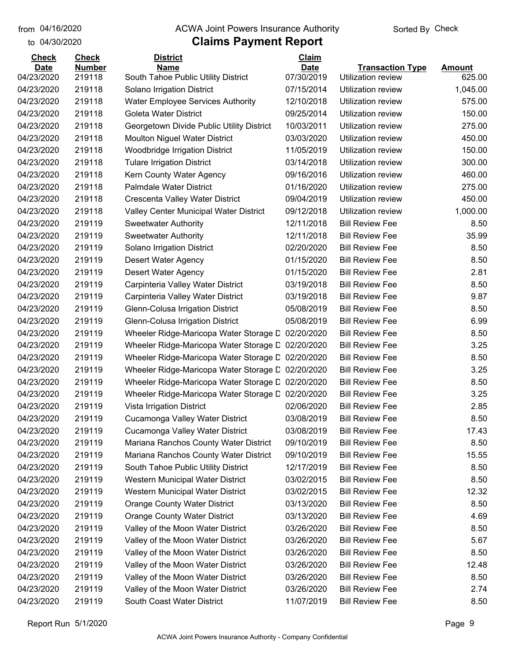#### from 04/16/2020 **The COVA Solic Act Act Authority** From 04/16/2020 **Sorted By Check**

#### to 04/30/2020

| <b>Check</b> | <b>Check</b>  | <b>District</b>                                   | Claim       |                         |               |
|--------------|---------------|---------------------------------------------------|-------------|-------------------------|---------------|
| <b>Date</b>  | <b>Number</b> | <b>Name</b>                                       | <b>Date</b> | <b>Transaction Type</b> | <b>Amount</b> |
| 04/23/2020   | 219118        | South Tahoe Public Utility District               | 07/30/2019  | Utilization review      | 625.00        |
| 04/23/2020   | 219118        | Solano Irrigation District                        | 07/15/2014  | Utilization review      | 1,045.00      |
| 04/23/2020   | 219118        | <b>Water Employee Services Authority</b>          | 12/10/2018  | Utilization review      | 575.00        |
| 04/23/2020   | 219118        | Goleta Water District                             | 09/25/2014  | Utilization review      | 150.00        |
| 04/23/2020   | 219118        | Georgetown Divide Public Utility District         | 10/03/2011  | Utilization review      | 275.00        |
| 04/23/2020   | 219118        | <b>Moulton Niguel Water District</b>              | 03/03/2020  | Utilization review      | 450.00        |
| 04/23/2020   | 219118        | Woodbridge Irrigation District                    | 11/05/2019  | Utilization review      | 150.00        |
| 04/23/2020   | 219118        | <b>Tulare Irrigation District</b>                 | 03/14/2018  | Utilization review      | 300.00        |
| 04/23/2020   | 219118        | Kern County Water Agency                          | 09/16/2016  | Utilization review      | 460.00        |
| 04/23/2020   | 219118        | <b>Palmdale Water District</b>                    | 01/16/2020  | Utilization review      | 275.00        |
| 04/23/2020   | 219118        | Crescenta Valley Water District                   | 09/04/2019  | Utilization review      | 450.00        |
| 04/23/2020   | 219118        | Valley Center Municipal Water District            | 09/12/2018  | Utilization review      | 1,000.00      |
| 04/23/2020   | 219119        | <b>Sweetwater Authority</b>                       | 12/11/2018  | <b>Bill Review Fee</b>  | 8.50          |
| 04/23/2020   | 219119        | <b>Sweetwater Authority</b>                       | 12/11/2018  | <b>Bill Review Fee</b>  | 35.99         |
| 04/23/2020   | 219119        | Solano Irrigation District                        | 02/20/2020  | <b>Bill Review Fee</b>  | 8.50          |
| 04/23/2020   | 219119        | Desert Water Agency                               | 01/15/2020  | <b>Bill Review Fee</b>  | 8.50          |
| 04/23/2020   | 219119        | Desert Water Agency                               | 01/15/2020  | <b>Bill Review Fee</b>  | 2.81          |
| 04/23/2020   | 219119        | Carpinteria Valley Water District                 | 03/19/2018  | <b>Bill Review Fee</b>  | 8.50          |
| 04/23/2020   | 219119        | Carpinteria Valley Water District                 | 03/19/2018  | <b>Bill Review Fee</b>  | 9.87          |
| 04/23/2020   | 219119        | Glenn-Colusa Irrigation District                  | 05/08/2019  | <b>Bill Review Fee</b>  | 8.50          |
| 04/23/2020   | 219119        | Glenn-Colusa Irrigation District                  | 05/08/2019  | <b>Bill Review Fee</b>  | 6.99          |
| 04/23/2020   | 219119        | Wheeler Ridge-Maricopa Water Storage D            | 02/20/2020  | <b>Bill Review Fee</b>  | 8.50          |
| 04/23/2020   | 219119        | Wheeler Ridge-Maricopa Water Storage L 02/20/2020 |             | <b>Bill Review Fee</b>  | 3.25          |
| 04/23/2020   | 219119        | Wheeler Ridge-Maricopa Water Storage L 02/20/2020 |             | <b>Bill Review Fee</b>  | 8.50          |
| 04/23/2020   | 219119        | Wheeler Ridge-Maricopa Water Storage C 02/20/2020 |             | <b>Bill Review Fee</b>  | 3.25          |
| 04/23/2020   | 219119        | Wheeler Ridge-Maricopa Water Storage L 02/20/2020 |             | <b>Bill Review Fee</b>  | 8.50          |
| 04/23/2020   | 219119        | Wheeler Ridge-Maricopa Water Storage L 02/20/2020 |             | <b>Bill Review Fee</b>  | 3.25          |
| 04/23/2020   | 219119        | Vista Irrigation District                         | 02/06/2020  | <b>Bill Review Fee</b>  | 2.85          |
| 04/23/2020   | 219119        | Cucamonga Valley Water District                   | 03/08/2019  | <b>Bill Review Fee</b>  | 8.50          |
| 04/23/2020   | 219119        | Cucamonga Valley Water District                   | 03/08/2019  | <b>Bill Review Fee</b>  | 17.43         |
| 04/23/2020   | 219119        | Mariana Ranchos County Water District             | 09/10/2019  | <b>Bill Review Fee</b>  | 8.50          |
| 04/23/2020   | 219119        | Mariana Ranchos County Water District             | 09/10/2019  | <b>Bill Review Fee</b>  | 15.55         |
| 04/23/2020   | 219119        | South Tahoe Public Utility District               | 12/17/2019  | <b>Bill Review Fee</b>  | 8.50          |
| 04/23/2020   | 219119        | Western Municipal Water District                  | 03/02/2015  | <b>Bill Review Fee</b>  | 8.50          |
| 04/23/2020   | 219119        | Western Municipal Water District                  | 03/02/2015  | <b>Bill Review Fee</b>  | 12.32         |
| 04/23/2020   | 219119        | <b>Orange County Water District</b>               | 03/13/2020  | <b>Bill Review Fee</b>  | 8.50          |
| 04/23/2020   | 219119        | <b>Orange County Water District</b>               | 03/13/2020  | <b>Bill Review Fee</b>  | 4.69          |
| 04/23/2020   | 219119        | Valley of the Moon Water District                 | 03/26/2020  | <b>Bill Review Fee</b>  | 8.50          |
| 04/23/2020   | 219119        | Valley of the Moon Water District                 | 03/26/2020  | <b>Bill Review Fee</b>  | 5.67          |
| 04/23/2020   | 219119        | Valley of the Moon Water District                 | 03/26/2020  | <b>Bill Review Fee</b>  | 8.50          |
| 04/23/2020   | 219119        | Valley of the Moon Water District                 | 03/26/2020  | <b>Bill Review Fee</b>  | 12.48         |
| 04/23/2020   | 219119        | Valley of the Moon Water District                 | 03/26/2020  | <b>Bill Review Fee</b>  | 8.50          |
| 04/23/2020   | 219119        | Valley of the Moon Water District                 | 03/26/2020  | <b>Bill Review Fee</b>  | 2.74          |
| 04/23/2020   | 219119        | South Coast Water District                        | 11/07/2019  | <b>Bill Review Fee</b>  | 8.50          |
|              |               |                                                   |             |                         |               |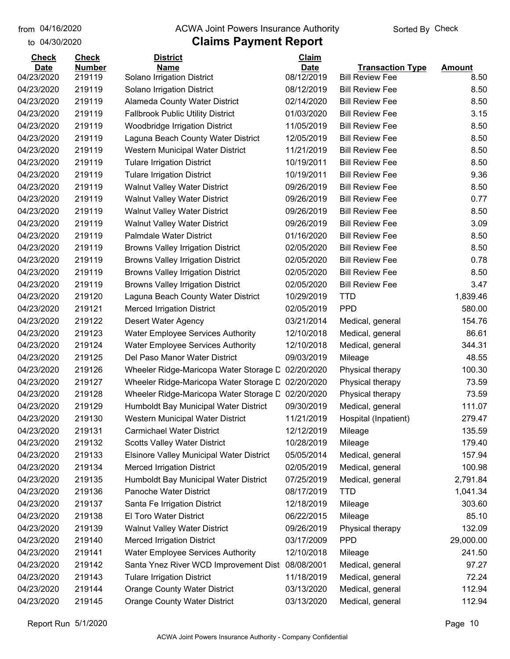#### from 04/16/2020 **The COVA Solic Act Act Authority** From 04/16/2020 **Sorted By Check**

#### to 04/30/2020

| <b>Check</b> | <b>Check</b>  | <b>District</b>                                 | Claim       |                         |               |
|--------------|---------------|-------------------------------------------------|-------------|-------------------------|---------------|
| <b>Date</b>  | <b>Number</b> | <b>Name</b>                                     | <b>Date</b> | <b>Transaction Type</b> | <b>Amount</b> |
| 04/23/2020   | 219119        | Solano Irrigation District                      | 08/12/2019  | <b>Bill Review Fee</b>  | 8.50          |
| 04/23/2020   | 219119        | Solano Irrigation District                      | 08/12/2019  | <b>Bill Review Fee</b>  | 8.50          |
| 04/23/2020   | 219119        | <b>Alameda County Water District</b>            | 02/14/2020  | <b>Bill Review Fee</b>  | 8.50          |
| 04/23/2020   | 219119        | <b>Fallbrook Public Utility District</b>        | 01/03/2020  | <b>Bill Review Fee</b>  | 3.15          |
| 04/23/2020   | 219119        | <b>Woodbridge Irrigation District</b>           | 11/05/2019  | <b>Bill Review Fee</b>  | 8.50          |
| 04/23/2020   | 219119        | Laguna Beach County Water District              | 12/05/2019  | <b>Bill Review Fee</b>  | 8.50          |
| 04/23/2020   | 219119        | Western Municipal Water District                | 11/21/2019  | <b>Bill Review Fee</b>  | 8.50          |
| 04/23/2020   | 219119        | <b>Tulare Irrigation District</b>               | 10/19/2011  | <b>Bill Review Fee</b>  | 8.50          |
| 04/23/2020   | 219119        | <b>Tulare Irrigation District</b>               | 10/19/2011  | <b>Bill Review Fee</b>  | 9.36          |
| 04/23/2020   | 219119        | <b>Walnut Valley Water District</b>             | 09/26/2019  | <b>Bill Review Fee</b>  | 8.50          |
| 04/23/2020   | 219119        | <b>Walnut Valley Water District</b>             | 09/26/2019  | <b>Bill Review Fee</b>  | 0.77          |
| 04/23/2020   | 219119        | <b>Walnut Valley Water District</b>             | 09/26/2019  | <b>Bill Review Fee</b>  | 8.50          |
| 04/23/2020   | 219119        | <b>Walnut Valley Water District</b>             | 09/26/2019  | <b>Bill Review Fee</b>  | 3.09          |
| 04/23/2020   | 219119        | <b>Palmdale Water District</b>                  | 01/16/2020  | <b>Bill Review Fee</b>  | 8.50          |
| 04/23/2020   | 219119        | <b>Browns Valley Irrigation District</b>        | 02/05/2020  | <b>Bill Review Fee</b>  | 8.50          |
| 04/23/2020   | 219119        | <b>Browns Valley Irrigation District</b>        | 02/05/2020  | <b>Bill Review Fee</b>  | 0.78          |
| 04/23/2020   | 219119        | <b>Browns Valley Irrigation District</b>        | 02/05/2020  | <b>Bill Review Fee</b>  | 8.50          |
| 04/23/2020   | 219119        | <b>Browns Valley Irrigation District</b>        | 02/05/2020  | <b>Bill Review Fee</b>  | 3.47          |
| 04/23/2020   | 219120        | Laguna Beach County Water District              | 10/29/2019  | <b>TTD</b>              | 1,839.46      |
| 04/23/2020   | 219121        | <b>Merced Irrigation District</b>               | 02/05/2019  | <b>PPD</b>              | 580.00        |
| 04/23/2020   | 219122        | <b>Desert Water Agency</b>                      | 03/21/2014  | Medical, general        | 154.76        |
| 04/23/2020   | 219123        | <b>Water Employee Services Authority</b>        | 12/10/2018  | Medical, general        | 86.61         |
| 04/23/2020   | 219124        | <b>Water Employee Services Authority</b>        | 12/10/2018  | Medical, general        | 344.31        |
| 04/23/2020   | 219125        | Del Paso Manor Water District                   | 09/03/2019  | Mileage                 | 48.55         |
| 04/23/2020   | 219126        | Wheeler Ridge-Maricopa Water Storage D          | 02/20/2020  | Physical therapy        | 100.30        |
| 04/23/2020   | 219127        | Wheeler Ridge-Maricopa Water Storage D          | 02/20/2020  | Physical therapy        | 73.59         |
| 04/23/2020   | 219128        | Wheeler Ridge-Maricopa Water Storage D          | 02/20/2020  | Physical therapy        | 73.59         |
| 04/23/2020   | 219129        | Humboldt Bay Municipal Water District           | 09/30/2019  | Medical, general        | 111.07        |
| 04/23/2020   | 219130        | Western Municipal Water District                | 11/21/2019  | Hospital (Inpatient)    | 279.47        |
| 04/23/2020   | 219131        | <b>Carmichael Water District</b>                | 12/12/2019  | Mileage                 | 135.59        |
| 04/23/2020   | 219132        | <b>Scotts Valley Water District</b>             | 10/28/2019  | Mileage                 | 179.40        |
| 04/23/2020   | 219133        | <b>Elsinore Valley Municipal Water District</b> | 05/05/2014  | Medical, general        | 157.94        |
| 04/23/2020   | 219134        | <b>Merced Irrigation District</b>               | 02/05/2019  | Medical, general        | 100.98        |
| 04/23/2020   | 219135        | Humboldt Bay Municipal Water District           | 07/25/2019  | Medical, general        | 2,791.84      |
| 04/23/2020   | 219136        | Panoche Water District                          | 08/17/2019  | <b>TTD</b>              | 1,041.34      |
| 04/23/2020   | 219137        | Santa Fe Irrigation District                    | 12/18/2019  | Mileage                 | 303.60        |
| 04/23/2020   | 219138        | <b>El Toro Water District</b>                   | 06/22/2015  | Mileage                 | 85.10         |
| 04/23/2020   | 219139        | <b>Walnut Valley Water District</b>             | 09/26/2019  | Physical therapy        | 132.09        |
| 04/23/2020   | 219140        | <b>Merced Irrigation District</b>               | 03/17/2009  | <b>PPD</b>              | 29,000.00     |
| 04/23/2020   | 219141        | Water Employee Services Authority               | 12/10/2018  | Mileage                 | 241.50        |
| 04/23/2020   | 219142        | Santa Ynez River WCD Improvement Dist           | 08/08/2001  | Medical, general        | 97.27         |
| 04/23/2020   | 219143        | <b>Tulare Irrigation District</b>               | 11/18/2019  | Medical, general        | 72.24         |
| 04/23/2020   | 219144        | <b>Orange County Water District</b>             | 03/13/2020  | Medical, general        | 112.94        |
| 04/23/2020   | 219145        | <b>Orange County Water District</b>             | 03/13/2020  | Medical, general        | 112.94        |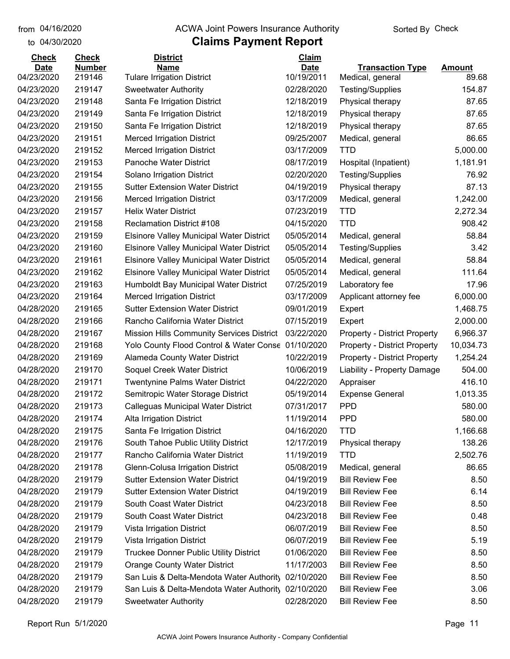#### from 04/16/2020 **The COVA Solic Act Act Authority** From 04/16/2020 **Sorted By Check**

#### to 04/30/2020

| <b>Check</b> | <b>Check</b>  | <b>District</b>                                    | Claim       |                                     |               |
|--------------|---------------|----------------------------------------------------|-------------|-------------------------------------|---------------|
| <b>Date</b>  | <b>Number</b> | <b>Name</b>                                        | <b>Date</b> | <b>Transaction Type</b>             | <b>Amount</b> |
| 04/23/2020   | 219146        | <b>Tulare Irrigation District</b>                  | 10/19/2011  | Medical, general                    | 89.68         |
| 04/23/2020   | 219147        | <b>Sweetwater Authority</b>                        | 02/28/2020  | <b>Testing/Supplies</b>             | 154.87        |
| 04/23/2020   | 219148        | Santa Fe Irrigation District                       | 12/18/2019  | Physical therapy                    | 87.65         |
| 04/23/2020   | 219149        | Santa Fe Irrigation District                       | 12/18/2019  | Physical therapy                    | 87.65         |
| 04/23/2020   | 219150        | Santa Fe Irrigation District                       | 12/18/2019  | Physical therapy                    | 87.65         |
| 04/23/2020   | 219151        | <b>Merced Irrigation District</b>                  | 09/25/2007  | Medical, general                    | 86.65         |
| 04/23/2020   | 219152        | <b>Merced Irrigation District</b>                  | 03/17/2009  | <b>TTD</b>                          | 5,000.00      |
| 04/23/2020   | 219153        | <b>Panoche Water District</b>                      | 08/17/2019  | Hospital (Inpatient)                | 1,181.91      |
| 04/23/2020   | 219154        | Solano Irrigation District                         | 02/20/2020  | <b>Testing/Supplies</b>             | 76.92         |
| 04/23/2020   | 219155        | <b>Sutter Extension Water District</b>             | 04/19/2019  | Physical therapy                    | 87.13         |
| 04/23/2020   | 219156        | <b>Merced Irrigation District</b>                  | 03/17/2009  | Medical, general                    | 1,242.00      |
| 04/23/2020   | 219157        | <b>Helix Water District</b>                        | 07/23/2019  | <b>TTD</b>                          | 2,272.34      |
| 04/23/2020   | 219158        | <b>Reclamation District #108</b>                   | 04/15/2020  | <b>TTD</b>                          | 908.42        |
| 04/23/2020   | 219159        | Elsinore Valley Municipal Water District           | 05/05/2014  | Medical, general                    | 58.84         |
| 04/23/2020   | 219160        | <b>Elsinore Valley Municipal Water District</b>    | 05/05/2014  | <b>Testing/Supplies</b>             | 3.42          |
| 04/23/2020   | 219161        | Elsinore Valley Municipal Water District           | 05/05/2014  | Medical, general                    | 58.84         |
| 04/23/2020   | 219162        | <b>Elsinore Valley Municipal Water District</b>    | 05/05/2014  | Medical, general                    | 111.64        |
| 04/23/2020   | 219163        | Humboldt Bay Municipal Water District              | 07/25/2019  | Laboratory fee                      | 17.96         |
| 04/23/2020   | 219164        | <b>Merced Irrigation District</b>                  | 03/17/2009  | Applicant attorney fee              | 6,000.00      |
| 04/28/2020   | 219165        | <b>Sutter Extension Water District</b>             | 09/01/2019  | Expert                              | 1,468.75      |
| 04/28/2020   | 219166        | Rancho California Water District                   | 07/15/2019  | Expert                              | 2,000.00      |
| 04/28/2020   | 219167        | <b>Mission Hills Community Services District</b>   | 03/22/2020  | <b>Property - District Property</b> | 6,966.37      |
| 04/28/2020   | 219168        | Yolo County Flood Control & Water Conse 01/10/2020 |             | <b>Property - District Property</b> | 10,034.73     |
| 04/28/2020   | 219169        | Alameda County Water District                      | 10/22/2019  | <b>Property - District Property</b> | 1,254.24      |
| 04/28/2020   | 219170        | Soquel Creek Water District                        | 10/06/2019  | Liability - Property Damage         | 504.00        |
| 04/28/2020   | 219171        | Twentynine Palms Water District                    | 04/22/2020  | Appraiser                           | 416.10        |
| 04/28/2020   | 219172        | Semitropic Water Storage District                  | 05/19/2014  | <b>Expense General</b>              | 1,013.35      |
| 04/28/2020   | 219173        | Calleguas Municipal Water District                 | 07/31/2017  | <b>PPD</b>                          | 580.00        |
| 04/28/2020   | 219174        | <b>Alta Irrigation District</b>                    | 11/19/2014  | <b>PPD</b>                          | 580.00        |
| 04/28/2020   | 219175        | Santa Fe Irrigation District                       | 04/16/2020  | <b>TTD</b>                          | 1,166.68      |
| 04/28/2020   | 219176        | South Tahoe Public Utility District                | 12/17/2019  | Physical therapy                    | 138.26        |
| 04/28/2020   | 219177        | Rancho California Water District                   | 11/19/2019  | <b>TTD</b>                          | 2,502.76      |
| 04/28/2020   | 219178        | Glenn-Colusa Irrigation District                   | 05/08/2019  | Medical, general                    | 86.65         |
| 04/28/2020   | 219179        | <b>Sutter Extension Water District</b>             | 04/19/2019  | <b>Bill Review Fee</b>              | 8.50          |
| 04/28/2020   | 219179        | <b>Sutter Extension Water District</b>             | 04/19/2019  | <b>Bill Review Fee</b>              | 6.14          |
| 04/28/2020   | 219179        | South Coast Water District                         | 04/23/2018  | <b>Bill Review Fee</b>              | 8.50          |
| 04/28/2020   | 219179        | South Coast Water District                         | 04/23/2018  | <b>Bill Review Fee</b>              | 0.48          |
| 04/28/2020   | 219179        | Vista Irrigation District                          | 06/07/2019  | <b>Bill Review Fee</b>              | 8.50          |
| 04/28/2020   | 219179        | Vista Irrigation District                          | 06/07/2019  | <b>Bill Review Fee</b>              | 5.19          |
| 04/28/2020   | 219179        | Truckee Donner Public Utility District             | 01/06/2020  | <b>Bill Review Fee</b>              | 8.50          |
| 04/28/2020   | 219179        | <b>Orange County Water District</b>                | 11/17/2003  | <b>Bill Review Fee</b>              | 8.50          |
| 04/28/2020   | 219179        | San Luis & Delta-Mendota Water Authority           | 02/10/2020  | <b>Bill Review Fee</b>              | 8.50          |
| 04/28/2020   | 219179        | San Luis & Delta-Mendota Water Authority           | 02/10/2020  | <b>Bill Review Fee</b>              | 3.06          |
| 04/28/2020   | 219179        | <b>Sweetwater Authority</b>                        | 02/28/2020  | <b>Bill Review Fee</b>              | 8.50          |
|              |               |                                                    |             |                                     |               |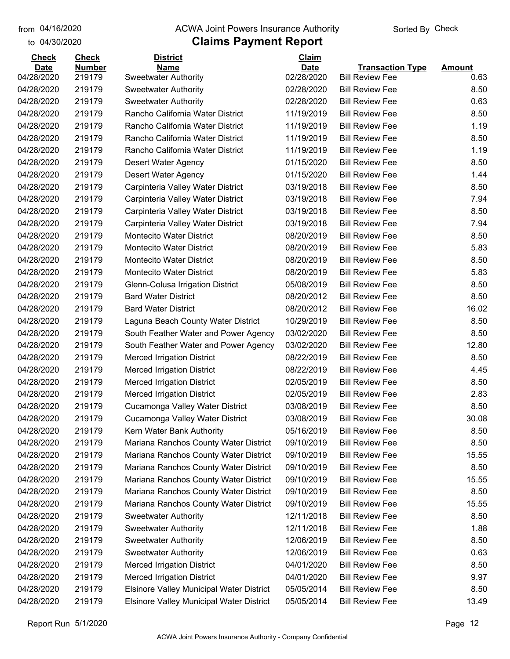to 04/30/2020 from 04/16/2020

#### from 04/16/2020 **The COVA Solic Act Act Authority** From 04/16/2020 **Sorted By Check**

#### **Claims Payment Report**

# **Date Number Name Date Transaction Type Amount Check Check District Claim** 04/28/2020 219179 Sweetwater Authority 02/28/2020 Bill Review Fee 0.63 04/28/2020 219179 Sweetwater Authority 02/28/2020 Bill Review Fee 8.50 04/28/2020 219179 Sweetwater Authority 02/28/2020 Bill Review Fee 0.63 04/28/2020 219179 Rancho California Water District 11/19/2019 Bill Review Fee 8.50

| 04/28/2020 | 219179 | Rancho California Water District                | 11/19/2019 | <b>Bill Review Fee</b> | 1.19  |
|------------|--------|-------------------------------------------------|------------|------------------------|-------|
| 04/28/2020 | 219179 | Rancho California Water District                | 11/19/2019 | <b>Bill Review Fee</b> | 8.50  |
| 04/28/2020 | 219179 | Rancho California Water District                | 11/19/2019 | <b>Bill Review Fee</b> | 1.19  |
| 04/28/2020 | 219179 | Desert Water Agency                             | 01/15/2020 | <b>Bill Review Fee</b> | 8.50  |
| 04/28/2020 | 219179 | <b>Desert Water Agency</b>                      | 01/15/2020 | <b>Bill Review Fee</b> | 1.44  |
| 04/28/2020 | 219179 | Carpinteria Valley Water District               | 03/19/2018 | <b>Bill Review Fee</b> | 8.50  |
| 04/28/2020 | 219179 | Carpinteria Valley Water District               | 03/19/2018 | <b>Bill Review Fee</b> | 7.94  |
| 04/28/2020 | 219179 | Carpinteria Valley Water District               | 03/19/2018 | <b>Bill Review Fee</b> | 8.50  |
| 04/28/2020 | 219179 | Carpinteria Valley Water District               | 03/19/2018 | <b>Bill Review Fee</b> | 7.94  |
| 04/28/2020 | 219179 | Montecito Water District                        | 08/20/2019 | <b>Bill Review Fee</b> | 8.50  |
| 04/28/2020 | 219179 | <b>Montecito Water District</b>                 | 08/20/2019 | <b>Bill Review Fee</b> | 5.83  |
| 04/28/2020 | 219179 | <b>Montecito Water District</b>                 | 08/20/2019 | <b>Bill Review Fee</b> | 8.50  |
| 04/28/2020 | 219179 | Montecito Water District                        | 08/20/2019 | <b>Bill Review Fee</b> | 5.83  |
| 04/28/2020 | 219179 | Glenn-Colusa Irrigation District                | 05/08/2019 | <b>Bill Review Fee</b> | 8.50  |
| 04/28/2020 | 219179 | <b>Bard Water District</b>                      | 08/20/2012 | <b>Bill Review Fee</b> | 8.50  |
| 04/28/2020 | 219179 | <b>Bard Water District</b>                      | 08/20/2012 | <b>Bill Review Fee</b> | 16.02 |
| 04/28/2020 | 219179 | Laguna Beach County Water District              | 10/29/2019 | <b>Bill Review Fee</b> | 8.50  |
| 04/28/2020 | 219179 | South Feather Water and Power Agency            | 03/02/2020 | <b>Bill Review Fee</b> | 8.50  |
| 04/28/2020 | 219179 | South Feather Water and Power Agency            | 03/02/2020 | <b>Bill Review Fee</b> | 12.80 |
| 04/28/2020 | 219179 | <b>Merced Irrigation District</b>               | 08/22/2019 | <b>Bill Review Fee</b> | 8.50  |
| 04/28/2020 | 219179 | <b>Merced Irrigation District</b>               | 08/22/2019 | <b>Bill Review Fee</b> | 4.45  |
| 04/28/2020 | 219179 | <b>Merced Irrigation District</b>               | 02/05/2019 | <b>Bill Review Fee</b> | 8.50  |
| 04/28/2020 | 219179 | <b>Merced Irrigation District</b>               | 02/05/2019 | <b>Bill Review Fee</b> | 2.83  |
| 04/28/2020 | 219179 | Cucamonga Valley Water District                 | 03/08/2019 | <b>Bill Review Fee</b> | 8.50  |
| 04/28/2020 | 219179 | Cucamonga Valley Water District                 | 03/08/2019 | <b>Bill Review Fee</b> | 30.08 |
| 04/28/2020 | 219179 | Kern Water Bank Authority                       | 05/16/2019 | <b>Bill Review Fee</b> | 8.50  |
| 04/28/2020 | 219179 | Mariana Ranchos County Water District           | 09/10/2019 | <b>Bill Review Fee</b> | 8.50  |
| 04/28/2020 | 219179 | Mariana Ranchos County Water District           | 09/10/2019 | <b>Bill Review Fee</b> | 15.55 |
| 04/28/2020 | 219179 | Mariana Ranchos County Water District           | 09/10/2019 | <b>Bill Review Fee</b> | 8.50  |
| 04/28/2020 | 219179 | Mariana Ranchos County Water District           | 09/10/2019 | <b>Bill Review Fee</b> | 15.55 |
| 04/28/2020 | 219179 | Mariana Ranchos County Water District           | 09/10/2019 | <b>Bill Review Fee</b> | 8.50  |
| 04/28/2020 | 219179 | Mariana Ranchos County Water District           | 09/10/2019 | <b>Bill Review Fee</b> | 15.55 |
| 04/28/2020 | 219179 | <b>Sweetwater Authority</b>                     | 12/11/2018 | <b>Bill Review Fee</b> | 8.50  |
| 04/28/2020 | 219179 | <b>Sweetwater Authority</b>                     | 12/11/2018 | <b>Bill Review Fee</b> | 1.88  |
| 04/28/2020 | 219179 | <b>Sweetwater Authority</b>                     | 12/06/2019 | <b>Bill Review Fee</b> | 8.50  |
| 04/28/2020 | 219179 | <b>Sweetwater Authority</b>                     | 12/06/2019 | <b>Bill Review Fee</b> | 0.63  |
| 04/28/2020 | 219179 | <b>Merced Irrigation District</b>               | 04/01/2020 | <b>Bill Review Fee</b> | 8.50  |
| 04/28/2020 | 219179 | <b>Merced Irrigation District</b>               | 04/01/2020 | <b>Bill Review Fee</b> | 9.97  |
| 04/28/2020 | 219179 | <b>Elsinore Valley Municipal Water District</b> | 05/05/2014 | <b>Bill Review Fee</b> | 8.50  |
| 04/28/2020 | 219179 | <b>Elsinore Valley Municipal Water District</b> | 05/05/2014 | <b>Bill Review Fee</b> | 13.49 |
|            |        |                                                 |            |                        |       |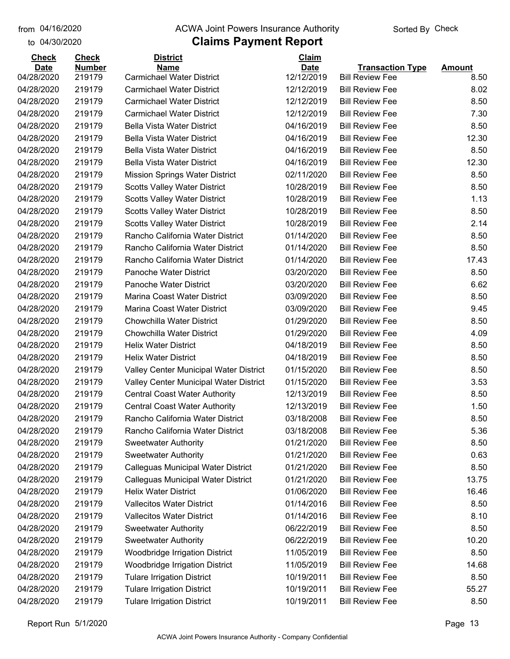#### from 04/16/2020 **The COVA Solic Act Act Authority** From 04/16/2020 **Sorted By Check**

### **Claims Payment Report**

| <b>Check</b> | <b>Check</b>  | <b>District</b>                                                      | Claim                    |                         |               |
|--------------|---------------|----------------------------------------------------------------------|--------------------------|-------------------------|---------------|
| <b>Date</b>  | <b>Number</b> | <b>Name</b>                                                          | <b>Date</b>              | <b>Transaction Type</b> | <b>Amount</b> |
| 04/28/2020   | 219179        | <b>Carmichael Water District</b><br><b>Carmichael Water District</b> | 12/12/2019<br>12/12/2019 | <b>Bill Review Fee</b>  | 8.50          |
| 04/28/2020   | 219179        |                                                                      |                          | <b>Bill Review Fee</b>  | 8.02          |
| 04/28/2020   | 219179        | <b>Carmichael Water District</b>                                     | 12/12/2019               | <b>Bill Review Fee</b>  | 8.50          |
| 04/28/2020   | 219179        | <b>Carmichael Water District</b>                                     | 12/12/2019               | <b>Bill Review Fee</b>  | 7.30          |
| 04/28/2020   | 219179        | <b>Bella Vista Water District</b>                                    | 04/16/2019               | <b>Bill Review Fee</b>  | 8.50          |
| 04/28/2020   | 219179        | <b>Bella Vista Water District</b>                                    | 04/16/2019               | <b>Bill Review Fee</b>  | 12.30         |
| 04/28/2020   | 219179        | <b>Bella Vista Water District</b>                                    | 04/16/2019               | <b>Bill Review Fee</b>  | 8.50          |
| 04/28/2020   | 219179        | <b>Bella Vista Water District</b>                                    | 04/16/2019               | <b>Bill Review Fee</b>  | 12.30         |
| 04/28/2020   | 219179        | <b>Mission Springs Water District</b>                                | 02/11/2020               | <b>Bill Review Fee</b>  | 8.50          |
| 04/28/2020   | 219179        | <b>Scotts Valley Water District</b>                                  | 10/28/2019               | <b>Bill Review Fee</b>  | 8.50          |
| 04/28/2020   | 219179        | <b>Scotts Valley Water District</b>                                  | 10/28/2019               | <b>Bill Review Fee</b>  | 1.13          |
| 04/28/2020   | 219179        | <b>Scotts Valley Water District</b>                                  | 10/28/2019               | <b>Bill Review Fee</b>  | 8.50          |
| 04/28/2020   | 219179        | <b>Scotts Valley Water District</b>                                  | 10/28/2019               | <b>Bill Review Fee</b>  | 2.14          |
| 04/28/2020   | 219179        | Rancho California Water District                                     | 01/14/2020               | <b>Bill Review Fee</b>  | 8.50          |
| 04/28/2020   | 219179        | Rancho California Water District                                     | 01/14/2020               | <b>Bill Review Fee</b>  | 8.50          |
| 04/28/2020   | 219179        | Rancho California Water District                                     | 01/14/2020               | <b>Bill Review Fee</b>  | 17.43         |
| 04/28/2020   | 219179        | Panoche Water District                                               | 03/20/2020               | <b>Bill Review Fee</b>  | 8.50          |
| 04/28/2020   | 219179        | Panoche Water District                                               | 03/20/2020               | <b>Bill Review Fee</b>  | 6.62          |
| 04/28/2020   | 219179        | Marina Coast Water District                                          | 03/09/2020               | <b>Bill Review Fee</b>  | 8.50          |
| 04/28/2020   | 219179        | Marina Coast Water District                                          | 03/09/2020               | <b>Bill Review Fee</b>  | 9.45          |
| 04/28/2020   | 219179        | <b>Chowchilla Water District</b>                                     | 01/29/2020               | <b>Bill Review Fee</b>  | 8.50          |
| 04/28/2020   | 219179        | <b>Chowchilla Water District</b>                                     | 01/29/2020               | <b>Bill Review Fee</b>  | 4.09          |
| 04/28/2020   | 219179        | <b>Helix Water District</b>                                          | 04/18/2019               | <b>Bill Review Fee</b>  | 8.50          |
| 04/28/2020   | 219179        | <b>Helix Water District</b>                                          | 04/18/2019               | <b>Bill Review Fee</b>  | 8.50          |
| 04/28/2020   | 219179        | Valley Center Municipal Water District                               | 01/15/2020               | <b>Bill Review Fee</b>  | 8.50          |
| 04/28/2020   | 219179        | Valley Center Municipal Water District                               | 01/15/2020               | <b>Bill Review Fee</b>  | 3.53          |
| 04/28/2020   | 219179        | <b>Central Coast Water Authority</b>                                 | 12/13/2019               | <b>Bill Review Fee</b>  | 8.50          |
| 04/28/2020   | 219179        | <b>Central Coast Water Authority</b>                                 | 12/13/2019               | <b>Bill Review Fee</b>  | 1.50          |
| 04/28/2020   | 219179        | Rancho California Water District                                     | 03/18/2008               | <b>Bill Review Fee</b>  | 8.50          |
| 04/28/2020   | 219179        | Rancho California Water District                                     | 03/18/2008               | <b>Bill Review Fee</b>  | 5.36          |
| 04/28/2020   | 219179        | <b>Sweetwater Authority</b>                                          | 01/21/2020               | <b>Bill Review Fee</b>  | 8.50          |
| 04/28/2020   | 219179        | <b>Sweetwater Authority</b>                                          | 01/21/2020               | <b>Bill Review Fee</b>  | 0.63          |
| 04/28/2020   | 219179        | Calleguas Municipal Water District                                   | 01/21/2020               | <b>Bill Review Fee</b>  | 8.50          |
| 04/28/2020   | 219179        | Calleguas Municipal Water District                                   | 01/21/2020               | <b>Bill Review Fee</b>  | 13.75         |
| 04/28/2020   | 219179        | <b>Helix Water District</b>                                          | 01/06/2020               | <b>Bill Review Fee</b>  | 16.46         |
| 04/28/2020   | 219179        | <b>Vallecitos Water District</b>                                     | 01/14/2016               | <b>Bill Review Fee</b>  | 8.50          |
| 04/28/2020   | 219179        | <b>Vallecitos Water District</b>                                     | 01/14/2016               | <b>Bill Review Fee</b>  | 8.10          |
| 04/28/2020   | 219179        | <b>Sweetwater Authority</b>                                          | 06/22/2019               | <b>Bill Review Fee</b>  | 8.50          |
| 04/28/2020   | 219179        | <b>Sweetwater Authority</b>                                          | 06/22/2019               | <b>Bill Review Fee</b>  | 10.20         |
| 04/28/2020   | 219179        | <b>Woodbridge Irrigation District</b>                                | 11/05/2019               | <b>Bill Review Fee</b>  | 8.50          |
| 04/28/2020   | 219179        | Woodbridge Irrigation District                                       | 11/05/2019               | <b>Bill Review Fee</b>  | 14.68         |
| 04/28/2020   | 219179        | <b>Tulare Irrigation District</b>                                    | 10/19/2011               | <b>Bill Review Fee</b>  | 8.50          |
| 04/28/2020   | 219179        | <b>Tulare Irrigation District</b>                                    | 10/19/2011               | <b>Bill Review Fee</b>  | 55.27         |
| 04/28/2020   | 219179        | <b>Tulare Irrigation District</b>                                    | 10/19/2011               | <b>Bill Review Fee</b>  | 8.50          |
|              |               |                                                                      |                          |                         |               |

Report Run 5/1/2020 Page 13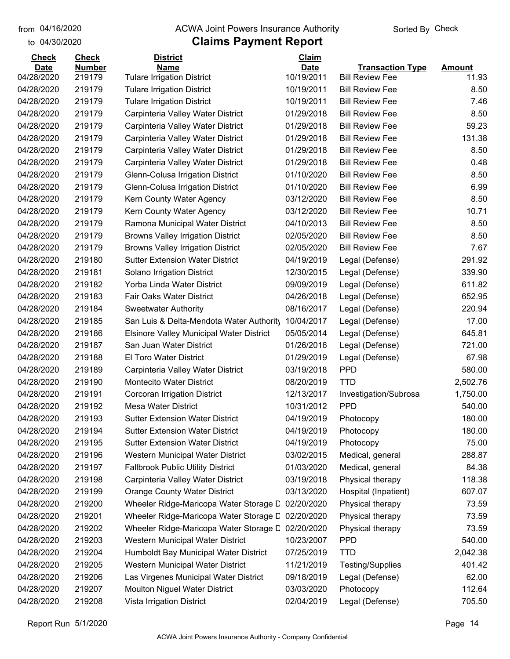#### from 04/16/2020 **The COVA Solic Act Act Authority** From 04/16/2020 **Sorted By Check**

#### to 04/30/2020

| <b>Check</b> | <b>Check</b>  | <b>District</b>                          | Claim       |                         |               |
|--------------|---------------|------------------------------------------|-------------|-------------------------|---------------|
| <b>Date</b>  | <b>Number</b> | <b>Name</b>                              | <b>Date</b> | <b>Transaction Type</b> | <b>Amount</b> |
| 04/28/2020   | 219179        | <b>Tulare Irrigation District</b>        | 10/19/2011  | <b>Bill Review Fee</b>  | 11.93         |
| 04/28/2020   | 219179        | <b>Tulare Irrigation District</b>        | 10/19/2011  | <b>Bill Review Fee</b>  | 8.50          |
| 04/28/2020   | 219179        | <b>Tulare Irrigation District</b>        | 10/19/2011  | <b>Bill Review Fee</b>  | 7.46          |
| 04/28/2020   | 219179        | Carpinteria Valley Water District        | 01/29/2018  | <b>Bill Review Fee</b>  | 8.50          |
| 04/28/2020   | 219179        | Carpinteria Valley Water District        | 01/29/2018  | <b>Bill Review Fee</b>  | 59.23         |
| 04/28/2020   | 219179        | Carpinteria Valley Water District        | 01/29/2018  | <b>Bill Review Fee</b>  | 131.38        |
| 04/28/2020   | 219179        | Carpinteria Valley Water District        | 01/29/2018  | <b>Bill Review Fee</b>  | 8.50          |
| 04/28/2020   | 219179        | Carpinteria Valley Water District        | 01/29/2018  | <b>Bill Review Fee</b>  | 0.48          |
| 04/28/2020   | 219179        | Glenn-Colusa Irrigation District         | 01/10/2020  | <b>Bill Review Fee</b>  | 8.50          |
| 04/28/2020   | 219179        | Glenn-Colusa Irrigation District         | 01/10/2020  | <b>Bill Review Fee</b>  | 6.99          |
| 04/28/2020   | 219179        | Kern County Water Agency                 | 03/12/2020  | <b>Bill Review Fee</b>  | 8.50          |
| 04/28/2020   | 219179        | Kern County Water Agency                 | 03/12/2020  | <b>Bill Review Fee</b>  | 10.71         |
| 04/28/2020   | 219179        | Ramona Municipal Water District          | 04/10/2013  | <b>Bill Review Fee</b>  | 8.50          |
| 04/28/2020   | 219179        | <b>Browns Valley Irrigation District</b> | 02/05/2020  | <b>Bill Review Fee</b>  | 8.50          |
| 04/28/2020   | 219179        | <b>Browns Valley Irrigation District</b> | 02/05/2020  | <b>Bill Review Fee</b>  | 7.67          |
| 04/28/2020   | 219180        | <b>Sutter Extension Water District</b>   | 04/19/2019  | Legal (Defense)         | 291.92        |
| 04/28/2020   | 219181        | Solano Irrigation District               | 12/30/2015  | Legal (Defense)         | 339.90        |
| 04/28/2020   | 219182        | Yorba Linda Water District               | 09/09/2019  | Legal (Defense)         | 611.82        |
| 04/28/2020   | 219183        | Fair Oaks Water District                 | 04/26/2018  | Legal (Defense)         | 652.95        |
| 04/28/2020   | 219184        | <b>Sweetwater Authority</b>              | 08/16/2017  | Legal (Defense)         | 220.94        |
| 04/28/2020   | 219185        | San Luis & Delta-Mendota Water Authority | 10/04/2017  | Legal (Defense)         | 17.00         |
| 04/28/2020   | 219186        | Elsinore Valley Municipal Water District | 05/05/2014  | Legal (Defense)         | 645.81        |
| 04/28/2020   | 219187        | San Juan Water District                  | 01/26/2016  | Legal (Defense)         | 721.00        |
| 04/28/2020   | 219188        | <b>El Toro Water District</b>            | 01/29/2019  | Legal (Defense)         | 67.98         |
| 04/28/2020   | 219189        | Carpinteria Valley Water District        | 03/19/2018  | <b>PPD</b>              | 580.00        |
| 04/28/2020   | 219190        | <b>Montecito Water District</b>          | 08/20/2019  | <b>TTD</b>              | 2,502.76      |
| 04/28/2020   | 219191        | Corcoran Irrigation District             | 12/13/2017  | Investigation/Subrosa   | 1,750.00      |
| 04/28/2020   | 219192        | Mesa Water District                      | 10/31/2012  | <b>PPD</b>              | 540.00        |
| 04/28/2020   | 219193        | <b>Sutter Extension Water District</b>   | 04/19/2019  | Photocopy               | 180.00        |
| 04/28/2020   | 219194        | <b>Sutter Extension Water District</b>   | 04/19/2019  | Photocopy               | 180.00        |
| 04/28/2020   | 219195        | <b>Sutter Extension Water District</b>   | 04/19/2019  | Photocopy               | 75.00         |
| 04/28/2020   | 219196        | Western Municipal Water District         | 03/02/2015  | Medical, general        | 288.87        |
| 04/28/2020   | 219197        | <b>Fallbrook Public Utility District</b> | 01/03/2020  | Medical, general        | 84.38         |
| 04/28/2020   | 219198        | Carpinteria Valley Water District        | 03/19/2018  | Physical therapy        | 118.38        |
| 04/28/2020   | 219199        | <b>Orange County Water District</b>      | 03/13/2020  | Hospital (Inpatient)    | 607.07        |
| 04/28/2020   | 219200        | Wheeler Ridge-Maricopa Water Storage D   | 02/20/2020  | Physical therapy        | 73.59         |
| 04/28/2020   | 219201        | Wheeler Ridge-Maricopa Water Storage D   | 02/20/2020  | Physical therapy        | 73.59         |
| 04/28/2020   | 219202        | Wheeler Ridge-Maricopa Water Storage D   | 02/20/2020  | Physical therapy        | 73.59         |
| 04/28/2020   | 219203        | Western Municipal Water District         | 10/23/2007  | <b>PPD</b>              | 540.00        |
| 04/28/2020   | 219204        | Humboldt Bay Municipal Water District    | 07/25/2019  | <b>TTD</b>              | 2,042.38      |
| 04/28/2020   | 219205        | Western Municipal Water District         | 11/21/2019  | Testing/Supplies        | 401.42        |
| 04/28/2020   | 219206        | Las Virgenes Municipal Water District    | 09/18/2019  | Legal (Defense)         | 62.00         |
| 04/28/2020   | 219207        | Moulton Niguel Water District            | 03/03/2020  | Photocopy               | 112.64        |
| 04/28/2020   | 219208        | Vista Irrigation District                | 02/04/2019  | Legal (Defense)         | 705.50        |
|              |               |                                          |             |                         |               |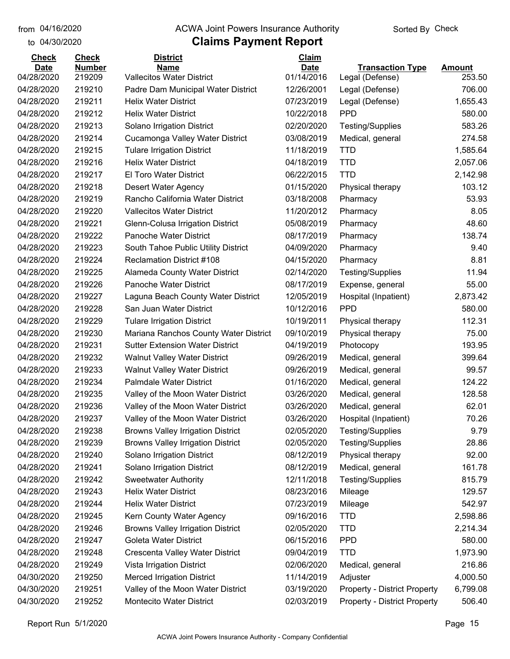#### from 04/16/2020 **The COVA Solic Act Act Authority** From 04/16/2020 **Sorted By Check**

| <b>Check</b>              | <b>Check</b>            | <b>District</b>                                         | Claim                     |                                            |                         |
|---------------------------|-------------------------|---------------------------------------------------------|---------------------------|--------------------------------------------|-------------------------|
| <b>Date</b><br>04/28/2020 | <b>Number</b><br>219209 | <b>Name</b><br><b>Vallecitos Water District</b>         | <b>Date</b><br>01/14/2016 | <b>Transaction Type</b><br>Legal (Defense) | <b>Amount</b><br>253.50 |
| 04/28/2020                | 219210                  | Padre Dam Municipal Water District                      | 12/26/2001                | Legal (Defense)                            | 706.00                  |
| 04/28/2020                | 219211                  | <b>Helix Water District</b>                             | 07/23/2019                | Legal (Defense)                            | 1,655.43                |
| 04/28/2020                | 219212                  | <b>Helix Water District</b>                             | 10/22/2018                | <b>PPD</b>                                 | 580.00                  |
| 04/28/2020                | 219213                  | Solano Irrigation District                              | 02/20/2020                | Testing/Supplies                           | 583.26                  |
| 04/28/2020                | 219214                  | Cucamonga Valley Water District                         | 03/08/2019                | Medical, general                           | 274.58                  |
| 04/28/2020                | 219215                  | <b>Tulare Irrigation District</b>                       | 11/18/2019                | <b>TTD</b>                                 | 1,585.64                |
| 04/28/2020                | 219216                  | <b>Helix Water District</b>                             | 04/18/2019                | <b>TTD</b>                                 | 2,057.06                |
| 04/28/2020                | 219217                  | El Toro Water District                                  | 06/22/2015                | <b>TTD</b>                                 | 2,142.98                |
| 04/28/2020                | 219218                  |                                                         | 01/15/2020                |                                            | 103.12                  |
|                           |                         | Desert Water Agency<br>Rancho California Water District |                           | Physical therapy                           | 53.93                   |
| 04/28/2020                | 219219                  |                                                         | 03/18/2008                | Pharmacy                                   |                         |
| 04/28/2020                | 219220                  | <b>Vallecitos Water District</b>                        | 11/20/2012                | Pharmacy                                   | 8.05                    |
| 04/28/2020                | 219221                  | Glenn-Colusa Irrigation District                        | 05/08/2019                | Pharmacy                                   | 48.60                   |
| 04/28/2020                | 219222                  | Panoche Water District                                  | 08/17/2019                | Pharmacy                                   | 138.74                  |
| 04/28/2020                | 219223                  | South Tahoe Public Utility District                     | 04/09/2020                | Pharmacy                                   | 9.40                    |
| 04/28/2020                | 219224                  | <b>Reclamation District #108</b>                        | 04/15/2020                | Pharmacy                                   | 8.81                    |
| 04/28/2020                | 219225                  | Alameda County Water District                           | 02/14/2020                | <b>Testing/Supplies</b>                    | 11.94                   |
| 04/28/2020                | 219226                  | Panoche Water District                                  | 08/17/2019                | Expense, general                           | 55.00                   |
| 04/28/2020                | 219227                  | Laguna Beach County Water District                      | 12/05/2019                | Hospital (Inpatient)                       | 2,873.42                |
| 04/28/2020                | 219228                  | San Juan Water District                                 | 10/12/2016                | <b>PPD</b>                                 | 580.00                  |
| 04/28/2020                | 219229                  | <b>Tulare Irrigation District</b>                       | 10/19/2011                | Physical therapy                           | 112.31                  |
| 04/28/2020                | 219230                  | Mariana Ranchos County Water District                   | 09/10/2019                | Physical therapy                           | 75.00                   |
| 04/28/2020                | 219231                  | <b>Sutter Extension Water District</b>                  | 04/19/2019                | Photocopy                                  | 193.95                  |
| 04/28/2020                | 219232                  | <b>Walnut Valley Water District</b>                     | 09/26/2019                | Medical, general                           | 399.64                  |
| 04/28/2020                | 219233                  | <b>Walnut Valley Water District</b>                     | 09/26/2019                | Medical, general                           | 99.57                   |
| 04/28/2020                | 219234                  | Palmdale Water District                                 | 01/16/2020                | Medical, general                           | 124.22                  |
| 04/28/2020                | 219235                  | Valley of the Moon Water District                       | 03/26/2020                | Medical, general                           | 128.58                  |
| 04/28/2020                | 219236                  | Valley of the Moon Water District                       | 03/26/2020                | Medical, general                           | 62.01                   |
| 04/28/2020                | 219237                  | Valley of the Moon Water District                       | 03/26/2020                | Hospital (Inpatient)                       | 70.26                   |
| 04/28/2020                | 219238                  | <b>Browns Valley Irrigation District</b>                | 02/05/2020                | <b>Testing/Supplies</b>                    | 9.79                    |
| 04/28/2020                | 219239                  | <b>Browns Valley Irrigation District</b>                | 02/05/2020                | <b>Testing/Supplies</b>                    | 28.86                   |
| 04/28/2020                | 219240                  | Solano Irrigation District                              | 08/12/2019                | Physical therapy                           | 92.00                   |
| 04/28/2020                | 219241                  | Solano Irrigation District                              | 08/12/2019                | Medical, general                           | 161.78                  |
| 04/28/2020                | 219242                  | <b>Sweetwater Authority</b>                             | 12/11/2018                | Testing/Supplies                           | 815.79                  |
| 04/28/2020                | 219243                  | <b>Helix Water District</b>                             | 08/23/2016                | Mileage                                    | 129.57                  |
| 04/28/2020                | 219244                  | <b>Helix Water District</b>                             | 07/23/2019                | Mileage                                    | 542.97                  |
| 04/28/2020                | 219245                  | Kern County Water Agency                                | 09/16/2016                | <b>TTD</b>                                 | 2,598.86                |
| 04/28/2020                | 219246                  | <b>Browns Valley Irrigation District</b>                | 02/05/2020                | <b>TTD</b>                                 | 2,214.34                |
| 04/28/2020                | 219247                  | Goleta Water District                                   | 06/15/2016                | <b>PPD</b>                                 | 580.00                  |
| 04/28/2020                | 219248                  | Crescenta Valley Water District                         | 09/04/2019                | <b>TTD</b>                                 | 1,973.90                |
| 04/28/2020                | 219249                  | Vista Irrigation District                               | 02/06/2020                | Medical, general                           | 216.86                  |
| 04/30/2020                | 219250                  | <b>Merced Irrigation District</b>                       | 11/14/2019                | Adjuster                                   | 4,000.50                |
| 04/30/2020                | 219251                  | Valley of the Moon Water District                       | 03/19/2020                | <b>Property - District Property</b>        | 6,799.08                |
| 04/30/2020                | 219252                  | Montecito Water District                                | 02/03/2019                | <b>Property - District Property</b>        | 506.40                  |
|                           |                         |                                                         |                           |                                            |                         |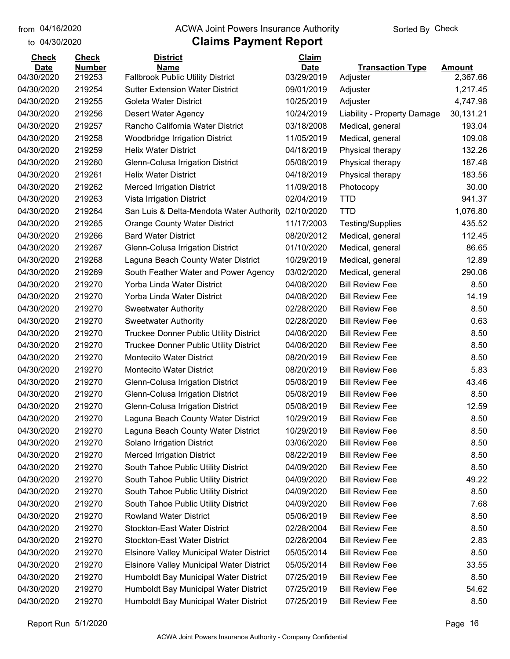#### from 04/16/2020 **The COVA Solic Act Act Authority** From 04/16/2020 **Sorted By Check**

| <b>Date</b><br><b>Number</b><br><b>Name</b><br><b>Date</b><br><b>Transaction Type</b><br><b>Amount</b><br>04/30/2020<br>219253<br><b>Fallbrook Public Utility District</b><br>03/29/2019<br>2,367.66<br>Adjuster<br>04/30/2020<br>219254<br><b>Sutter Extension Water District</b><br>09/01/2019<br>1,217.45<br>Adjuster<br>04/30/2020<br>219255<br><b>Goleta Water District</b><br>10/25/2019<br>Adjuster<br>4,747.98<br>04/30/2020<br>219256<br>Desert Water Agency<br>10/24/2019<br>30,131.21<br>Liability - Property Damage<br>Rancho California Water District<br>219257<br>03/18/2008<br>Medical, general<br>193.04<br>04/30/2020<br>04/30/2020<br>219258<br>Woodbridge Irrigation District<br>11/05/2019<br>109.08<br>Medical, general<br>04/30/2020<br>219259<br>04/18/2019<br>132.26<br><b>Helix Water District</b><br>Physical therapy<br>187.48<br>219260<br>05/08/2019<br>Glenn-Colusa Irrigation District<br>Physical therapy<br>219261<br><b>Helix Water District</b><br>183.56<br>04/18/2019<br>Physical therapy<br>30.00<br>219262<br><b>Merced Irrigation District</b><br>11/09/2018<br>Photocopy<br>941.37<br>219263<br>Vista Irrigation District<br>02/04/2019<br><b>TTD</b><br>1,076.80<br>219264<br>San Luis & Delta-Mendota Water Authority<br>02/10/2020<br><b>TTD</b><br>219265<br>11/17/2003<br>435.52<br><b>Orange County Water District</b><br>Testing/Supplies<br>219266<br><b>Bard Water District</b><br>08/20/2012<br>112.45<br>Medical, general<br>86.65<br>219267<br>Glenn-Colusa Irrigation District<br>01/10/2020<br>Medical, general<br>219268<br>10/29/2019<br>12.89<br>Laguna Beach County Water District<br>Medical, general<br>290.06<br>219269<br>South Feather Water and Power Agency<br>03/02/2020<br>Medical, general<br><b>Bill Review Fee</b><br>219270<br>Yorba Linda Water District<br>04/08/2020<br>8.50<br>219270<br>Yorba Linda Water District<br>04/08/2020<br><b>Bill Review Fee</b><br>14.19<br>219270<br>02/28/2020<br><b>Bill Review Fee</b><br>8.50<br><b>Sweetwater Authority</b><br>219270<br>02/28/2020<br><b>Bill Review Fee</b><br>0.63<br><b>Sweetwater Authority</b><br>219270<br>Truckee Donner Public Utility District<br>04/06/2020<br><b>Bill Review Fee</b><br>8.50<br>219270<br>04/06/2020<br><b>Bill Review Fee</b><br>8.50<br><b>Truckee Donner Public Utility District</b><br>219270<br><b>Montecito Water District</b><br>08/20/2019<br><b>Bill Review Fee</b><br>8.50<br>219270<br><b>Montecito Water District</b><br>08/20/2019<br>5.83<br><b>Bill Review Fee</b><br>219270<br>05/08/2019<br><b>Bill Review Fee</b><br>43.46<br>Glenn-Colusa Irrigation District<br>219270<br><b>Glenn-Colusa Irrigation District</b><br>05/08/2019<br><b>Bill Review Fee</b><br>8.50<br>219270<br>Glenn-Colusa Irrigation District<br>05/08/2019<br><b>Bill Review Fee</b><br>12.59<br>219270<br>Laguna Beach County Water District<br>10/29/2019<br><b>Bill Review Fee</b><br>8.50<br>219270<br>10/29/2019<br>Laguna Beach County Water District<br><b>Bill Review Fee</b><br>8.50<br><b>Bill Review Fee</b><br>219270<br>Solano Irrigation District<br>03/06/2020<br>8.50<br>219270<br><b>Merced Irrigation District</b><br>08/22/2019<br><b>Bill Review Fee</b><br>8.50<br>219270<br>South Tahoe Public Utility District<br>04/09/2020<br><b>Bill Review Fee</b><br>8.50<br>South Tahoe Public Utility District<br><b>Bill Review Fee</b><br>49.22<br>219270<br>04/09/2020<br>219270<br>South Tahoe Public Utility District<br>04/09/2020<br><b>Bill Review Fee</b><br>8.50<br>219270<br>South Tahoe Public Utility District<br>04/09/2020<br><b>Bill Review Fee</b><br>7.68<br><b>Rowland Water District</b><br>219270<br>05/06/2019<br><b>Bill Review Fee</b><br>8.50<br>219270<br><b>Stockton-East Water District</b><br>02/28/2004<br><b>Bill Review Fee</b><br>8.50<br><b>Stockton-East Water District</b><br><b>Bill Review Fee</b><br>219270<br>02/28/2004<br>2.83<br>219270<br><b>Elsinore Valley Municipal Water District</b><br>05/05/2014<br><b>Bill Review Fee</b><br>8.50<br>219270<br><b>Elsinore Valley Municipal Water District</b><br><b>Bill Review Fee</b><br>33.55<br>05/05/2014<br>219270<br>Humboldt Bay Municipal Water District<br>07/25/2019<br><b>Bill Review Fee</b><br>8.50<br>Humboldt Bay Municipal Water District<br><b>Bill Review Fee</b><br>219270<br>07/25/2019<br>54.62 | <b>Check</b> | <b>Check</b> | <b>District</b>                       | Claim      |                        |      |
|----------------------------------------------------------------------------------------------------------------------------------------------------------------------------------------------------------------------------------------------------------------------------------------------------------------------------------------------------------------------------------------------------------------------------------------------------------------------------------------------------------------------------------------------------------------------------------------------------------------------------------------------------------------------------------------------------------------------------------------------------------------------------------------------------------------------------------------------------------------------------------------------------------------------------------------------------------------------------------------------------------------------------------------------------------------------------------------------------------------------------------------------------------------------------------------------------------------------------------------------------------------------------------------------------------------------------------------------------------------------------------------------------------------------------------------------------------------------------------------------------------------------------------------------------------------------------------------------------------------------------------------------------------------------------------------------------------------------------------------------------------------------------------------------------------------------------------------------------------------------------------------------------------------------------------------------------------------------------------------------------------------------------------------------------------------------------------------------------------------------------------------------------------------------------------------------------------------------------------------------------------------------------------------------------------------------------------------------------------------------------------------------------------------------------------------------------------------------------------------------------------------------------------------------------------------------------------------------------------------------------------------------------------------------------------------------------------------------------------------------------------------------------------------------------------------------------------------------------------------------------------------------------------------------------------------------------------------------------------------------------------------------------------------------------------------------------------------------------------------------------------------------------------------------------------------------------------------------------------------------------------------------------------------------------------------------------------------------------------------------------------------------------------------------------------------------------------------------------------------------------------------------------------------------------------------------------------------------------------------------------------------------------------------------------------------------------------------------------------------------------------------------------------------------------------------------------------------------------------------------------------------------------------------------------------------------------------------------------------------------------------------------------------------------------------------------------------------------------------------------------------------------------------------------------------------------------------------------------------------------------------------------------------------------------------------------------------------------------------------------------|--------------|--------------|---------------------------------------|------------|------------------------|------|
|                                                                                                                                                                                                                                                                                                                                                                                                                                                                                                                                                                                                                                                                                                                                                                                                                                                                                                                                                                                                                                                                                                                                                                                                                                                                                                                                                                                                                                                                                                                                                                                                                                                                                                                                                                                                                                                                                                                                                                                                                                                                                                                                                                                                                                                                                                                                                                                                                                                                                                                                                                                                                                                                                                                                                                                                                                                                                                                                                                                                                                                                                                                                                                                                                                                                                                                                                                                                                                                                                                                                                                                                                                                                                                                                                                                                                                                                                                                                                                                                                                                                                                                                                                                                                                                                                                                                                                            |              |              |                                       |            |                        |      |
|                                                                                                                                                                                                                                                                                                                                                                                                                                                                                                                                                                                                                                                                                                                                                                                                                                                                                                                                                                                                                                                                                                                                                                                                                                                                                                                                                                                                                                                                                                                                                                                                                                                                                                                                                                                                                                                                                                                                                                                                                                                                                                                                                                                                                                                                                                                                                                                                                                                                                                                                                                                                                                                                                                                                                                                                                                                                                                                                                                                                                                                                                                                                                                                                                                                                                                                                                                                                                                                                                                                                                                                                                                                                                                                                                                                                                                                                                                                                                                                                                                                                                                                                                                                                                                                                                                                                                                            |              |              |                                       |            |                        |      |
|                                                                                                                                                                                                                                                                                                                                                                                                                                                                                                                                                                                                                                                                                                                                                                                                                                                                                                                                                                                                                                                                                                                                                                                                                                                                                                                                                                                                                                                                                                                                                                                                                                                                                                                                                                                                                                                                                                                                                                                                                                                                                                                                                                                                                                                                                                                                                                                                                                                                                                                                                                                                                                                                                                                                                                                                                                                                                                                                                                                                                                                                                                                                                                                                                                                                                                                                                                                                                                                                                                                                                                                                                                                                                                                                                                                                                                                                                                                                                                                                                                                                                                                                                                                                                                                                                                                                                                            |              |              |                                       |            |                        |      |
|                                                                                                                                                                                                                                                                                                                                                                                                                                                                                                                                                                                                                                                                                                                                                                                                                                                                                                                                                                                                                                                                                                                                                                                                                                                                                                                                                                                                                                                                                                                                                                                                                                                                                                                                                                                                                                                                                                                                                                                                                                                                                                                                                                                                                                                                                                                                                                                                                                                                                                                                                                                                                                                                                                                                                                                                                                                                                                                                                                                                                                                                                                                                                                                                                                                                                                                                                                                                                                                                                                                                                                                                                                                                                                                                                                                                                                                                                                                                                                                                                                                                                                                                                                                                                                                                                                                                                                            |              |              |                                       |            |                        |      |
|                                                                                                                                                                                                                                                                                                                                                                                                                                                                                                                                                                                                                                                                                                                                                                                                                                                                                                                                                                                                                                                                                                                                                                                                                                                                                                                                                                                                                                                                                                                                                                                                                                                                                                                                                                                                                                                                                                                                                                                                                                                                                                                                                                                                                                                                                                                                                                                                                                                                                                                                                                                                                                                                                                                                                                                                                                                                                                                                                                                                                                                                                                                                                                                                                                                                                                                                                                                                                                                                                                                                                                                                                                                                                                                                                                                                                                                                                                                                                                                                                                                                                                                                                                                                                                                                                                                                                                            |              |              |                                       |            |                        |      |
|                                                                                                                                                                                                                                                                                                                                                                                                                                                                                                                                                                                                                                                                                                                                                                                                                                                                                                                                                                                                                                                                                                                                                                                                                                                                                                                                                                                                                                                                                                                                                                                                                                                                                                                                                                                                                                                                                                                                                                                                                                                                                                                                                                                                                                                                                                                                                                                                                                                                                                                                                                                                                                                                                                                                                                                                                                                                                                                                                                                                                                                                                                                                                                                                                                                                                                                                                                                                                                                                                                                                                                                                                                                                                                                                                                                                                                                                                                                                                                                                                                                                                                                                                                                                                                                                                                                                                                            |              |              |                                       |            |                        |      |
|                                                                                                                                                                                                                                                                                                                                                                                                                                                                                                                                                                                                                                                                                                                                                                                                                                                                                                                                                                                                                                                                                                                                                                                                                                                                                                                                                                                                                                                                                                                                                                                                                                                                                                                                                                                                                                                                                                                                                                                                                                                                                                                                                                                                                                                                                                                                                                                                                                                                                                                                                                                                                                                                                                                                                                                                                                                                                                                                                                                                                                                                                                                                                                                                                                                                                                                                                                                                                                                                                                                                                                                                                                                                                                                                                                                                                                                                                                                                                                                                                                                                                                                                                                                                                                                                                                                                                                            |              |              |                                       |            |                        |      |
|                                                                                                                                                                                                                                                                                                                                                                                                                                                                                                                                                                                                                                                                                                                                                                                                                                                                                                                                                                                                                                                                                                                                                                                                                                                                                                                                                                                                                                                                                                                                                                                                                                                                                                                                                                                                                                                                                                                                                                                                                                                                                                                                                                                                                                                                                                                                                                                                                                                                                                                                                                                                                                                                                                                                                                                                                                                                                                                                                                                                                                                                                                                                                                                                                                                                                                                                                                                                                                                                                                                                                                                                                                                                                                                                                                                                                                                                                                                                                                                                                                                                                                                                                                                                                                                                                                                                                                            |              |              |                                       |            |                        |      |
|                                                                                                                                                                                                                                                                                                                                                                                                                                                                                                                                                                                                                                                                                                                                                                                                                                                                                                                                                                                                                                                                                                                                                                                                                                                                                                                                                                                                                                                                                                                                                                                                                                                                                                                                                                                                                                                                                                                                                                                                                                                                                                                                                                                                                                                                                                                                                                                                                                                                                                                                                                                                                                                                                                                                                                                                                                                                                                                                                                                                                                                                                                                                                                                                                                                                                                                                                                                                                                                                                                                                                                                                                                                                                                                                                                                                                                                                                                                                                                                                                                                                                                                                                                                                                                                                                                                                                                            | 04/30/2020   |              |                                       |            |                        |      |
|                                                                                                                                                                                                                                                                                                                                                                                                                                                                                                                                                                                                                                                                                                                                                                                                                                                                                                                                                                                                                                                                                                                                                                                                                                                                                                                                                                                                                                                                                                                                                                                                                                                                                                                                                                                                                                                                                                                                                                                                                                                                                                                                                                                                                                                                                                                                                                                                                                                                                                                                                                                                                                                                                                                                                                                                                                                                                                                                                                                                                                                                                                                                                                                                                                                                                                                                                                                                                                                                                                                                                                                                                                                                                                                                                                                                                                                                                                                                                                                                                                                                                                                                                                                                                                                                                                                                                                            | 04/30/2020   |              |                                       |            |                        |      |
|                                                                                                                                                                                                                                                                                                                                                                                                                                                                                                                                                                                                                                                                                                                                                                                                                                                                                                                                                                                                                                                                                                                                                                                                                                                                                                                                                                                                                                                                                                                                                                                                                                                                                                                                                                                                                                                                                                                                                                                                                                                                                                                                                                                                                                                                                                                                                                                                                                                                                                                                                                                                                                                                                                                                                                                                                                                                                                                                                                                                                                                                                                                                                                                                                                                                                                                                                                                                                                                                                                                                                                                                                                                                                                                                                                                                                                                                                                                                                                                                                                                                                                                                                                                                                                                                                                                                                                            | 04/30/2020   |              |                                       |            |                        |      |
|                                                                                                                                                                                                                                                                                                                                                                                                                                                                                                                                                                                                                                                                                                                                                                                                                                                                                                                                                                                                                                                                                                                                                                                                                                                                                                                                                                                                                                                                                                                                                                                                                                                                                                                                                                                                                                                                                                                                                                                                                                                                                                                                                                                                                                                                                                                                                                                                                                                                                                                                                                                                                                                                                                                                                                                                                                                                                                                                                                                                                                                                                                                                                                                                                                                                                                                                                                                                                                                                                                                                                                                                                                                                                                                                                                                                                                                                                                                                                                                                                                                                                                                                                                                                                                                                                                                                                                            | 04/30/2020   |              |                                       |            |                        |      |
|                                                                                                                                                                                                                                                                                                                                                                                                                                                                                                                                                                                                                                                                                                                                                                                                                                                                                                                                                                                                                                                                                                                                                                                                                                                                                                                                                                                                                                                                                                                                                                                                                                                                                                                                                                                                                                                                                                                                                                                                                                                                                                                                                                                                                                                                                                                                                                                                                                                                                                                                                                                                                                                                                                                                                                                                                                                                                                                                                                                                                                                                                                                                                                                                                                                                                                                                                                                                                                                                                                                                                                                                                                                                                                                                                                                                                                                                                                                                                                                                                                                                                                                                                                                                                                                                                                                                                                            | 04/30/2020   |              |                                       |            |                        |      |
|                                                                                                                                                                                                                                                                                                                                                                                                                                                                                                                                                                                                                                                                                                                                                                                                                                                                                                                                                                                                                                                                                                                                                                                                                                                                                                                                                                                                                                                                                                                                                                                                                                                                                                                                                                                                                                                                                                                                                                                                                                                                                                                                                                                                                                                                                                                                                                                                                                                                                                                                                                                                                                                                                                                                                                                                                                                                                                                                                                                                                                                                                                                                                                                                                                                                                                                                                                                                                                                                                                                                                                                                                                                                                                                                                                                                                                                                                                                                                                                                                                                                                                                                                                                                                                                                                                                                                                            | 04/30/2020   |              |                                       |            |                        |      |
|                                                                                                                                                                                                                                                                                                                                                                                                                                                                                                                                                                                                                                                                                                                                                                                                                                                                                                                                                                                                                                                                                                                                                                                                                                                                                                                                                                                                                                                                                                                                                                                                                                                                                                                                                                                                                                                                                                                                                                                                                                                                                                                                                                                                                                                                                                                                                                                                                                                                                                                                                                                                                                                                                                                                                                                                                                                                                                                                                                                                                                                                                                                                                                                                                                                                                                                                                                                                                                                                                                                                                                                                                                                                                                                                                                                                                                                                                                                                                                                                                                                                                                                                                                                                                                                                                                                                                                            | 04/30/2020   |              |                                       |            |                        |      |
|                                                                                                                                                                                                                                                                                                                                                                                                                                                                                                                                                                                                                                                                                                                                                                                                                                                                                                                                                                                                                                                                                                                                                                                                                                                                                                                                                                                                                                                                                                                                                                                                                                                                                                                                                                                                                                                                                                                                                                                                                                                                                                                                                                                                                                                                                                                                                                                                                                                                                                                                                                                                                                                                                                                                                                                                                                                                                                                                                                                                                                                                                                                                                                                                                                                                                                                                                                                                                                                                                                                                                                                                                                                                                                                                                                                                                                                                                                                                                                                                                                                                                                                                                                                                                                                                                                                                                                            | 04/30/2020   |              |                                       |            |                        |      |
|                                                                                                                                                                                                                                                                                                                                                                                                                                                                                                                                                                                                                                                                                                                                                                                                                                                                                                                                                                                                                                                                                                                                                                                                                                                                                                                                                                                                                                                                                                                                                                                                                                                                                                                                                                                                                                                                                                                                                                                                                                                                                                                                                                                                                                                                                                                                                                                                                                                                                                                                                                                                                                                                                                                                                                                                                                                                                                                                                                                                                                                                                                                                                                                                                                                                                                                                                                                                                                                                                                                                                                                                                                                                                                                                                                                                                                                                                                                                                                                                                                                                                                                                                                                                                                                                                                                                                                            | 04/30/2020   |              |                                       |            |                        |      |
|                                                                                                                                                                                                                                                                                                                                                                                                                                                                                                                                                                                                                                                                                                                                                                                                                                                                                                                                                                                                                                                                                                                                                                                                                                                                                                                                                                                                                                                                                                                                                                                                                                                                                                                                                                                                                                                                                                                                                                                                                                                                                                                                                                                                                                                                                                                                                                                                                                                                                                                                                                                                                                                                                                                                                                                                                                                                                                                                                                                                                                                                                                                                                                                                                                                                                                                                                                                                                                                                                                                                                                                                                                                                                                                                                                                                                                                                                                                                                                                                                                                                                                                                                                                                                                                                                                                                                                            | 04/30/2020   |              |                                       |            |                        |      |
|                                                                                                                                                                                                                                                                                                                                                                                                                                                                                                                                                                                                                                                                                                                                                                                                                                                                                                                                                                                                                                                                                                                                                                                                                                                                                                                                                                                                                                                                                                                                                                                                                                                                                                                                                                                                                                                                                                                                                                                                                                                                                                                                                                                                                                                                                                                                                                                                                                                                                                                                                                                                                                                                                                                                                                                                                                                                                                                                                                                                                                                                                                                                                                                                                                                                                                                                                                                                                                                                                                                                                                                                                                                                                                                                                                                                                                                                                                                                                                                                                                                                                                                                                                                                                                                                                                                                                                            | 04/30/2020   |              |                                       |            |                        |      |
|                                                                                                                                                                                                                                                                                                                                                                                                                                                                                                                                                                                                                                                                                                                                                                                                                                                                                                                                                                                                                                                                                                                                                                                                                                                                                                                                                                                                                                                                                                                                                                                                                                                                                                                                                                                                                                                                                                                                                                                                                                                                                                                                                                                                                                                                                                                                                                                                                                                                                                                                                                                                                                                                                                                                                                                                                                                                                                                                                                                                                                                                                                                                                                                                                                                                                                                                                                                                                                                                                                                                                                                                                                                                                                                                                                                                                                                                                                                                                                                                                                                                                                                                                                                                                                                                                                                                                                            | 04/30/2020   |              |                                       |            |                        |      |
|                                                                                                                                                                                                                                                                                                                                                                                                                                                                                                                                                                                                                                                                                                                                                                                                                                                                                                                                                                                                                                                                                                                                                                                                                                                                                                                                                                                                                                                                                                                                                                                                                                                                                                                                                                                                                                                                                                                                                                                                                                                                                                                                                                                                                                                                                                                                                                                                                                                                                                                                                                                                                                                                                                                                                                                                                                                                                                                                                                                                                                                                                                                                                                                                                                                                                                                                                                                                                                                                                                                                                                                                                                                                                                                                                                                                                                                                                                                                                                                                                                                                                                                                                                                                                                                                                                                                                                            | 04/30/2020   |              |                                       |            |                        |      |
|                                                                                                                                                                                                                                                                                                                                                                                                                                                                                                                                                                                                                                                                                                                                                                                                                                                                                                                                                                                                                                                                                                                                                                                                                                                                                                                                                                                                                                                                                                                                                                                                                                                                                                                                                                                                                                                                                                                                                                                                                                                                                                                                                                                                                                                                                                                                                                                                                                                                                                                                                                                                                                                                                                                                                                                                                                                                                                                                                                                                                                                                                                                                                                                                                                                                                                                                                                                                                                                                                                                                                                                                                                                                                                                                                                                                                                                                                                                                                                                                                                                                                                                                                                                                                                                                                                                                                                            | 04/30/2020   |              |                                       |            |                        |      |
|                                                                                                                                                                                                                                                                                                                                                                                                                                                                                                                                                                                                                                                                                                                                                                                                                                                                                                                                                                                                                                                                                                                                                                                                                                                                                                                                                                                                                                                                                                                                                                                                                                                                                                                                                                                                                                                                                                                                                                                                                                                                                                                                                                                                                                                                                                                                                                                                                                                                                                                                                                                                                                                                                                                                                                                                                                                                                                                                                                                                                                                                                                                                                                                                                                                                                                                                                                                                                                                                                                                                                                                                                                                                                                                                                                                                                                                                                                                                                                                                                                                                                                                                                                                                                                                                                                                                                                            | 04/30/2020   |              |                                       |            |                        |      |
|                                                                                                                                                                                                                                                                                                                                                                                                                                                                                                                                                                                                                                                                                                                                                                                                                                                                                                                                                                                                                                                                                                                                                                                                                                                                                                                                                                                                                                                                                                                                                                                                                                                                                                                                                                                                                                                                                                                                                                                                                                                                                                                                                                                                                                                                                                                                                                                                                                                                                                                                                                                                                                                                                                                                                                                                                                                                                                                                                                                                                                                                                                                                                                                                                                                                                                                                                                                                                                                                                                                                                                                                                                                                                                                                                                                                                                                                                                                                                                                                                                                                                                                                                                                                                                                                                                                                                                            | 04/30/2020   |              |                                       |            |                        |      |
|                                                                                                                                                                                                                                                                                                                                                                                                                                                                                                                                                                                                                                                                                                                                                                                                                                                                                                                                                                                                                                                                                                                                                                                                                                                                                                                                                                                                                                                                                                                                                                                                                                                                                                                                                                                                                                                                                                                                                                                                                                                                                                                                                                                                                                                                                                                                                                                                                                                                                                                                                                                                                                                                                                                                                                                                                                                                                                                                                                                                                                                                                                                                                                                                                                                                                                                                                                                                                                                                                                                                                                                                                                                                                                                                                                                                                                                                                                                                                                                                                                                                                                                                                                                                                                                                                                                                                                            | 04/30/2020   |              |                                       |            |                        |      |
|                                                                                                                                                                                                                                                                                                                                                                                                                                                                                                                                                                                                                                                                                                                                                                                                                                                                                                                                                                                                                                                                                                                                                                                                                                                                                                                                                                                                                                                                                                                                                                                                                                                                                                                                                                                                                                                                                                                                                                                                                                                                                                                                                                                                                                                                                                                                                                                                                                                                                                                                                                                                                                                                                                                                                                                                                                                                                                                                                                                                                                                                                                                                                                                                                                                                                                                                                                                                                                                                                                                                                                                                                                                                                                                                                                                                                                                                                                                                                                                                                                                                                                                                                                                                                                                                                                                                                                            | 04/30/2020   |              |                                       |            |                        |      |
|                                                                                                                                                                                                                                                                                                                                                                                                                                                                                                                                                                                                                                                                                                                                                                                                                                                                                                                                                                                                                                                                                                                                                                                                                                                                                                                                                                                                                                                                                                                                                                                                                                                                                                                                                                                                                                                                                                                                                                                                                                                                                                                                                                                                                                                                                                                                                                                                                                                                                                                                                                                                                                                                                                                                                                                                                                                                                                                                                                                                                                                                                                                                                                                                                                                                                                                                                                                                                                                                                                                                                                                                                                                                                                                                                                                                                                                                                                                                                                                                                                                                                                                                                                                                                                                                                                                                                                            | 04/30/2020   |              |                                       |            |                        |      |
|                                                                                                                                                                                                                                                                                                                                                                                                                                                                                                                                                                                                                                                                                                                                                                                                                                                                                                                                                                                                                                                                                                                                                                                                                                                                                                                                                                                                                                                                                                                                                                                                                                                                                                                                                                                                                                                                                                                                                                                                                                                                                                                                                                                                                                                                                                                                                                                                                                                                                                                                                                                                                                                                                                                                                                                                                                                                                                                                                                                                                                                                                                                                                                                                                                                                                                                                                                                                                                                                                                                                                                                                                                                                                                                                                                                                                                                                                                                                                                                                                                                                                                                                                                                                                                                                                                                                                                            | 04/30/2020   |              |                                       |            |                        |      |
|                                                                                                                                                                                                                                                                                                                                                                                                                                                                                                                                                                                                                                                                                                                                                                                                                                                                                                                                                                                                                                                                                                                                                                                                                                                                                                                                                                                                                                                                                                                                                                                                                                                                                                                                                                                                                                                                                                                                                                                                                                                                                                                                                                                                                                                                                                                                                                                                                                                                                                                                                                                                                                                                                                                                                                                                                                                                                                                                                                                                                                                                                                                                                                                                                                                                                                                                                                                                                                                                                                                                                                                                                                                                                                                                                                                                                                                                                                                                                                                                                                                                                                                                                                                                                                                                                                                                                                            | 04/30/2020   |              |                                       |            |                        |      |
|                                                                                                                                                                                                                                                                                                                                                                                                                                                                                                                                                                                                                                                                                                                                                                                                                                                                                                                                                                                                                                                                                                                                                                                                                                                                                                                                                                                                                                                                                                                                                                                                                                                                                                                                                                                                                                                                                                                                                                                                                                                                                                                                                                                                                                                                                                                                                                                                                                                                                                                                                                                                                                                                                                                                                                                                                                                                                                                                                                                                                                                                                                                                                                                                                                                                                                                                                                                                                                                                                                                                                                                                                                                                                                                                                                                                                                                                                                                                                                                                                                                                                                                                                                                                                                                                                                                                                                            | 04/30/2020   |              |                                       |            |                        |      |
|                                                                                                                                                                                                                                                                                                                                                                                                                                                                                                                                                                                                                                                                                                                                                                                                                                                                                                                                                                                                                                                                                                                                                                                                                                                                                                                                                                                                                                                                                                                                                                                                                                                                                                                                                                                                                                                                                                                                                                                                                                                                                                                                                                                                                                                                                                                                                                                                                                                                                                                                                                                                                                                                                                                                                                                                                                                                                                                                                                                                                                                                                                                                                                                                                                                                                                                                                                                                                                                                                                                                                                                                                                                                                                                                                                                                                                                                                                                                                                                                                                                                                                                                                                                                                                                                                                                                                                            | 04/30/2020   |              |                                       |            |                        |      |
|                                                                                                                                                                                                                                                                                                                                                                                                                                                                                                                                                                                                                                                                                                                                                                                                                                                                                                                                                                                                                                                                                                                                                                                                                                                                                                                                                                                                                                                                                                                                                                                                                                                                                                                                                                                                                                                                                                                                                                                                                                                                                                                                                                                                                                                                                                                                                                                                                                                                                                                                                                                                                                                                                                                                                                                                                                                                                                                                                                                                                                                                                                                                                                                                                                                                                                                                                                                                                                                                                                                                                                                                                                                                                                                                                                                                                                                                                                                                                                                                                                                                                                                                                                                                                                                                                                                                                                            | 04/30/2020   |              |                                       |            |                        |      |
|                                                                                                                                                                                                                                                                                                                                                                                                                                                                                                                                                                                                                                                                                                                                                                                                                                                                                                                                                                                                                                                                                                                                                                                                                                                                                                                                                                                                                                                                                                                                                                                                                                                                                                                                                                                                                                                                                                                                                                                                                                                                                                                                                                                                                                                                                                                                                                                                                                                                                                                                                                                                                                                                                                                                                                                                                                                                                                                                                                                                                                                                                                                                                                                                                                                                                                                                                                                                                                                                                                                                                                                                                                                                                                                                                                                                                                                                                                                                                                                                                                                                                                                                                                                                                                                                                                                                                                            | 04/30/2020   |              |                                       |            |                        |      |
|                                                                                                                                                                                                                                                                                                                                                                                                                                                                                                                                                                                                                                                                                                                                                                                                                                                                                                                                                                                                                                                                                                                                                                                                                                                                                                                                                                                                                                                                                                                                                                                                                                                                                                                                                                                                                                                                                                                                                                                                                                                                                                                                                                                                                                                                                                                                                                                                                                                                                                                                                                                                                                                                                                                                                                                                                                                                                                                                                                                                                                                                                                                                                                                                                                                                                                                                                                                                                                                                                                                                                                                                                                                                                                                                                                                                                                                                                                                                                                                                                                                                                                                                                                                                                                                                                                                                                                            | 04/30/2020   |              |                                       |            |                        |      |
|                                                                                                                                                                                                                                                                                                                                                                                                                                                                                                                                                                                                                                                                                                                                                                                                                                                                                                                                                                                                                                                                                                                                                                                                                                                                                                                                                                                                                                                                                                                                                                                                                                                                                                                                                                                                                                                                                                                                                                                                                                                                                                                                                                                                                                                                                                                                                                                                                                                                                                                                                                                                                                                                                                                                                                                                                                                                                                                                                                                                                                                                                                                                                                                                                                                                                                                                                                                                                                                                                                                                                                                                                                                                                                                                                                                                                                                                                                                                                                                                                                                                                                                                                                                                                                                                                                                                                                            | 04/30/2020   |              |                                       |            |                        |      |
|                                                                                                                                                                                                                                                                                                                                                                                                                                                                                                                                                                                                                                                                                                                                                                                                                                                                                                                                                                                                                                                                                                                                                                                                                                                                                                                                                                                                                                                                                                                                                                                                                                                                                                                                                                                                                                                                                                                                                                                                                                                                                                                                                                                                                                                                                                                                                                                                                                                                                                                                                                                                                                                                                                                                                                                                                                                                                                                                                                                                                                                                                                                                                                                                                                                                                                                                                                                                                                                                                                                                                                                                                                                                                                                                                                                                                                                                                                                                                                                                                                                                                                                                                                                                                                                                                                                                                                            | 04/30/2020   |              |                                       |            |                        |      |
|                                                                                                                                                                                                                                                                                                                                                                                                                                                                                                                                                                                                                                                                                                                                                                                                                                                                                                                                                                                                                                                                                                                                                                                                                                                                                                                                                                                                                                                                                                                                                                                                                                                                                                                                                                                                                                                                                                                                                                                                                                                                                                                                                                                                                                                                                                                                                                                                                                                                                                                                                                                                                                                                                                                                                                                                                                                                                                                                                                                                                                                                                                                                                                                                                                                                                                                                                                                                                                                                                                                                                                                                                                                                                                                                                                                                                                                                                                                                                                                                                                                                                                                                                                                                                                                                                                                                                                            | 04/30/2020   |              |                                       |            |                        |      |
|                                                                                                                                                                                                                                                                                                                                                                                                                                                                                                                                                                                                                                                                                                                                                                                                                                                                                                                                                                                                                                                                                                                                                                                                                                                                                                                                                                                                                                                                                                                                                                                                                                                                                                                                                                                                                                                                                                                                                                                                                                                                                                                                                                                                                                                                                                                                                                                                                                                                                                                                                                                                                                                                                                                                                                                                                                                                                                                                                                                                                                                                                                                                                                                                                                                                                                                                                                                                                                                                                                                                                                                                                                                                                                                                                                                                                                                                                                                                                                                                                                                                                                                                                                                                                                                                                                                                                                            | 04/30/2020   |              |                                       |            |                        |      |
|                                                                                                                                                                                                                                                                                                                                                                                                                                                                                                                                                                                                                                                                                                                                                                                                                                                                                                                                                                                                                                                                                                                                                                                                                                                                                                                                                                                                                                                                                                                                                                                                                                                                                                                                                                                                                                                                                                                                                                                                                                                                                                                                                                                                                                                                                                                                                                                                                                                                                                                                                                                                                                                                                                                                                                                                                                                                                                                                                                                                                                                                                                                                                                                                                                                                                                                                                                                                                                                                                                                                                                                                                                                                                                                                                                                                                                                                                                                                                                                                                                                                                                                                                                                                                                                                                                                                                                            | 04/30/2020   |              |                                       |            |                        |      |
|                                                                                                                                                                                                                                                                                                                                                                                                                                                                                                                                                                                                                                                                                                                                                                                                                                                                                                                                                                                                                                                                                                                                                                                                                                                                                                                                                                                                                                                                                                                                                                                                                                                                                                                                                                                                                                                                                                                                                                                                                                                                                                                                                                                                                                                                                                                                                                                                                                                                                                                                                                                                                                                                                                                                                                                                                                                                                                                                                                                                                                                                                                                                                                                                                                                                                                                                                                                                                                                                                                                                                                                                                                                                                                                                                                                                                                                                                                                                                                                                                                                                                                                                                                                                                                                                                                                                                                            | 04/30/2020   |              |                                       |            |                        |      |
|                                                                                                                                                                                                                                                                                                                                                                                                                                                                                                                                                                                                                                                                                                                                                                                                                                                                                                                                                                                                                                                                                                                                                                                                                                                                                                                                                                                                                                                                                                                                                                                                                                                                                                                                                                                                                                                                                                                                                                                                                                                                                                                                                                                                                                                                                                                                                                                                                                                                                                                                                                                                                                                                                                                                                                                                                                                                                                                                                                                                                                                                                                                                                                                                                                                                                                                                                                                                                                                                                                                                                                                                                                                                                                                                                                                                                                                                                                                                                                                                                                                                                                                                                                                                                                                                                                                                                                            | 04/30/2020   |              |                                       |            |                        |      |
|                                                                                                                                                                                                                                                                                                                                                                                                                                                                                                                                                                                                                                                                                                                                                                                                                                                                                                                                                                                                                                                                                                                                                                                                                                                                                                                                                                                                                                                                                                                                                                                                                                                                                                                                                                                                                                                                                                                                                                                                                                                                                                                                                                                                                                                                                                                                                                                                                                                                                                                                                                                                                                                                                                                                                                                                                                                                                                                                                                                                                                                                                                                                                                                                                                                                                                                                                                                                                                                                                                                                                                                                                                                                                                                                                                                                                                                                                                                                                                                                                                                                                                                                                                                                                                                                                                                                                                            | 04/30/2020   |              |                                       |            |                        |      |
|                                                                                                                                                                                                                                                                                                                                                                                                                                                                                                                                                                                                                                                                                                                                                                                                                                                                                                                                                                                                                                                                                                                                                                                                                                                                                                                                                                                                                                                                                                                                                                                                                                                                                                                                                                                                                                                                                                                                                                                                                                                                                                                                                                                                                                                                                                                                                                                                                                                                                                                                                                                                                                                                                                                                                                                                                                                                                                                                                                                                                                                                                                                                                                                                                                                                                                                                                                                                                                                                                                                                                                                                                                                                                                                                                                                                                                                                                                                                                                                                                                                                                                                                                                                                                                                                                                                                                                            | 04/30/2020   |              |                                       |            |                        |      |
|                                                                                                                                                                                                                                                                                                                                                                                                                                                                                                                                                                                                                                                                                                                                                                                                                                                                                                                                                                                                                                                                                                                                                                                                                                                                                                                                                                                                                                                                                                                                                                                                                                                                                                                                                                                                                                                                                                                                                                                                                                                                                                                                                                                                                                                                                                                                                                                                                                                                                                                                                                                                                                                                                                                                                                                                                                                                                                                                                                                                                                                                                                                                                                                                                                                                                                                                                                                                                                                                                                                                                                                                                                                                                                                                                                                                                                                                                                                                                                                                                                                                                                                                                                                                                                                                                                                                                                            | 04/30/2020   |              |                                       |            |                        |      |
|                                                                                                                                                                                                                                                                                                                                                                                                                                                                                                                                                                                                                                                                                                                                                                                                                                                                                                                                                                                                                                                                                                                                                                                                                                                                                                                                                                                                                                                                                                                                                                                                                                                                                                                                                                                                                                                                                                                                                                                                                                                                                                                                                                                                                                                                                                                                                                                                                                                                                                                                                                                                                                                                                                                                                                                                                                                                                                                                                                                                                                                                                                                                                                                                                                                                                                                                                                                                                                                                                                                                                                                                                                                                                                                                                                                                                                                                                                                                                                                                                                                                                                                                                                                                                                                                                                                                                                            | 04/30/2020   | 219270       | Humboldt Bay Municipal Water District | 07/25/2019 | <b>Bill Review Fee</b> | 8.50 |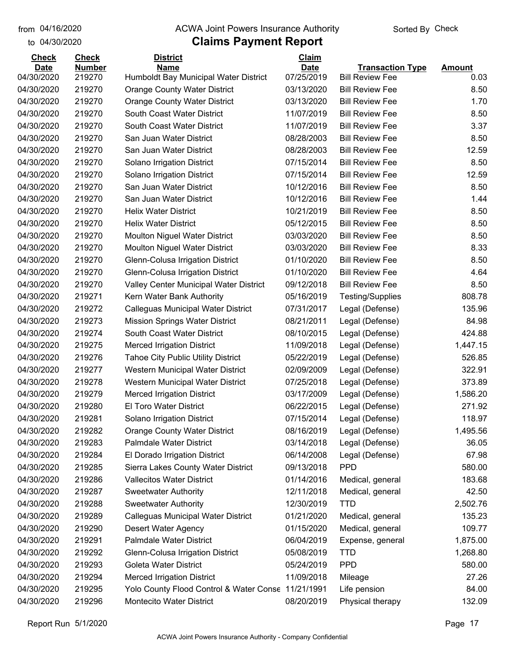#### from 04/16/2020 **The COVA Solic Act Act Authority** From 04/16/2020 **Sorted By Check**

#### to 04/30/2020

| <b>Check</b> | <b>Check</b>  | <b>District</b>                                    | Claim       |                         |               |
|--------------|---------------|----------------------------------------------------|-------------|-------------------------|---------------|
| <b>Date</b>  | <b>Number</b> | <b>Name</b>                                        | <b>Date</b> | <b>Transaction Type</b> | <b>Amount</b> |
| 04/30/2020   | 219270        | Humboldt Bay Municipal Water District              | 07/25/2019  | <b>Bill Review Fee</b>  | 0.03          |
| 04/30/2020   | 219270        | <b>Orange County Water District</b>                | 03/13/2020  | <b>Bill Review Fee</b>  | 8.50          |
| 04/30/2020   | 219270        | <b>Orange County Water District</b>                | 03/13/2020  | <b>Bill Review Fee</b>  | 1.70          |
| 04/30/2020   | 219270        | South Coast Water District                         | 11/07/2019  | <b>Bill Review Fee</b>  | 8.50          |
| 04/30/2020   | 219270        | South Coast Water District                         | 11/07/2019  | <b>Bill Review Fee</b>  | 3.37          |
| 04/30/2020   | 219270        | San Juan Water District                            | 08/28/2003  | <b>Bill Review Fee</b>  | 8.50          |
| 04/30/2020   | 219270        | San Juan Water District                            | 08/28/2003  | <b>Bill Review Fee</b>  | 12.59         |
| 04/30/2020   | 219270        | Solano Irrigation District                         | 07/15/2014  | <b>Bill Review Fee</b>  | 8.50          |
| 04/30/2020   | 219270        | Solano Irrigation District                         | 07/15/2014  | <b>Bill Review Fee</b>  | 12.59         |
| 04/30/2020   | 219270        | San Juan Water District                            | 10/12/2016  | <b>Bill Review Fee</b>  | 8.50          |
| 04/30/2020   | 219270        | San Juan Water District                            | 10/12/2016  | <b>Bill Review Fee</b>  | 1.44          |
| 04/30/2020   | 219270        | <b>Helix Water District</b>                        | 10/21/2019  | <b>Bill Review Fee</b>  | 8.50          |
| 04/30/2020   | 219270        | <b>Helix Water District</b>                        | 05/12/2015  | <b>Bill Review Fee</b>  | 8.50          |
| 04/30/2020   | 219270        | <b>Moulton Niguel Water District</b>               | 03/03/2020  | <b>Bill Review Fee</b>  | 8.50          |
| 04/30/2020   | 219270        | <b>Moulton Niguel Water District</b>               | 03/03/2020  | <b>Bill Review Fee</b>  | 8.33          |
| 04/30/2020   | 219270        | Glenn-Colusa Irrigation District                   | 01/10/2020  | <b>Bill Review Fee</b>  | 8.50          |
| 04/30/2020   | 219270        | Glenn-Colusa Irrigation District                   | 01/10/2020  | <b>Bill Review Fee</b>  | 4.64          |
| 04/30/2020   | 219270        | Valley Center Municipal Water District             | 09/12/2018  | <b>Bill Review Fee</b>  | 8.50          |
| 04/30/2020   | 219271        | Kern Water Bank Authority                          | 05/16/2019  | <b>Testing/Supplies</b> | 808.78        |
| 04/30/2020   | 219272        | <b>Calleguas Municipal Water District</b>          | 07/31/2017  | Legal (Defense)         | 135.96        |
| 04/30/2020   | 219273        | <b>Mission Springs Water District</b>              | 08/21/2011  | Legal (Defense)         | 84.98         |
| 04/30/2020   | 219274        | South Coast Water District                         | 08/10/2015  | Legal (Defense)         | 424.88        |
| 04/30/2020   | 219275        | <b>Merced Irrigation District</b>                  | 11/09/2018  | Legal (Defense)         | 1,447.15      |
| 04/30/2020   | 219276        | <b>Tahoe City Public Utility District</b>          | 05/22/2019  | Legal (Defense)         | 526.85        |
| 04/30/2020   | 219277        | Western Municipal Water District                   | 02/09/2009  | Legal (Defense)         | 322.91        |
| 04/30/2020   | 219278        | Western Municipal Water District                   | 07/25/2018  | Legal (Defense)         | 373.89        |
| 04/30/2020   | 219279        | <b>Merced Irrigation District</b>                  | 03/17/2009  | Legal (Defense)         | 1,586.20      |
| 04/30/2020   | 219280        | <b>El Toro Water District</b>                      | 06/22/2015  | Legal (Defense)         | 271.92        |
| 04/30/2020   | 219281        | Solano Irrigation District                         | 07/15/2014  | Legal (Defense)         | 118.97        |
| 04/30/2020   | 219282        | <b>Orange County Water District</b>                | 08/16/2019  | Legal (Defense)         | 1,495.56      |
| 04/30/2020   | 219283        | <b>Palmdale Water District</b>                     | 03/14/2018  | Legal (Defense)         | 36.05         |
| 04/30/2020   | 219284        | El Dorado Irrigation District                      | 06/14/2008  | Legal (Defense)         | 67.98         |
| 04/30/2020   | 219285        | Sierra Lakes County Water District                 | 09/13/2018  | <b>PPD</b>              | 580.00        |
| 04/30/2020   | 219286        | <b>Vallecitos Water District</b>                   | 01/14/2016  | Medical, general        | 183.68        |
| 04/30/2020   | 219287        | <b>Sweetwater Authority</b>                        | 12/11/2018  | Medical, general        | 42.50         |
| 04/30/2020   | 219288        | <b>Sweetwater Authority</b>                        | 12/30/2019  | <b>TTD</b>              | 2,502.76      |
| 04/30/2020   | 219289        | Calleguas Municipal Water District                 | 01/21/2020  | Medical, general        | 135.23        |
| 04/30/2020   | 219290        | <b>Desert Water Agency</b>                         | 01/15/2020  | Medical, general        | 109.77        |
| 04/30/2020   | 219291        | Palmdale Water District                            | 06/04/2019  | Expense, general        | 1,875.00      |
| 04/30/2020   | 219292        | Glenn-Colusa Irrigation District                   | 05/08/2019  | <b>TTD</b>              | 1,268.80      |
| 04/30/2020   | 219293        | <b>Goleta Water District</b>                       | 05/24/2019  | <b>PPD</b>              | 580.00        |
| 04/30/2020   | 219294        | <b>Merced Irrigation District</b>                  | 11/09/2018  | Mileage                 | 27.26         |
| 04/30/2020   | 219295        | Yolo County Flood Control & Water Conse 11/21/1991 |             | Life pension            | 84.00         |
| 04/30/2020   | 219296        | Montecito Water District                           | 08/20/2019  | Physical therapy        | 132.09        |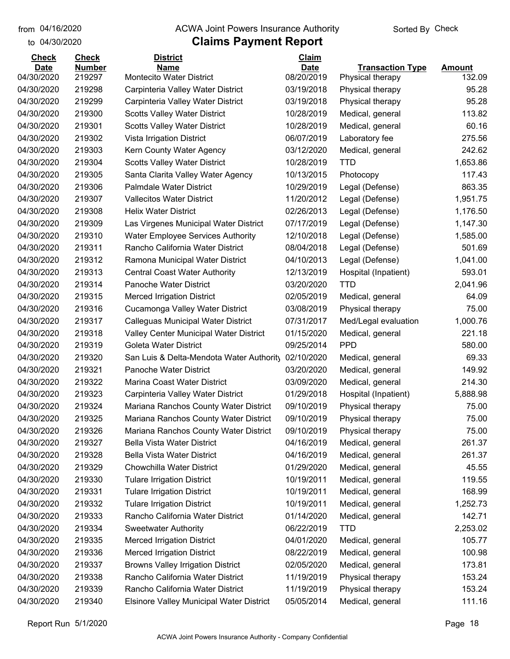#### from 04/16/2020 **The COVA Solic Act Act Authority** From 04/16/2020 **Sorted By Check**

#### to 04/30/2020

| <b>Check</b> | <b>Check</b>  | <b>District</b>                                 | Claim       |                         |               |
|--------------|---------------|-------------------------------------------------|-------------|-------------------------|---------------|
| <b>Date</b>  | <b>Number</b> | <b>Name</b>                                     | <b>Date</b> | <b>Transaction Type</b> | <b>Amount</b> |
| 04/30/2020   | 219297        | Montecito Water District                        | 08/20/2019  | Physical therapy        | 132.09        |
| 04/30/2020   | 219298        | Carpinteria Valley Water District               | 03/19/2018  | Physical therapy        | 95.28         |
| 04/30/2020   | 219299        | Carpinteria Valley Water District               | 03/19/2018  | Physical therapy        | 95.28         |
| 04/30/2020   | 219300        | <b>Scotts Valley Water District</b>             | 10/28/2019  | Medical, general        | 113.82        |
| 04/30/2020   | 219301        | <b>Scotts Valley Water District</b>             | 10/28/2019  | Medical, general        | 60.16         |
| 04/30/2020   | 219302        | Vista Irrigation District                       | 06/07/2019  | Laboratory fee          | 275.56        |
| 04/30/2020   | 219303        | Kern County Water Agency                        | 03/12/2020  | Medical, general        | 242.62        |
| 04/30/2020   | 219304        | <b>Scotts Valley Water District</b>             | 10/28/2019  | <b>TTD</b>              | 1,653.86      |
| 04/30/2020   | 219305        | Santa Clarita Valley Water Agency               | 10/13/2015  | Photocopy               | 117.43        |
| 04/30/2020   | 219306        | <b>Palmdale Water District</b>                  | 10/29/2019  | Legal (Defense)         | 863.35        |
| 04/30/2020   | 219307        | <b>Vallecitos Water District</b>                | 11/20/2012  | Legal (Defense)         | 1,951.75      |
| 04/30/2020   | 219308        | <b>Helix Water District</b>                     | 02/26/2013  | Legal (Defense)         | 1,176.50      |
| 04/30/2020   | 219309        | Las Virgenes Municipal Water District           | 07/17/2019  | Legal (Defense)         | 1,147.30      |
| 04/30/2020   | 219310        | <b>Water Employee Services Authority</b>        | 12/10/2018  | Legal (Defense)         | 1,585.00      |
| 04/30/2020   | 219311        | Rancho California Water District                | 08/04/2018  | Legal (Defense)         | 501.69        |
| 04/30/2020   | 219312        | Ramona Municipal Water District                 | 04/10/2013  | Legal (Defense)         | 1,041.00      |
| 04/30/2020   | 219313        | <b>Central Coast Water Authority</b>            | 12/13/2019  | Hospital (Inpatient)    | 593.01        |
| 04/30/2020   | 219314        | Panoche Water District                          | 03/20/2020  | <b>TTD</b>              | 2,041.96      |
| 04/30/2020   | 219315        | <b>Merced Irrigation District</b>               | 02/05/2019  | Medical, general        | 64.09         |
| 04/30/2020   | 219316        | Cucamonga Valley Water District                 | 03/08/2019  | Physical therapy        | 75.00         |
| 04/30/2020   | 219317        | Calleguas Municipal Water District              | 07/31/2017  | Med/Legal evaluation    | 1,000.76      |
| 04/30/2020   | 219318        | Valley Center Municipal Water District          | 01/15/2020  | Medical, general        | 221.18        |
| 04/30/2020   | 219319        | Goleta Water District                           | 09/25/2014  | <b>PPD</b>              | 580.00        |
| 04/30/2020   | 219320        | San Luis & Delta-Mendota Water Authority        | 02/10/2020  | Medical, general        | 69.33         |
| 04/30/2020   | 219321        | Panoche Water District                          | 03/20/2020  | Medical, general        | 149.92        |
| 04/30/2020   | 219322        | Marina Coast Water District                     | 03/09/2020  | Medical, general        | 214.30        |
| 04/30/2020   | 219323        | Carpinteria Valley Water District               | 01/29/2018  | Hospital (Inpatient)    | 5,888.98      |
| 04/30/2020   | 219324        | Mariana Ranchos County Water District           | 09/10/2019  | Physical therapy        | 75.00         |
| 04/30/2020   | 219325        | Mariana Ranchos County Water District           | 09/10/2019  | Physical therapy        | 75.00         |
| 04/30/2020   | 219326        | Mariana Ranchos County Water District           | 09/10/2019  | Physical therapy        | 75.00         |
| 04/30/2020   | 219327        | Bella Vista Water District                      | 04/16/2019  | Medical, general        | 261.37        |
| 04/30/2020   | 219328        | <b>Bella Vista Water District</b>               | 04/16/2019  | Medical, general        | 261.37        |
| 04/30/2020   | 219329        | Chowchilla Water District                       | 01/29/2020  | Medical, general        | 45.55         |
| 04/30/2020   | 219330        | <b>Tulare Irrigation District</b>               | 10/19/2011  | Medical, general        | 119.55        |
| 04/30/2020   | 219331        | <b>Tulare Irrigation District</b>               | 10/19/2011  | Medical, general        | 168.99        |
| 04/30/2020   | 219332        | <b>Tulare Irrigation District</b>               | 10/19/2011  | Medical, general        | 1,252.73      |
| 04/30/2020   | 219333        | Rancho California Water District                | 01/14/2020  | Medical, general        | 142.71        |
| 04/30/2020   | 219334        | <b>Sweetwater Authority</b>                     | 06/22/2019  | <b>TTD</b>              | 2,253.02      |
| 04/30/2020   | 219335        | <b>Merced Irrigation District</b>               | 04/01/2020  | Medical, general        | 105.77        |
| 04/30/2020   | 219336        | <b>Merced Irrigation District</b>               | 08/22/2019  | Medical, general        | 100.98        |
| 04/30/2020   | 219337        | <b>Browns Valley Irrigation District</b>        | 02/05/2020  | Medical, general        | 173.81        |
| 04/30/2020   | 219338        | Rancho California Water District                | 11/19/2019  | Physical therapy        | 153.24        |
| 04/30/2020   | 219339        | Rancho California Water District                | 11/19/2019  | Physical therapy        | 153.24        |
| 04/30/2020   | 219340        | <b>Elsinore Valley Municipal Water District</b> | 05/05/2014  | Medical, general        | 111.16        |
|              |               |                                                 |             |                         |               |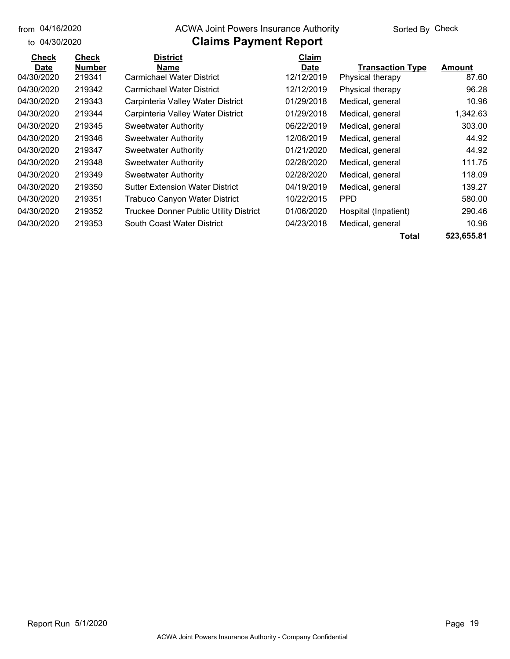#### from 04/16/2020 **The COVA Solic Act Act Authority** From 04/16/2020 **Sorted By Check**

#### to 04/30/2020

### **Claims Payment Report**

| <b>Check</b> | <b>Check</b>  | <b>District</b>                               | Claim       |                         |               |
|--------------|---------------|-----------------------------------------------|-------------|-------------------------|---------------|
| <b>Date</b>  | <b>Number</b> | Name                                          | <b>Date</b> | <b>Transaction Type</b> | <b>Amount</b> |
| 04/30/2020   | 219341        | <b>Carmichael Water District</b>              | 12/12/2019  | Physical therapy        | 87.60         |
| 04/30/2020   | 219342        | Carmichael Water District                     | 12/12/2019  | Physical therapy        | 96.28         |
| 04/30/2020   | 219343        | Carpinteria Valley Water District             | 01/29/2018  | Medical, general        | 10.96         |
| 04/30/2020   | 219344        | Carpinteria Valley Water District             | 01/29/2018  | Medical, general        | 1,342.63      |
| 04/30/2020   | 219345        | <b>Sweetwater Authority</b>                   | 06/22/2019  | Medical, general        | 303.00        |
| 04/30/2020   | 219346        | <b>Sweetwater Authority</b>                   | 12/06/2019  | Medical, general        | 44.92         |
| 04/30/2020   | 219347        | Sweetwater Authority                          | 01/21/2020  | Medical, general        | 44.92         |
| 04/30/2020   | 219348        | <b>Sweetwater Authority</b>                   | 02/28/2020  | Medical, general        | 111.75        |
| 04/30/2020   | 219349        | <b>Sweetwater Authority</b>                   | 02/28/2020  | Medical, general        | 118.09        |
| 04/30/2020   | 219350        | <b>Sutter Extension Water District</b>        | 04/19/2019  | Medical, general        | 139.27        |
| 04/30/2020   | 219351        | Trabuco Canyon Water District                 | 10/22/2015  | <b>PPD</b>              | 580.00        |
| 04/30/2020   | 219352        | <b>Truckee Donner Public Utility District</b> | 01/06/2020  | Hospital (Inpatient)    | 290.46        |
| 04/30/2020   | 219353        | South Coast Water District                    | 04/23/2018  | Medical, general        | 10.96         |
|              |               |                                               |             |                         |               |

**Total 523,655.81**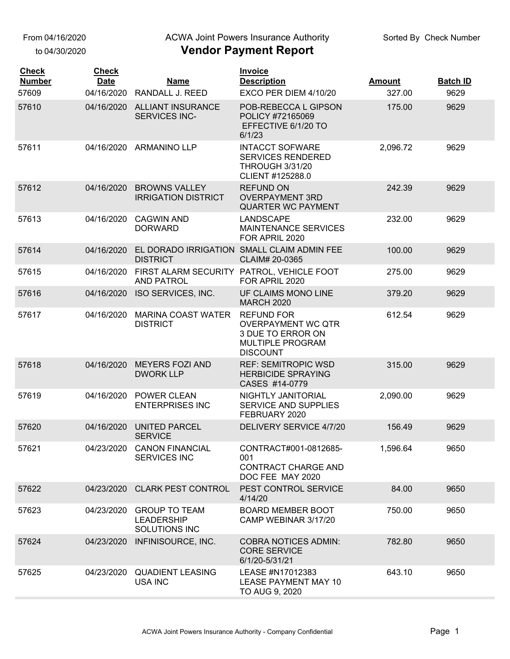From 04/16/2020

to 04/30/2020

#### ACWA Joint Powers Insurance Authority

| <b>Check</b><br><b>Number</b> | <b>Check</b><br><b>Date</b> | <b>Name</b>                                                    | <b>Invoice</b><br><b>Description</b>                                                                              | <b>Amount</b> | <b>Batch ID</b> |
|-------------------------------|-----------------------------|----------------------------------------------------------------|-------------------------------------------------------------------------------------------------------------------|---------------|-----------------|
| 57609                         | 04/16/2020                  | RANDALL J. REED                                                | EXCO PER DIEM 4/10/20                                                                                             | 327.00        | 9629            |
| 57610                         | 04/16/2020                  | <b>ALLIANT INSURANCE</b><br>SERVICES INC-                      | POB-REBECCA L GIPSON<br>POLICY #72165069<br>EFFECTIVE 6/1/20 TO<br>6/1/23                                         | 175.00        | 9629            |
| 57611                         |                             | 04/16/2020 ARMANINO LLP                                        | <b>INTACCT SOFWARE</b><br><b>SERVICES RENDERED</b><br><b>THROUGH 3/31/20</b><br>CLIENT #125288.0                  | 2,096.72      | 9629            |
| 57612                         | 04/16/2020                  | <b>BROWNS VALLEY</b><br><b>IRRIGATION DISTRICT</b>             | <b>REFUND ON</b><br><b>OVERPAYMENT 3RD</b><br><b>QUARTER WC PAYMENT</b>                                           | 242.39        | 9629            |
| 57613                         | 04/16/2020                  | <b>CAGWIN AND</b><br><b>DORWARD</b>                            | LANDSCAPE<br><b>MAINTENANCE SERVICES</b><br>FOR APRIL 2020                                                        | 232.00        | 9629            |
| 57614                         | 04/16/2020                  | <b>DISTRICT</b>                                                | EL DORADO IRRIGATION SMALL CLAIM ADMIN FEE<br>CLAIM# 20-0365                                                      | 100.00        | 9629            |
| 57615                         | 04/16/2020                  | FIRST ALARM SECURITY PATROL, VEHICLE FOOT<br><b>AND PATROL</b> | FOR APRIL 2020                                                                                                    | 275.00        | 9629            |
| 57616                         | 04/16/2020                  | ISO SERVICES, INC.                                             | UF CLAIMS MONO LINE<br><b>MARCH 2020</b>                                                                          | 379.20        | 9629            |
| 57617                         | 04/16/2020                  | <b>MARINA COAST WATER</b><br><b>DISTRICT</b>                   | <b>REFUND FOR</b><br><b>OVERPAYMENT WC QTR</b><br>3 DUE TO ERROR ON<br><b>MULTIPLE PROGRAM</b><br><b>DISCOUNT</b> | 612.54        | 9629            |
| 57618                         | 04/16/2020                  | <b>MEYERS FOZI AND</b><br><b>DWORK LLP</b>                     | <b>REF: SEMITROPIC WSD</b><br><b>HERBICIDE SPRAYING</b><br>CASES #14-0779                                         | 315.00        | 9629            |
| 57619                         | 04/16/2020                  | <b>POWER CLEAN</b><br><b>ENTERPRISES INC</b>                   | NIGHTLY JANITORIAL<br><b>SERVICE AND SUPPLIES</b><br>FEBRUARY 2020                                                | 2,090.00      | 9629            |
| 57620                         | 04/16/2020                  | <b>UNITED PARCEL</b><br><b>SERVICE</b>                         | <b>DELIVERY SERVICE 4/7/20</b>                                                                                    | 156.49        | 9629            |
| 57621                         |                             | 04/23/2020 CANON FINANCIAL<br><b>SERVICES INC</b>              | CONTRACT#001-0812685-<br>001<br><b>CONTRACT CHARGE AND</b><br>DOC FEE MAY 2020                                    | 1,596.64      | 9650            |
| 57622                         |                             | 04/23/2020 CLARK PEST CONTROL                                  | PEST CONTROL SERVICE<br>4/14/20                                                                                   | 84.00         | 9650            |
| 57623                         | 04/23/2020                  | <b>GROUP TO TEAM</b><br><b>LEADERSHIP</b><br>SOLUTIONS INC     | <b>BOARD MEMBER BOOT</b><br>CAMP WEBINAR 3/17/20                                                                  | 750.00        | 9650            |
| 57624                         | 04/23/2020                  | INFINISOURCE, INC.                                             | <b>COBRA NOTICES ADMIN:</b><br><b>CORE SERVICE</b><br>6/1/20-5/31/21                                              | 782.80        | 9650            |
| 57625                         | 04/23/2020                  | <b>QUADIENT LEASING</b><br><b>USA INC</b>                      | LEASE #N17012383<br><b>LEASE PAYMENT MAY 10</b><br>TO AUG 9, 2020                                                 | 643.10        | 9650            |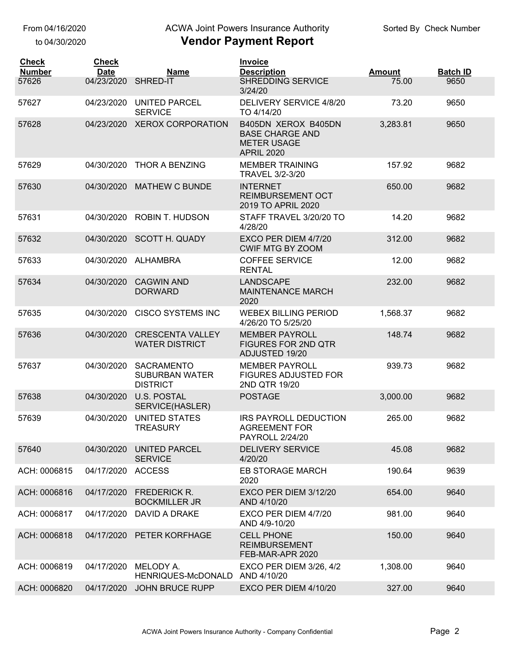## ACWA Joint Powers Insurance Authority

| <b>Check</b><br><b>Number</b> | <b>Check</b><br><b>Date</b> | <b>Name</b>                                                   | <b>Invoice</b><br><b>Description</b>                                                     | <b>Amount</b> | <b>Batch ID</b> |
|-------------------------------|-----------------------------|---------------------------------------------------------------|------------------------------------------------------------------------------------------|---------------|-----------------|
| 57626                         | 04/23/2020                  | SHRED-IT                                                      | <b>SHREDDING SERVICE</b><br>3/24/20                                                      | 75.00         | 9650            |
| 57627                         | 04/23/2020                  | <b>UNITED PARCEL</b><br><b>SERVICE</b>                        | DELIVERY SERVICE 4/8/20<br>TO 4/14/20                                                    | 73.20         | 9650            |
| 57628                         | 04/23/2020                  | <b>XEROX CORPORATION</b>                                      | B405DN XEROX B405DN<br><b>BASE CHARGE AND</b><br><b>METER USAGE</b><br><b>APRIL 2020</b> | 3,283.81      | 9650            |
| 57629                         | 04/30/2020                  | <b>THOR A BENZING</b>                                         | <b>MEMBER TRAINING</b><br>TRAVEL 3/2-3/20                                                | 157.92        | 9682            |
| 57630                         | 04/30/2020                  | <b>MATHEW C BUNDE</b>                                         | <b>INTERNET</b><br><b>REIMBURSEMENT OCT</b><br>2019 TO APRIL 2020                        | 650.00        | 9682            |
| 57631                         | 04/30/2020                  | <b>ROBIN T. HUDSON</b>                                        | STAFF TRAVEL 3/20/20 TO<br>4/28/20                                                       | 14.20         | 9682            |
| 57632                         | 04/30/2020                  | <b>SCOTT H. QUADY</b>                                         | EXCO PER DIEM 4/7/20<br><b>CWIF MTG BY ZOOM</b>                                          | 312.00        | 9682            |
| 57633                         | 04/30/2020                  | ALHAMBRA                                                      | <b>COFFEE SERVICE</b><br><b>RENTAL</b>                                                   | 12.00         | 9682            |
| 57634                         | 04/30/2020                  | <b>CAGWIN AND</b><br><b>DORWARD</b>                           | <b>LANDSCAPE</b><br><b>MAINTENANCE MARCH</b><br>2020                                     | 232.00        | 9682            |
| 57635                         | 04/30/2020                  | <b>CISCO SYSTEMS INC</b>                                      | <b>WEBEX BILLING PERIOD</b><br>4/26/20 TO 5/25/20                                        | 1,568.37      | 9682            |
| 57636                         | 04/30/2020                  | <b>CRESCENTA VALLEY</b><br><b>WATER DISTRICT</b>              | <b>MEMBER PAYROLL</b><br><b>FIGURES FOR 2ND QTR</b><br>ADJUSTED 19/20                    | 148.74        | 9682            |
| 57637                         | 04/30/2020                  | <b>SACRAMENTO</b><br><b>SUBURBAN WATER</b><br><b>DISTRICT</b> | <b>MEMBER PAYROLL</b><br><b>FIGURES ADJUSTED FOR</b><br>2ND QTR 19/20                    | 939.73        | 9682            |
| 57638                         | 04/30/2020                  | <b>U.S. POSTAL</b><br>SERVICE(HASLER)                         | <b>POSTAGE</b>                                                                           | 3,000.00      | 9682            |
| 57639                         | 04/30/2020                  | <b>UNITED STATES</b><br>TREASURY                              | <b>IRS PAYROLL DEDUCTION</b><br><b>AGREEMENT FOR</b><br><b>PAYROLL 2/24/20</b>           | 265.00        | 9682            |
| 57640                         | 04/30/2020                  | <b>UNITED PARCEL</b><br><b>SERVICE</b>                        | <b>DELIVERY SERVICE</b><br>4/20/20                                                       | 45.08         | 9682            |
| ACH: 0006815                  | 04/17/2020 ACCESS           |                                                               | <b>EB STORAGE MARCH</b><br>2020                                                          | 190.64        | 9639            |
| ACH: 0006816                  | 04/17/2020                  | <b>FREDERICK R.</b><br><b>BOCKMILLER JR</b>                   | EXCO PER DIEM 3/12/20<br>AND 4/10/20                                                     | 654.00        | 9640            |
| ACH: 0006817                  |                             | 04/17/2020 DAVID A DRAKE                                      | EXCO PER DIEM 4/7/20<br>AND 4/9-10/20                                                    | 981.00        | 9640            |
| ACH: 0006818                  |                             | 04/17/2020 PETER KORFHAGE                                     | <b>CELL PHONE</b><br><b>REIMBURSEMENT</b><br>FEB-MAR-APR 2020                            | 150.00        | 9640            |
| ACH: 0006819                  | 04/17/2020                  | MELODY A.<br>HENRIQUES-McDONALD                               | <b>EXCO PER DIEM 3/26, 4/2</b><br>AND 4/10/20                                            | 1,308.00      | 9640            |
| ACH: 0006820                  |                             | 04/17/2020 JOHN BRUCE RUPP                                    | EXCO PER DIEM 4/10/20                                                                    | 327.00        | 9640            |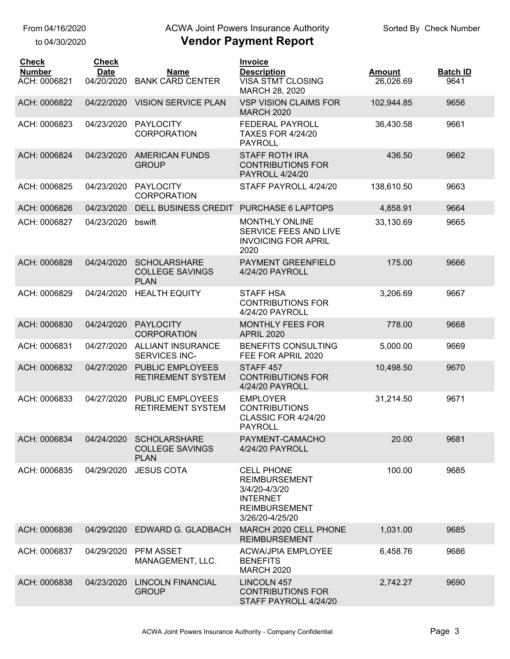### ACWA Joint Powers Insurance Authority

| <b>Check</b>                  | <b>Check</b>              |                                                              | <b>Invoice</b>                                                                                                           |                            |                         |
|-------------------------------|---------------------------|--------------------------------------------------------------|--------------------------------------------------------------------------------------------------------------------------|----------------------------|-------------------------|
| <b>Number</b><br>ACH: 0006821 | <b>Date</b><br>04/20/2020 | <b>Name</b><br><b>BANK CARD CENTER</b>                       | <b>Description</b><br><b>VISA STMT CLOSING</b><br>MARCH 28, 2020                                                         | <b>Amount</b><br>26,026.69 | <b>Batch ID</b><br>9641 |
| ACH: 0006822                  | 04/22/2020                | <b>VISION SERVICE PLAN</b>                                   | <b>VSP VISION CLAIMS FOR</b><br><b>MARCH 2020</b>                                                                        | 102,944.85                 | 9656                    |
| ACH: 0006823                  | 04/23/2020                | <b>PAYLOCITY</b><br><b>CORPORATION</b>                       | FEDERAL PAYROLL<br><b>TAXES FOR 4/24/20</b><br><b>PAYROLL</b>                                                            | 36,430.58                  | 9661                    |
| ACH: 0006824                  | 04/23/2020                | <b>AMERICAN FUNDS</b><br><b>GROUP</b>                        | <b>STAFF ROTH IRA</b><br><b>CONTRIBUTIONS FOR</b><br>PAYROLL 4/24/20                                                     | 436.50                     | 9662                    |
| ACH: 0006825                  | 04/23/2020                | <b>PAYLOCITY</b><br><b>CORPORATION</b>                       | STAFF PAYROLL 4/24/20                                                                                                    | 138,610.50                 | 9663                    |
| ACH: 0006826                  | 04/23/2020                | <b>DELL BUSINESS CREDIT</b>                                  | PURCHASE 6 LAPTOPS                                                                                                       | 4,858.91                   | 9664                    |
| ACH: 0006827                  | 04/23/2020                | bswift                                                       | <b>MONTHLY ONLINE</b><br>SERVICE FEES AND LIVE<br><b>INVOICING FOR APRIL</b><br>2020                                     | 33,130.69                  | 9665                    |
| ACH: 0006828                  | 04/24/2020                | <b>SCHOLARSHARE</b><br><b>COLLEGE SAVINGS</b><br><b>PLAN</b> | PAYMENT GREENFIELD<br>4/24/20 PAYROLL                                                                                    | 175.00                     | 9666                    |
| ACH: 0006829                  | 04/24/2020                | <b>HEALTH EQUITY</b>                                         | <b>STAFF HSA</b><br><b>CONTRIBUTIONS FOR</b><br>4/24/20 PAYROLL                                                          | 3,206.69                   | 9667                    |
| ACH: 0006830                  | 04/24/2020                | <b>PAYLOCITY</b><br><b>CORPORATION</b>                       | <b>MONTHLY FEES FOR</b><br><b>APRIL 2020</b>                                                                             | 778.00                     | 9668                    |
| ACH: 0006831                  | 04/27/2020                | <b>ALLIANT INSURANCE</b><br>SERVICES INC-                    | <b>BENEFITS CONSULTING</b><br>FEE FOR APRIL 2020                                                                         | 5,000.00                   | 9669                    |
| ACH: 0006832                  | 04/27/2020                | <b>PUBLIC EMPLOYEES</b><br><b>RETIREMENT SYSTEM</b>          | STAFF <sub>457</sub><br><b>CONTRIBUTIONS FOR</b><br>4/24/20 PAYROLL                                                      | 10,498.50                  | 9670                    |
| ACH: 0006833                  | 04/27/2020                | PUBLIC EMPLOYEES<br><b>RETIREMENT SYSTEM</b>                 | <b>EMPLOYER</b><br><b>CONTRIBUTIONS</b><br>CLASSIC FOR 4/24/20<br><b>PAYROLL</b>                                         | 31,214.50                  | 9671                    |
| ACH: 0006834                  | 04/24/2020                | <b>SCHOLARSHARE</b><br><b>COLLEGE SAVINGS</b><br><b>PLAN</b> | PAYMENT-CAMACHO<br>4/24/20 PAYROLL                                                                                       | 20.00                      | 9681                    |
| ACH: 0006835                  | 04/29/2020                | <b>JESUS COTA</b>                                            | <b>CELL PHONE</b><br><b>REIMBURSEMENT</b><br>3/4/20-4/3/20<br><b>INTERNET</b><br><b>REIMBURSEMENT</b><br>3/26/20-4/25/20 | 100.00                     | 9685                    |
| ACH: 0006836                  | 04/29/2020                | EDWARD G. GLADBACH                                           | MARCH 2020 CELL PHONE<br><b>REIMBURSEMENT</b>                                                                            | 1,031.00                   | 9685                    |
| ACH: 0006837                  | 04/29/2020                | <b>PFM ASSET</b><br>MANAGEMENT, LLC.                         | <b>ACWA/JPIA EMPLOYEE</b><br><b>BENEFITS</b><br><b>MARCH 2020</b>                                                        | 6,458.76                   | 9686                    |
| ACH: 0006838                  | 04/23/2020                | <b>LINCOLN FINANCIAL</b><br><b>GROUP</b>                     | LINCOLN 457<br><b>CONTRIBUTIONS FOR</b><br>STAFF PAYROLL 4/24/20                                                         | 2,742.27                   | 9690                    |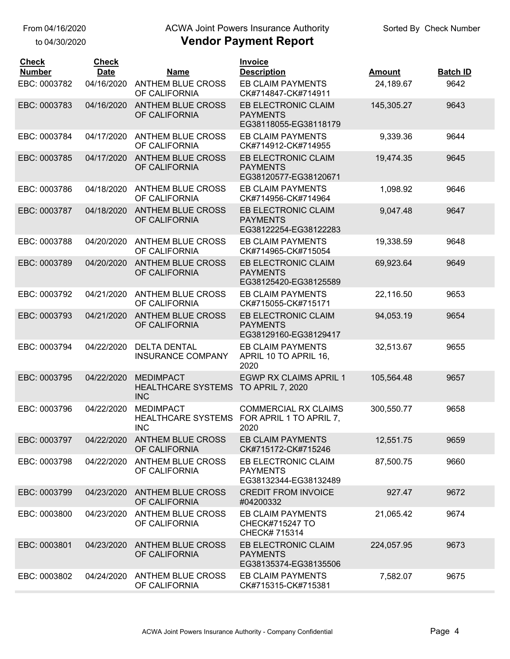## ACWA Joint Powers Insurance Authority

| <b>Check</b><br><b>Number</b> | <b>Check</b><br><b>Date</b> | <b>Name</b>                                                 | <b>Invoice</b><br><b>Description</b>                                | <b>Amount</b> | <b>Batch ID</b> |
|-------------------------------|-----------------------------|-------------------------------------------------------------|---------------------------------------------------------------------|---------------|-----------------|
| EBC: 0003782                  | 04/16/2020                  | <b>ANTHEM BLUE CROSS</b><br>OF CALIFORNIA                   | <b>EB CLAIM PAYMENTS</b><br>CK#714847-CK#714911                     | 24,189.67     | 9642            |
| EBC: 0003783                  | 04/16/2020                  | <b>ANTHEM BLUE CROSS</b><br>OF CALIFORNIA                   | EB ELECTRONIC CLAIM<br><b>PAYMENTS</b><br>EG38118055-EG38118179     | 145,305.27    | 9643            |
| EBC: 0003784                  | 04/17/2020                  | <b>ANTHEM BLUE CROSS</b><br>OF CALIFORNIA                   | <b>EB CLAIM PAYMENTS</b><br>CK#714912-CK#714955                     | 9,339.36      | 9644            |
| EBC: 0003785                  | 04/17/2020                  | <b>ANTHEM BLUE CROSS</b><br>OF CALIFORNIA                   | EB ELECTRONIC CLAIM<br><b>PAYMENTS</b><br>EG38120577-EG38120671     | 19,474.35     | 9645            |
| EBC: 0003786                  | 04/18/2020                  | <b>ANTHEM BLUE CROSS</b><br>OF CALIFORNIA                   | <b>EB CLAIM PAYMENTS</b><br>CK#714956-CK#714964                     | 1,098.92      | 9646            |
| EBC: 0003787                  | 04/18/2020                  | <b>ANTHEM BLUE CROSS</b><br>OF CALIFORNIA                   | EB ELECTRONIC CLAIM<br><b>PAYMENTS</b><br>EG38122254-EG38122283     | 9,047.48      | 9647            |
| EBC: 0003788                  | 04/20/2020                  | <b>ANTHEM BLUE CROSS</b><br>OF CALIFORNIA                   | EB CLAIM PAYMENTS<br>CK#714965-CK#715054                            | 19,338.59     | 9648            |
| EBC: 0003789                  | 04/20/2020                  | <b>ANTHEM BLUE CROSS</b><br>OF CALIFORNIA                   | EB ELECTRONIC CLAIM<br><b>PAYMENTS</b><br>EG38125420-EG38125589     | 69,923.64     | 9649            |
| EBC: 0003792                  | 04/21/2020                  | <b>ANTHEM BLUE CROSS</b><br>OF CALIFORNIA                   | <b>EB CLAIM PAYMENTS</b><br>CK#715055-CK#715171                     | 22,116.50     | 9653            |
| EBC: 0003793                  | 04/21/2020                  | <b>ANTHEM BLUE CROSS</b><br>OF CALIFORNIA                   | EB ELECTRONIC CLAIM<br><b>PAYMENTS</b><br>EG38129160-EG38129417     | 94,053.19     | 9654            |
| EBC: 0003794                  | 04/22/2020                  | <b>DELTA DENTAL</b><br><b>INSURANCE COMPANY</b>             | <b>EB CLAIM PAYMENTS</b><br>APRIL 10 TO APRIL 16,<br>2020           | 32,513.67     | 9655            |
| EBC: 0003795                  | 04/22/2020                  | <b>MEDIMPACT</b><br><b>HEALTHCARE SYSTEMS</b><br><b>INC</b> | <b>EGWP RX CLAIMS APRIL 1</b><br>TO APRIL 7, 2020                   | 105,564.48    | 9657            |
| EBC: 0003796                  | 04/22/2020                  | <b>MEDIMPACT</b><br><b>HEALTHCARE SYSTEMS</b><br><b>INC</b> | <b>COMMERCIAL RX CLAIMS</b><br>FOR APRIL 1 TO APRIL 7,<br>2020      | 300,550.77    | 9658            |
| EBC: 0003797                  | 04/22/2020                  | <b>ANTHEM BLUE CROSS</b><br>OF CALIFORNIA                   | <b>EB CLAIM PAYMENTS</b><br>CK#715172-CK#715246                     | 12,551.75     | 9659            |
| EBC: 0003798                  | 04/22/2020                  | ANTHEM BLUE CROSS<br>OF CALIFORNIA                          | EB ELECTRONIC CLAIM<br><b>PAYMENTS</b><br>EG38132344-EG38132489     | 87,500.75     | 9660            |
| EBC: 0003799                  | 04/23/2020                  | <b>ANTHEM BLUE CROSS</b><br>OF CALIFORNIA                   | <b>CREDIT FROM INVOICE</b><br>#04200332                             | 927.47        | 9672            |
| EBC: 0003800                  | 04/23/2020                  | ANTHEM BLUE CROSS<br>OF CALIFORNIA                          | <b>EB CLAIM PAYMENTS</b><br><b>CHECK#715247 TO</b><br>CHECK# 715314 | 21,065.42     | 9674            |
| EBC: 0003801                  | 04/23/2020                  | <b>ANTHEM BLUE CROSS</b><br>OF CALIFORNIA                   | EB ELECTRONIC CLAIM<br><b>PAYMENTS</b><br>EG38135374-EG38135506     | 224,057.95    | 9673            |
| EBC: 0003802                  | 04/24/2020                  | <b>ANTHEM BLUE CROSS</b><br>OF CALIFORNIA                   | <b>EB CLAIM PAYMENTS</b><br>CK#715315-CK#715381                     | 7,582.07      | 9675            |